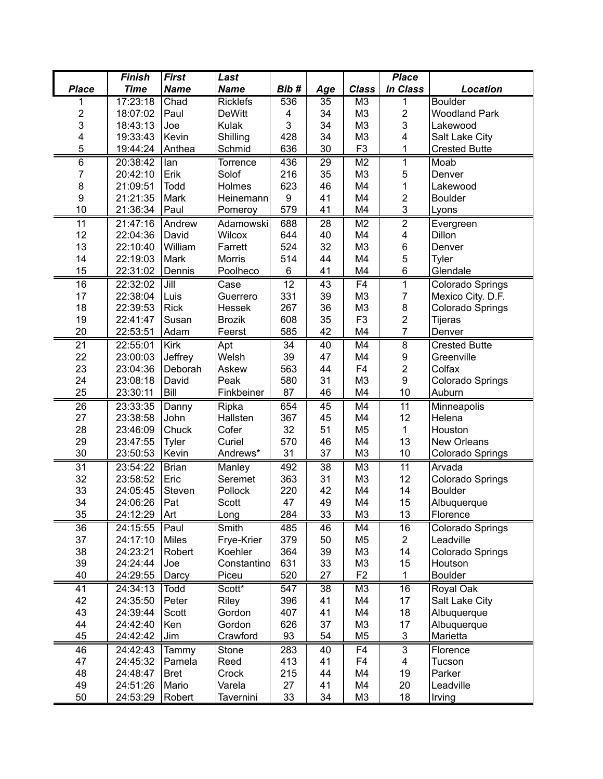|                 | <b>Finish</b> | <b>First</b>    | Last            |                  |     |                | <b>Place</b>            |                         |
|-----------------|---------------|-----------------|-----------------|------------------|-----|----------------|-------------------------|-------------------------|
| <b>Place</b>    | <b>Time</b>   | <b>Name</b>     | <b>Name</b>     | Bib#             | Age | <b>Class</b>   | in Class                | Location                |
|                 | 17:23:18      | Chad            | <b>Ricklefs</b> | 536              | 35  | M3             | 1                       | <b>Boulder</b>          |
| 2               | 18:07:02      | Paul            | <b>DeWitt</b>   | 4                | 34  | M <sub>3</sub> | $\overline{c}$          | <b>Woodland Park</b>    |
| 3               | 18:43:13      | Joe             | Kulak           | 3                | 34  | M <sub>3</sub> | 3                       | Lakewood                |
| 4               | 19:33:43      | Kevin           | Shilling        | 428              | 34  | M <sub>3</sub> | 4                       | Salt Lake City          |
| 5               | 19:44:24      | Anthea          | Schmid          | 636              | 30  | F <sub>3</sub> | 1                       | <b>Crested Butte</b>    |
| 6               | 20:38:42      | lan             | Torrence        | 436              | 29  | M <sub>2</sub> | 1                       | Moab                    |
| 7               | 20:42:10      | Erik            | Solof           | 216              | 35  | M <sub>3</sub> | 5                       | Denver                  |
| 8               | 21:09:51      | <b>Todd</b>     | Holmes          | 623              | 46  | M4             | 1                       | Lakewood                |
| 9               | 21:21:35      | Mark            | Heinemann       | $\boldsymbol{9}$ | 41  | M4             | $\overline{c}$          | <b>Boulder</b>          |
| 10              | 21:36:34      | Paul            | Pomeroy         | 579              | 41  | M4             | 3                       | Lyons                   |
| 11              | 21:47:16      | Andrew          | Adamowski       | 688              | 28  | M <sub>2</sub> | $\overline{2}$          | Evergreen               |
| 12              | 22:04:36      | David           | <b>Wilcox</b>   | 644              | 40  | M4             | $\overline{\mathbf{4}}$ | Dillon                  |
| 13              | 22:10:40      | William         | Farrett         | 524              | 32  | M <sub>3</sub> | 6                       | Denver                  |
| 14              | 22:19:03      | Mark            | Morris          | 514              | 44  | M4             | 5                       | Tyler                   |
| 15              | 22:31:02      | Dennis          | Poolheco        | 6                | 41  | M4             | 6                       | Glendale                |
| 16              | 22:32:02      | Jill            | Case            | 12               | 43  | F <sub>4</sub> | $\mathbf{1}$            | Colorado Springs        |
| 17              | 22:38:04      | Luis            | Guerrero        | 331              | 39  | M <sub>3</sub> | $\overline{7}$          | Mexico City. D.F.       |
| 18              | 22:39:53      | <b>Rick</b>     | Hessek          | 267              | 36  | M <sub>3</sub> | 8                       | Colorado Springs        |
| 19              | 22:41:47      | Susan           | <b>Brozik</b>   | 608              | 35  | F <sub>3</sub> | $\overline{c}$          | <b>Tijeras</b>          |
| 20              | 22:53:51      | Adam            | Feerst          | 585              | 42  | M4             | $\overline{7}$          | Denver                  |
| $\overline{21}$ | 22:55:01      | Kirk            | Apt             | 34               | 40  | M4             | $\overline{8}$          | <b>Crested Butte</b>    |
| 22              | 23:00:03      | Jeffrey         | Welsh           | 39               | 47  | M4             | 9                       | Greenville              |
| 23              | 23:04:36      | Deborah         | Askew           | 563              | 44  | F <sub>4</sub> | $\overline{c}$          | Colfax                  |
| 24              | 23:08:18      | David           | Peak            | 580              | 31  | M <sub>3</sub> | 9                       | Colorado Springs        |
| 25              | 23:30:11      | Bill            | Finkbeiner      | 87               | 46  | M4             | 10                      | Auburn                  |
| $\overline{26}$ | 23:33:35      | Danny           | Ripka           | 654              | 45  | M4             | $\overline{11}$         | Minneapolis             |
| 27              | 23:38:58      | John            | Hallsten        | 367              | 45  | M4             | 12                      | Helena                  |
| 28              | 23:46:09      | Chuck           | Cofer           | 32               | 51  | M <sub>5</sub> | $\mathbf 1$             | Houston                 |
| 29              | 23:47:55      | Tyler           | Curiel          | 570              | 46  | M4             | 13                      | New Orleans             |
| 30              | 23:50:53      | Kevin           | Andrews*        | 31               | 37  | M <sub>3</sub> | 10                      | <b>Colorado Springs</b> |
| 31              | 23:54:22      | <b>Brian</b>    | Manley          | 492              | 38  | M <sub>3</sub> | $\overline{11}$         | Arvada                  |
| 32              | 23:58:52      | Eric            | Seremet         | 363              | 31  | M <sub>3</sub> | 12                      | Colorado Springs        |
| 33              | 24:05:45      | Steven          | Pollock         | 220              | 42  | M4             | 14                      | <b>Boulder</b>          |
| 34              | 24:06:26      | Pat             | Scott           | 47               | 49  | M4             | 15                      | Albuquerque             |
| 35              | 24:12:29      | Art             | Long            | 284              | 33  | M3             | 13                      | Florence                |
| 36              | 24:15:55      | Paul            | Smith           | 485              | 46  | M4             | 16                      | Colorado Springs        |
| 37              | 24:17:10      | Miles           | Frye-Krier      | 379              | 50  | M <sub>5</sub> | $\overline{c}$          | Leadville               |
| 38              | 24:23:21      | Robert          | Koehler         | 364              | 39  | M <sub>3</sub> | 14                      | Colorado Springs        |
| 39              | 24:24:44      | Joe             | Constantino     | 631              | 33  | M <sub>3</sub> | 15                      | Houtson                 |
| 40              | 24:29:55      | Darcy           | Piceu           | 520              | 27  | F <sub>2</sub> | 1                       | <b>Boulder</b>          |
| 41              | 24:34:13      | Todd            | Scott*          | 547              | 38  | M <sub>3</sub> | 16                      | Royal Oak               |
| 42              | 24:35:50      | Peter           | Riley           | 396              | 41  | M4             | 17                      | Salt Lake City          |
| 43              | 24:39:44      | Scott           | Gordon          | 407              | 41  | M4             | 18                      | Albuquerque             |
| 44              | 24:42:40      | Ken             | Gordon          | 626              | 37  | M <sub>3</sub> | 17                      | Albuquerque             |
| 45              | 24:42:42      | Jim             | Crawford        | 93               | 54  | M <sub>5</sub> | 3                       | Marietta                |
| 46              | 24:42:43      |                 | Stone           | 283              | 40  | F4             | 3                       | Florence                |
| 47              | 24:45:32      | Tammy<br>Pamela | Reed            | 413              | 41  | F4             | 4                       | Tucson                  |
| 48              | 24:48:47      | <b>Bret</b>     | Crock           | 215              | 44  | M4             | 19                      | Parker                  |
| 49              | 24:51:26      | Mario           | Varela          | 27               | 41  | M4             | 20                      | Leadville               |
| 50              | 24:53:29      | Robert          | Tavernini       | 33               | 34  | M <sub>3</sub> | 18                      | Irving                  |
|                 |               |                 |                 |                  |     |                |                         |                         |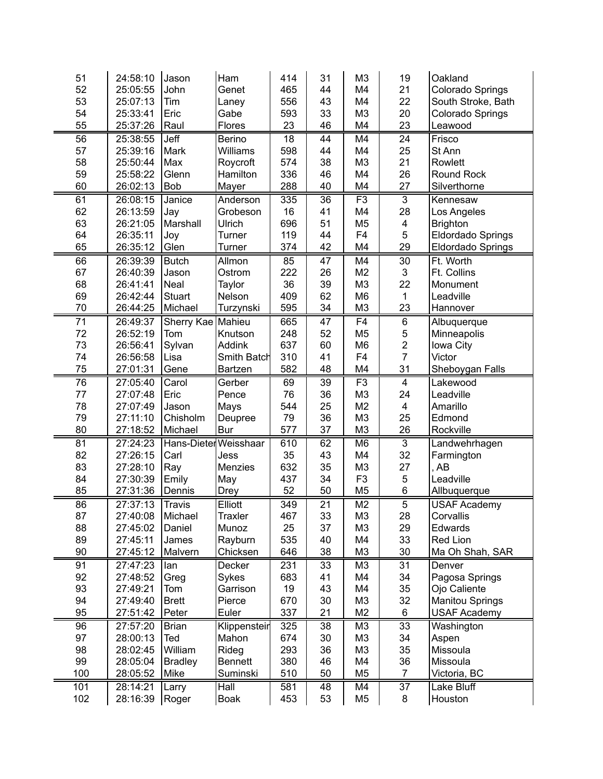| 51       | 24:58:10             | Jason                 | Ham            | 414       | 31              | M <sub>3</sub> | 19                      | Oakland                |
|----------|----------------------|-----------------------|----------------|-----------|-----------------|----------------|-------------------------|------------------------|
| 52       | 25:05:55             | John                  | Genet          | 465       | 44              | M <sub>4</sub> | 21                      | Colorado Springs       |
| 53       | 25:07:13             | Tim                   | Laney          | 556       | 43              | M4             | 22                      | South Stroke, Bath     |
| 54       | 25:33:41             | Eric                  | Gabe           | 593       | 33              | M <sub>3</sub> | 20                      | Colorado Springs       |
| 55       | 25:37:26             | Raul                  | Flores         | 23        | 46              | M4             | 23                      | Leawood                |
| 56       | 25:38:55             | Jeff                  | Berino         | 18        | 44              | M4             | 24                      | Frisco                 |
| 57       | 25:39:16             | Mark                  | Williams       | 598       | 44              | M4             | 25                      | St Ann                 |
| 58       | 25:50:44             | Max                   | Roycroft       | 574       | 38              | M <sub>3</sub> | 21                      | Rowlett                |
| 59       | 25:58:22             | Glenn                 | Hamilton       | 336       | 46              | M <sub>4</sub> | 26                      | Round Rock             |
| 60       | 26:02:13             | <b>Bob</b>            | Mayer          | 288       | 40              | M4             | 27                      | Silverthorne           |
| 61       | 26:08:15             | Janice                | Anderson       | 335       | 36              | F3             | $\overline{3}$          | Kennesaw               |
| 62       | 26:13:59             | Jay                   | Grobeson       | 16        | 41              | M4             | 28                      | Los Angeles            |
| 63       | 26:21:05             | Marshall              | Ulrich         | 696       | 51              | M <sub>5</sub> | 4                       | <b>Brighton</b>        |
| 64       | 26:35:11             | Joy                   | Turner         | 119       | 44              | F <sub>4</sub> | 5                       | Eldordado Springs      |
| 65       | 26:35:12             | Glen                  | Turner         | 374       | 42              | M4             | 29                      | Eldordado Springs      |
| 66       | 26:39:39             | <b>Butch</b>          | Allmon         | 85        | 47              | M4             | $\overline{30}$         | Ft. Worth              |
| 67       | 26:40:39             | Jason                 | Ostrom         | 222       | 26              | M <sub>2</sub> | 3                       | Ft. Collins            |
| 68       | 26:41:41             | Neal                  | Taylor         | 36        | 39              | M <sub>3</sub> | 22                      | Monument               |
| 69       | 26:42:44             | <b>Stuart</b>         | Nelson         | 409       | 62              | M <sub>6</sub> | $\mathbf{1}$            | Leadville              |
| 70       | 26:44:25             | Michael               | Turzynski      | 595       | 34              | M <sub>3</sub> | 23                      | Hannover               |
| 71       | 26:49:37             | Sherry Kae            | Mahieu         | 665       | 47              | F <sub>4</sub> | $\,6$                   | Albuquerque            |
| 72       | 26:52:19             | Tom                   | Knutson        | 248       | 52              | M <sub>5</sub> | $\mathbf 5$             | Minneapolis            |
| 73       | 26:56:41             | Sylvan                | <b>Addink</b>  | 637       | 60              | M <sub>6</sub> | $\overline{2}$          | Iowa City              |
| 74       | 26:56:58             | Lisa                  | Smith Batch    | 310       | 41              | F <sub>4</sub> | $\overline{7}$          | Victor                 |
| 75       | 27:01:31             | Gene                  | <b>Bartzen</b> | 582       | 48              | M4             | 31                      | Sheboygan Falls        |
| 76       | 27:05:40             | Carol                 | Gerber         | 69        | $\overline{39}$ | F3             | $\overline{\mathbf{4}}$ | Lakewood               |
| 77       | 27:07:48             | Eric                  | Pence          | 76        | 36              | M <sub>3</sub> | 24                      | Leadville              |
| 78       |                      |                       |                | 544       | 25              | M <sub>2</sub> | $\overline{\mathbf{4}}$ |                        |
|          | 27:07:49             | Jason                 | Mays           |           | 36              | M <sub>3</sub> | 25                      | Amarillo               |
| 79<br>80 | 27:11:10<br>27:18:52 | Chisholm<br>Michael   | Deupree<br>Bur | 79<br>577 | 37              | M <sub>3</sub> | 26                      | Edmond<br>Rockville    |
|          |                      |                       |                |           |                 |                |                         |                        |
| 81       | 27:24:23             | Hans-Dieter Weisshaar |                | 610       | 62              | M <sub>6</sub> | 3                       | Landwehrhagen          |
| 82       | 27:26:15             | Carl                  | Jess           | 35        | 43              | M4             | 32                      | Farmington             |
| 83       | 27:28:10             | Ray                   | Menzies        | 632       | 35              | M <sub>3</sub> | 27                      | AB                     |
| 84       | 27:30:39             | Emily                 | May            | 437       | 34              | F <sub>3</sub> | $\mathbf 5$             | Leadville              |
| 85       | 27:31:36             | Dennis                | <b>Drey</b>    | 52        | 50              | M <sub>5</sub> | $\,6\,$                 | Allbuquerque           |
| 86       | 27:37:13             | <b>Travis</b>         | Elliott        | 349       | 21              | M <sub>2</sub> | $\overline{5}$          | <b>USAF Academy</b>    |
| 87       | 27:40:08             | Michael               | Traxler        | 467       | 33              | M3             | 28                      | Corvallis              |
| 88       | 27:45:02             | Daniel                | Munoz          | 25        | 37              | M <sub>3</sub> | 29                      | Edwards                |
| 89       | 27:45:11             | James                 | Rayburn        | 535       | 40              | M4             | 33                      | Red Lion               |
| 90       | 27:45:12             | Malvern               | Chicksen       | 646       | 38              | M <sub>3</sub> | 30                      | Ma Oh Shah, SAR        |
| 91       | 27:47:23             | lan                   | Decker         | 231       | 33              | M <sub>3</sub> | $\overline{31}$         | Denver                 |
| 92       | 27:48:52             | Greg                  | Sykes          | 683       | 41              | M4             | 34                      | Pagosa Springs         |
| 93       | 27:49:21             | Tom                   | Garrison       | 19        | 43              | M4             | 35                      | Ojo Caliente           |
| 94       | 27:49:40             | <b>Brett</b>          | Pierce         | 670       | 30              | M <sub>3</sub> | 32                      | <b>Manitou Springs</b> |
| 95       | 27:51:42             | Peter                 | Euler          | 337       | 21              | M <sub>2</sub> | 6                       | <b>USAF Academy</b>    |
| 96       | 27:57:20             | <b>Brian</b>          | Klippensteir   | 325       | 38              | M <sub>3</sub> | 33                      | Washington             |
| 97       | 28:00:13             | Ted                   | Mahon          | 674       | 30              | M <sub>3</sub> | 34                      | Aspen                  |
| 98       | 28:02:45             | William               | Rideg          | 293       | 36              | M <sub>3</sub> | 35                      | Missoula               |
| 99       | 28:05:04             | <b>Bradley</b>        | <b>Bennett</b> | 380       | 46              | M4             | 36                      | Missoula               |
| 100      | 28:05:52             | Mike                  | Suminski       | 510       | 50              | M <sub>5</sub> | $\overline{7}$          | Victoria, BC           |
| 101      | 28:14:21             | Larry                 | Hall           | 581       | 48              | M4             | 37                      | Lake Bluff             |
| 102      | 28:16:39             | Roger                 | <b>Boak</b>    | 453       | 53              | M <sub>5</sub> | 8                       | Houston                |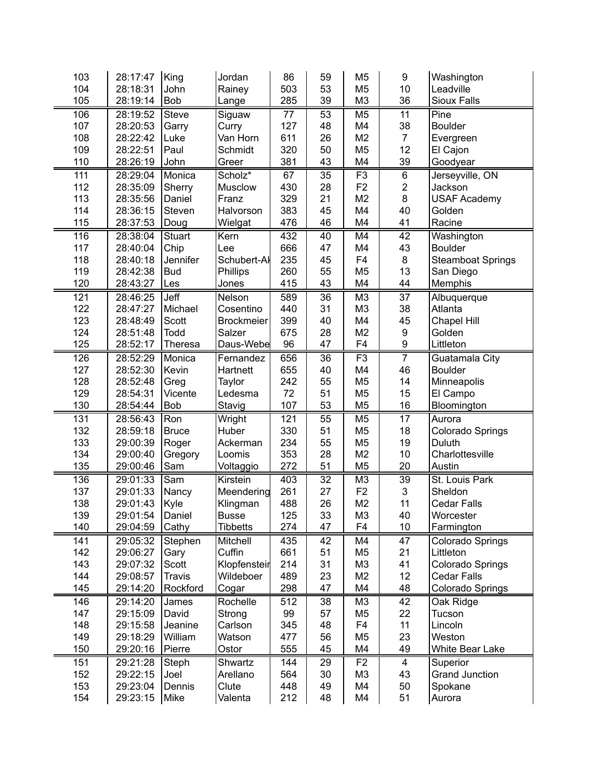| 103        | 28:17:47             | King          | Jordan            | 86         | 59              | M <sub>5</sub> | 9                | Washington                       |
|------------|----------------------|---------------|-------------------|------------|-----------------|----------------|------------------|----------------------------------|
| 104        | 28:18:31             | John          | Rainey            | 503        | 53              | M <sub>5</sub> | 10               | Leadville                        |
| 105        | 28:19:14             | <b>Bob</b>    | Lange             | 285        | 39              | M <sub>3</sub> | 36               | Sioux Falls                      |
| 106        | 28:19:52             | Steve         | Siguaw            | 77         | 53              | M <sub>5</sub> | 11               | Pine                             |
| 107        | 28:20:53             | Garry         | Curry             | 127        | 48              | M4             | 38               | <b>Boulder</b>                   |
| 108        | 28:22:42             | Luke          | Van Horn          | 611        | 26              | M <sub>2</sub> | $\overline{7}$   | Evergreen                        |
| 109        | 28:22:51             | Paul          | Schmidt           | 320        | 50              | M <sub>5</sub> | 12               | El Cajon                         |
| 110        | 28:26:19             | John          | Greer             | 381        | 43              | M4             | 39               | Goodyear                         |
| 111        | 28:29:04             | Monica        | Scholz*           | 67         | 35              | F3             | $\overline{6}$   | Jerseyville, ON                  |
| 112        | 28:35:09             | Sherry        | Musclow           | 430        | 28              | F <sub>2</sub> | $\mathbf 2$      | Jackson                          |
| 113        | 28:35:56             | Daniel        | Franz             | 329        | 21              | M <sub>2</sub> | 8                | <b>USAF Academy</b>              |
| 114        | 28:36:15             | Steven        | Halvorson         | 383        | 45              | M4             | 40               | Golden                           |
| 115        | 28:37:53             | Doug          | Wielgat           | 476        | 46              | M4             | 41               | Racine                           |
| 116        | 28:38:04             | <b>Stuart</b> | Kern              | 432        | 40              | M4             | 42               | Washington                       |
| 117        | 28:40:04             | Chip          | Lee               | 666        | 47              | M4             | 43               | <b>Boulder</b>                   |
| 118        | 28:40:18             | Jennifer      | Schubert-Al       | 235        | 45              | F <sub>4</sub> | 8                | <b>Steamboat Springs</b>         |
| 119        | 28:42:38             | <b>Bud</b>    | Phillips          | 260        | 55              | M <sub>5</sub> | 13               | San Diego                        |
| 120        | 28:43:27             | Les           | Jones             | 415        | 43              | M4             | 44               | Memphis                          |
| 121        | 28:46:25             | Jeff          | Nelson            | 589        | 36              | M <sub>3</sub> | 37               |                                  |
| 122        | 28:47:27             | Michael       | Cosentino         | 440        | 31              | M <sub>3</sub> | 38               | Albuquerque<br>Atlanta           |
| 123        | 28:48:49             | Scott         | <b>Brockmeier</b> | 399        | 40              | M4             | 45               | <b>Chapel Hill</b>               |
| 124        | 28:51:48             | <b>Todd</b>   | Salzer            | 675        | 28              | M <sub>2</sub> | $\boldsymbol{9}$ | Golden                           |
| 125        | 28:52:17             | Theresa       | Daus-Webe         | 96         | 47              | F4             | $\boldsymbol{9}$ | Littleton                        |
|            |                      | Monica        |                   |            | $\overline{36}$ | F3             | $\overline{7}$   |                                  |
| 126<br>127 | 28:52:29<br>28:52:30 |               | Fernandez         | 656<br>655 | 40              | M4             | 46               | Guatamala City<br><b>Boulder</b> |
|            |                      | Kevin         | Hartnett          |            |                 |                | 14               |                                  |
| 128        | 28:52:48             | Greg          | Taylor            | 242        | 55              | M <sub>5</sub> |                  | Minneapolis                      |
| 129        | 28:54:31             | Vicente       | Ledesma           | 72<br>107  | 51<br>53        | M <sub>5</sub> | 15<br>16         | El Campo                         |
| 130        | 28:54:44             | Bob           | Stavig            |            |                 | M <sub>5</sub> |                  | Bloomington                      |
| 131        | 28:56:43             | Ron           | Wright            | 121        | 55              | M <sub>5</sub> | 17               | Aurora                           |
| 132        | 28:59:18             | <b>Bruce</b>  | Huber             | 330        | 51              | M <sub>5</sub> | 18               | Colorado Springs                 |
| 133        | 29:00:39             | Roger         | Ackerman          | 234        | 55              | M <sub>5</sub> | 19               | Duluth                           |
| 134        | 29:00:40             | Gregory       | Loomis            | 353        | 28              | M <sub>2</sub> | 10               | Charlottesville                  |
| 135        | 29:00:46             | Sam           | Voltaggio         | 272        | 51              | M <sub>5</sub> | 20               | Austin                           |
| 136        | 29:01:33             | Sam           | Kirstein          | 403        | $\overline{32}$ | M <sub>3</sub> | $\overline{39}$  | St. Louis Park                   |
| 137        | 29:01:33             | Nancy         | Meendering        | 261        | 27              | F <sub>2</sub> | 3                | Sheldon                          |
| 138        | 29:01:43             | Kyle          | Klingman          | 488        | 26              | M <sub>2</sub> | 11               | <b>Cedar Falls</b>               |
| 139        | 29:01:54             | Daniel        | <b>Busse</b>      | 125        | 33              | M <sub>3</sub> | 40               | Worcester                        |
| 140        | 29:04:59             | Cathy         | <b>Tibbetts</b>   | 274        | 47              | F4             | 10               | Farmington                       |
| 141        | 29:05:32             | Stephen       | Mitchell          | 435        | 42              | M4             | $\overline{47}$  | Colorado Springs                 |
| 142        | 29:06:27             | Gary          | Cuffin            | 661        | 51              | M <sub>5</sub> | 21               | Littleton                        |
| 143        | 29:07:32             | Scott         | Klopfensteir      | 214        | 31              | M <sub>3</sub> | 41               | Colorado Springs                 |
| 144        | 29:08:57             | <b>Travis</b> | Wildeboer         | 489        | 23              | M <sub>2</sub> | 12               | <b>Cedar Falls</b>               |
| 145        | 29:14:20             | Rockford      | Cogar             | 298        | 47              | M4             | 48               | Colorado Springs                 |
| 146        | 29:14:20             | James         | Rochelle          | 512        | 38              | M <sub>3</sub> | 42               | Oak Ridge                        |
| 147        | 29:15:09             | David         | Strong            | 99         | 57              | M <sub>5</sub> | 22               | Tucson                           |
| 148        | 29:15:58             | Jeanine       | Carlson           | 345        | 48              | F <sub>4</sub> | 11               | Lincoln                          |
| 149        | 29:18:29             | William       | Watson            | 477        | 56              | M <sub>5</sub> | 23               | Weston                           |
| 150        | 29:20:16             | Pierre        | Ostor             | 555        | 45              | M4             | 49               | White Bear Lake                  |
| 151        | 29:21:28             | Steph         | Shwartz           | 144        | 29              | F <sub>2</sub> | 4                | Superior                         |
| 152        | 29:22:15             | Joel          | Arellano          | 564        | 30              | M <sub>3</sub> | 43               | <b>Grand Junction</b>            |
| 153        | 29:23:04             | Dennis        | Clute             | 448        | 49              | M4             | 50               | Spokane                          |
| 154        | 29:23:15             | Mike          | Valenta           | 212        | 48              | M4             | 51               | Aurora                           |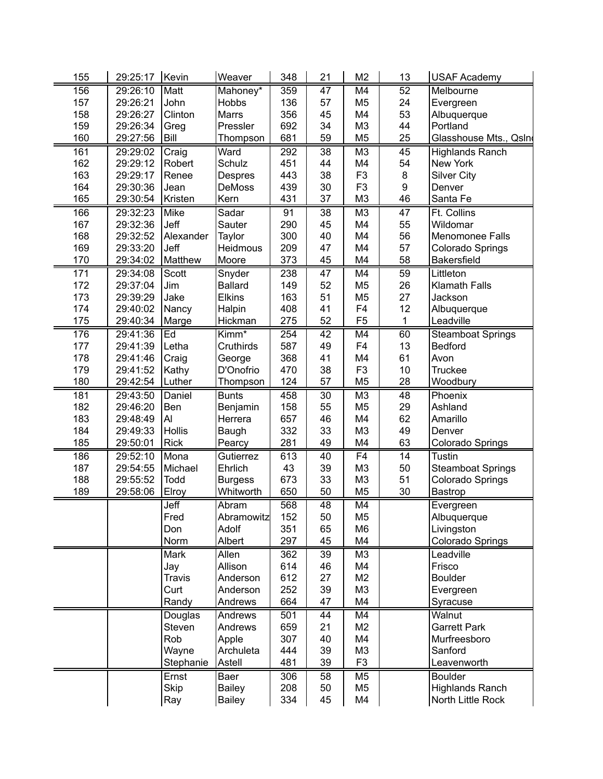| 156<br>29:26:10<br>Matt<br>359<br>47<br>M4<br>52<br>Mahoney*<br>157<br>John<br><b>Hobbs</b><br>136<br>M <sub>5</sub><br>29:26:21<br>57<br>24<br>158<br>Clinton<br><b>Marrs</b><br>356<br>45<br>M4<br>53<br>29:26:27<br>159<br>692<br>34<br>M <sub>3</sub><br>44<br>29:26:34<br>Pressler<br>Greg<br>160<br>681<br>59<br>M <sub>5</sub><br>25<br><b>Bill</b><br>29:27:56<br>Thompson | Melbourne                |
|------------------------------------------------------------------------------------------------------------------------------------------------------------------------------------------------------------------------------------------------------------------------------------------------------------------------------------------------------------------------------------|--------------------------|
|                                                                                                                                                                                                                                                                                                                                                                                    |                          |
|                                                                                                                                                                                                                                                                                                                                                                                    | Evergreen                |
|                                                                                                                                                                                                                                                                                                                                                                                    | Albuquerque              |
|                                                                                                                                                                                                                                                                                                                                                                                    | Portland                 |
|                                                                                                                                                                                                                                                                                                                                                                                    | Glasshouse Mts., Qsln    |
| 161<br>Craig<br>Ward<br>292<br>38<br>M <sub>3</sub><br>45<br>29:29:02                                                                                                                                                                                                                                                                                                              | <b>Highlands Ranch</b>   |
| 162<br>Robert<br>Schulz<br>54<br>29:29:12<br>451<br>44<br>M4                                                                                                                                                                                                                                                                                                                       | New York                 |
| 163<br>Renee<br>38<br>F <sub>3</sub><br>8<br>29:29:17<br>Despres<br>443                                                                                                                                                                                                                                                                                                            | <b>Silver City</b>       |
| 30<br>F <sub>3</sub><br>9<br>164<br>29:30:36<br>DeMoss<br>439<br>Jean                                                                                                                                                                                                                                                                                                              | Denver                   |
| 165<br>Kristen<br>37<br>46<br>29:30:54<br>Kern<br>431<br>M <sub>3</sub>                                                                                                                                                                                                                                                                                                            | Santa Fe                 |
| 166<br>Sadar<br>38<br>M <sub>3</sub><br>47<br>29:32:23<br>Mike<br>91                                                                                                                                                                                                                                                                                                               | Ft. Collins              |
| 167<br>Jeff<br>290<br>45<br>55<br>29:32:36<br>Sauter<br>M4                                                                                                                                                                                                                                                                                                                         | Wildomar                 |
| 168<br>300<br>40<br>56<br>29:32:52<br>Alexander<br>Taylor<br>M4                                                                                                                                                                                                                                                                                                                    | Menomonee Falls          |
| Jeff<br>169<br>29:33:20<br>Heidmous<br>209<br>47<br>M4<br>57                                                                                                                                                                                                                                                                                                                       | Colorado Springs         |
| 170<br>29:34:02<br>Matthew<br>373<br>45<br>M4<br>58<br>Moore                                                                                                                                                                                                                                                                                                                       | <b>Bakersfield</b>       |
| 171<br>M4<br>59<br>29:34:08<br>Scott<br>Snyder<br>238<br>47                                                                                                                                                                                                                                                                                                                        | Littleton                |
| 172<br>52<br>26<br><b>Ballard</b><br>149<br>M <sub>5</sub><br>29:37:04<br>Jim                                                                                                                                                                                                                                                                                                      | Klamath Falls            |
| 173<br>29:39:29<br>Jake<br>163<br>51<br>M <sub>5</sub><br>27<br><b>Elkins</b>                                                                                                                                                                                                                                                                                                      | Jackson                  |
| 174<br>408<br>41<br>F <sub>4</sub><br>12<br>29:40:02<br>Nancy<br>Halpin                                                                                                                                                                                                                                                                                                            | Albuquerque              |
| 52<br>F <sub>5</sub><br>1<br>175<br>29:40:34<br>Hickman<br>275<br>Marge                                                                                                                                                                                                                                                                                                            | Leadville                |
| 60<br>176<br>29:41:36<br>Ed<br>Kimm*<br>254<br>42<br>M4                                                                                                                                                                                                                                                                                                                            | <b>Steamboat Springs</b> |
| 13<br>177<br>Letha<br>587<br>49<br>F <sub>4</sub><br>29:41:39<br>Cruthirds                                                                                                                                                                                                                                                                                                         | <b>Bedford</b>           |
| 178<br>368<br>41<br>M4<br>61<br>29:41:46<br>Craig<br>Avon<br>George                                                                                                                                                                                                                                                                                                                |                          |
| 179<br>D'Onofrio<br>470<br>38<br>F <sub>3</sub><br>10<br>29:41:52<br>Kathy                                                                                                                                                                                                                                                                                                         | <b>Truckee</b>           |
| 180<br>29:42:54<br>124<br>57<br>M <sub>5</sub><br>28<br>Luther<br>Thompson                                                                                                                                                                                                                                                                                                         | Woodbury                 |
| 30<br>48<br>181<br>29:43:50<br>Daniel<br><b>Bunts</b><br>458<br>M <sub>3</sub>                                                                                                                                                                                                                                                                                                     | Phoenix                  |
| 55<br>29<br>Ben                                                                                                                                                                                                                                                                                                                                                                    | Ashland                  |
| 182<br>29:46:20<br>Benjamin<br>158<br>M <sub>5</sub><br>Al<br>46<br>62                                                                                                                                                                                                                                                                                                             |                          |
| 183<br>29:48:49<br>Herrera<br>657<br>M4<br><b>Hollis</b><br>332<br>33<br>49                                                                                                                                                                                                                                                                                                        | Amarillo                 |
| 184<br>29:49:33<br>M <sub>3</sub><br>Baugh<br>63<br>49                                                                                                                                                                                                                                                                                                                             | Denver                   |
| 185<br>29:50:01<br>Rick<br>281<br>M4<br>Pearcy                                                                                                                                                                                                                                                                                                                                     | <b>Colorado Springs</b>  |
| F <sub>4</sub><br>186<br>29:52:10<br>Mona<br>613<br>40<br>14<br>Gutierrez                                                                                                                                                                                                                                                                                                          | <b>Tustin</b>            |
| 187<br>Michael<br>Ehrlich<br>43<br>39<br>M <sub>3</sub><br>50<br>29:54:55                                                                                                                                                                                                                                                                                                          | Steamboat Springs        |
| 188<br>673<br>33<br>M <sub>3</sub><br>51<br>29:55:52<br>Todd<br><b>Burgess</b>                                                                                                                                                                                                                                                                                                     | Colorado Springs         |
| 189<br>50<br>M <sub>5</sub><br>30<br>29:58:06<br>Elroy<br>Whitworth<br>650                                                                                                                                                                                                                                                                                                         | Bastrop                  |
|                                                                                                                                                                                                                                                                                                                                                                                    | Evergreen                |
| Jeff<br>568<br>48<br>M4<br>Abram                                                                                                                                                                                                                                                                                                                                                   | Albuquerque              |
| Fred<br>Abramowitz<br>152<br>50<br>M <sub>5</sub>                                                                                                                                                                                                                                                                                                                                  |                          |
| 65<br>Don<br>Adolf<br>351<br>M <sub>6</sub>                                                                                                                                                                                                                                                                                                                                        | Livingston               |
| Norm<br>Albert<br>297<br>45<br>M4                                                                                                                                                                                                                                                                                                                                                  | Colorado Springs         |
| Allen<br>39<br>Mark<br>362<br>M <sub>3</sub>                                                                                                                                                                                                                                                                                                                                       | Leadville                |
| Jay<br>Allison<br>614<br>46<br>M4                                                                                                                                                                                                                                                                                                                                                  | Frisco                   |
| 27<br><b>Travis</b><br>Anderson<br>612<br>M <sub>2</sub>                                                                                                                                                                                                                                                                                                                           | <b>Boulder</b>           |
| 252<br>39<br>Curt<br>Anderson<br>M <sub>3</sub>                                                                                                                                                                                                                                                                                                                                    | Evergreen                |
| 664<br>47<br>M4<br>Randy<br>Andrews                                                                                                                                                                                                                                                                                                                                                | Syracuse                 |
| Douglas<br>501<br>44<br>M4<br>Andrews                                                                                                                                                                                                                                                                                                                                              | Walnut                   |
| M <sub>2</sub><br>Steven<br>Andrews<br>659<br>21                                                                                                                                                                                                                                                                                                                                   | Garrett Park             |
| Rob<br>Apple<br>307<br>40<br>M4                                                                                                                                                                                                                                                                                                                                                    | Murfreesboro             |
| 39<br>Wayne<br>Archuleta<br>444<br>M <sub>3</sub>                                                                                                                                                                                                                                                                                                                                  | Sanford                  |
| F <sub>3</sub><br>Astell<br>481<br>39<br>Stephanie                                                                                                                                                                                                                                                                                                                                 | Leavenworth              |
| Ernst<br>306<br>M <sub>5</sub><br>Baer<br>58                                                                                                                                                                                                                                                                                                                                       | <b>Boulder</b>           |
| Skip<br>Bailey<br>208<br>50<br>M <sub>5</sub>                                                                                                                                                                                                                                                                                                                                      | <b>Highlands Ranch</b>   |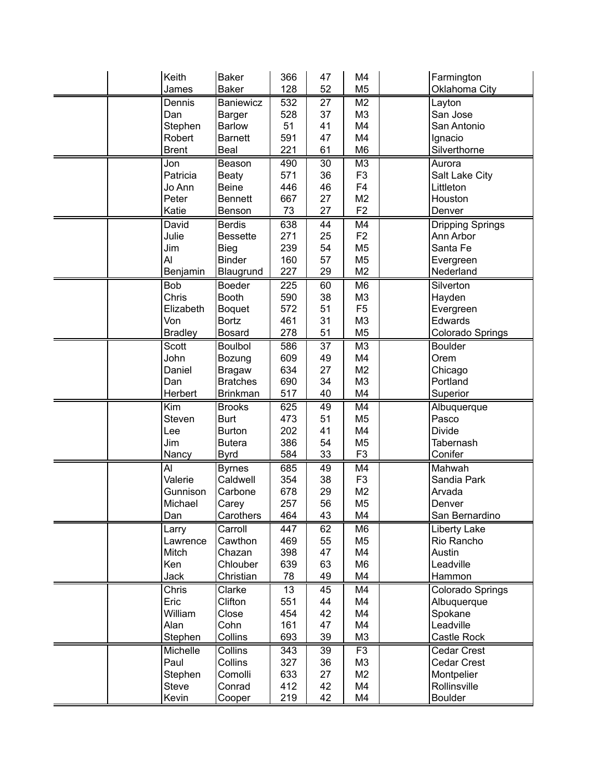| Keith          | <b>Baker</b>    | 366 | 47 | M4             | Farmington              |
|----------------|-----------------|-----|----|----------------|-------------------------|
| James          | <b>Baker</b>    | 128 | 52 | M <sub>5</sub> | Oklahoma City           |
| Dennis         | Baniewicz       | 532 | 27 | M <sub>2</sub> | Layton                  |
| Dan            | Barger          | 528 | 37 | M <sub>3</sub> | San Jose                |
| Stephen        | <b>Barlow</b>   | 51  | 41 | M4             | San Antonio             |
| Robert         | <b>Barnett</b>  | 591 | 47 | M4             | Ignacio                 |
| <b>Brent</b>   | Beal            | 221 | 61 | M <sub>6</sub> | Silverthorne            |
| Jon            | Beason          | 490 | 30 | M <sub>3</sub> | Aurora                  |
| Patricia       | <b>Beaty</b>    | 571 | 36 | F <sub>3</sub> | Salt Lake City          |
| Jo Ann         | <b>Beine</b>    | 446 | 46 | F <sub>4</sub> | Littleton               |
| Peter          | <b>Bennett</b>  | 667 | 27 | M <sub>2</sub> | Houston                 |
| Katie          | Benson          | 73  | 27 | F <sub>2</sub> | Denver                  |
| David          | <b>Berdis</b>   | 638 | 44 | M4             | <b>Dripping Springs</b> |
| Julie          | <b>Bessette</b> | 271 | 25 | F <sub>2</sub> | Ann Arbor               |
| Jim            | <b>Bieg</b>     | 239 | 54 | M <sub>5</sub> | Santa Fe                |
| Al             | <b>Binder</b>   | 160 | 57 | M <sub>5</sub> | Evergreen               |
| Benjamin       | Blaugrund       | 227 | 29 | M <sub>2</sub> | Nederland               |
| <b>Bob</b>     | <b>Boeder</b>   | 225 | 60 | M <sub>6</sub> | Silverton               |
| Chris          | <b>Booth</b>    | 590 | 38 | M <sub>3</sub> | Hayden                  |
| Elizabeth      | Boquet          | 572 | 51 | F <sub>5</sub> | Evergreen               |
| Von            | <b>Bortz</b>    | 461 | 31 | M <sub>3</sub> | Edwards                 |
| <b>Bradley</b> | <b>Bosard</b>   | 278 | 51 | M <sub>5</sub> | Colorado Springs        |
| Scott          | <b>Boulbol</b>  | 586 | 37 | M <sub>3</sub> | <b>Boulder</b>          |
| John           | Bozung          | 609 | 49 | M4             | Orem                    |
| Daniel         | <b>Bragaw</b>   | 634 | 27 | M <sub>2</sub> | Chicago                 |
| Dan            | <b>Bratches</b> | 690 | 34 | M <sub>3</sub> | Portland                |
| Herbert        | <b>Brinkman</b> | 517 | 40 | M4             | Superior                |
| Kim            | <b>Brooks</b>   | 625 | 49 | M4             | Albuquerque             |
| Steven         | <b>Burt</b>     | 473 | 51 | M <sub>5</sub> | Pasco                   |
| Lee            | <b>Burton</b>   | 202 | 41 | M4             | <b>Divide</b>           |
| Jim            | <b>Butera</b>   | 386 | 54 | M <sub>5</sub> | Tabernash               |
| Nancy          | <b>Byrd</b>     | 584 | 33 | F <sub>3</sub> | Conifer                 |
| Al             | <b>Byrnes</b>   | 685 | 49 | M4             | Mahwah                  |
| Valerie        | Caldwell        | 354 | 38 | F <sub>3</sub> | Sandia Park             |
| Gunnison       | Carbone         | 678 | 29 | M <sub>2</sub> | Arvada                  |
| Michael        | Carey           | 257 | 56 | M <sub>5</sub> | Denver                  |
| Dan            | Carothers       | 464 | 43 | M4             | San Bernardino          |
| Larry          | Carroll         | 447 | 62 | M <sub>6</sub> | Liberty Lake            |
| Lawrence       | Cawthon         | 469 | 55 | M <sub>5</sub> | Rio Rancho              |
| Mitch          | Chazan          | 398 | 47 | M4             | Austin                  |
| Ken            | Chlouber        | 639 | 63 | M <sub>6</sub> | Leadville               |
| Jack           | Christian       | 78  | 49 | M4             | Hammon                  |
| Chris          | Clarke          | 13  | 45 | M4             | Colorado Springs        |
| Eric           | Clifton         | 551 | 44 | M4             | Albuquerque             |
| William        | Close           | 454 | 42 | M4             | Spokane                 |
| Alan           | Cohn            | 161 | 47 | M4             | Leadville               |
| Stephen        | Collins         | 693 | 39 | M <sub>3</sub> | Castle Rock             |
| Michelle       | <b>Collins</b>  | 343 | 39 | F <sub>3</sub> | <b>Cedar Crest</b>      |
| Paul           | Collins         | 327 | 36 | M <sub>3</sub> | Cedar Crest             |
| Stephen        | Comolli         | 633 | 27 | M <sub>2</sub> | Montpelier              |
| <b>Steve</b>   | Conrad          | 412 | 42 | M4             | Rollinsville            |
| Kevin          | Cooper          | 219 | 42 | M4             | <b>Boulder</b>          |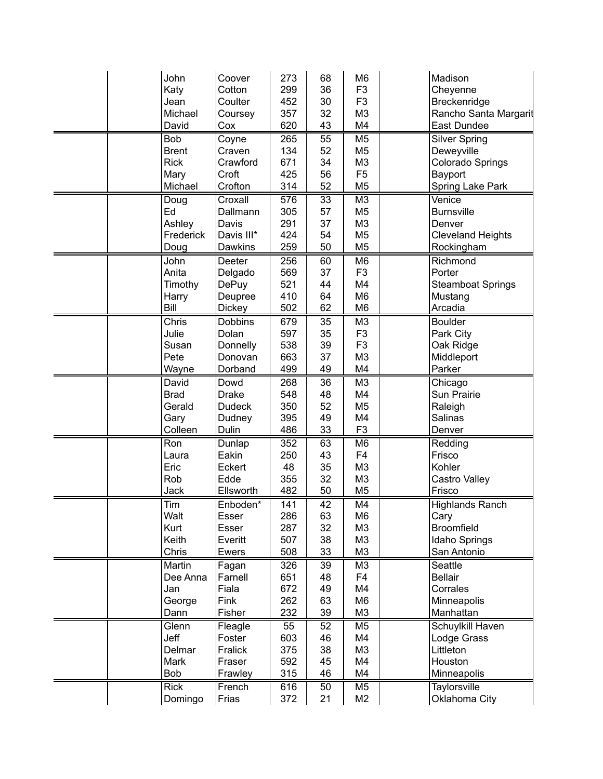| John         | Coover         | 273 | 68              | M <sub>6</sub> | Madison                  |
|--------------|----------------|-----|-----------------|----------------|--------------------------|
| Katy         | Cotton         | 299 | 36              | F <sub>3</sub> | Cheyenne                 |
| Jean         | Coulter        | 452 | 30              | F <sub>3</sub> | Breckenridge             |
| Michael      | Coursey        | 357 | 32              | M <sub>3</sub> | Rancho Santa Margarit    |
| David        | Cox            | 620 | 43              | M4             | East Dundee              |
|              |                |     | 55              |                |                          |
| <b>Bob</b>   | Coyne          | 265 |                 | M <sub>5</sub> | <b>Silver Spring</b>     |
| <b>Brent</b> | Craven         | 134 | 52              | M <sub>5</sub> | Deweyville               |
| <b>Rick</b>  | Crawford       | 671 | 34              | M <sub>3</sub> | Colorado Springs         |
| Mary         | Croft          | 425 | 56              | F <sub>5</sub> | Bayport                  |
| Michael      | Crofton        | 314 | 52              | M <sub>5</sub> | <b>Spring Lake Park</b>  |
| Doug         | Croxall        | 576 | $\overline{33}$ | M <sub>3</sub> | Venice                   |
| Ed           | Dallmann       | 305 | 57              | M <sub>5</sub> | <b>Burnsville</b>        |
| Ashley       | Davis          | 291 | 37              | M <sub>3</sub> | Denver                   |
| Frederick    | Davis III*     | 424 | 54              | M <sub>5</sub> | <b>Cleveland Heights</b> |
| Doug         | Dawkins        | 259 | 50              | M <sub>5</sub> | Rockingham               |
| John         | Deeter         | 256 | 60              | M <sub>6</sub> | Richmond                 |
| Anita        | Delgado        | 569 | 37              | F <sub>3</sub> | Porter                   |
| Timothy      | <b>DePuy</b>   | 521 | 44              | M4             | <b>Steamboat Springs</b> |
| Harry        | Deupree        | 410 | 64              | M <sub>6</sub> | Mustang                  |
| Bill         | <b>Dickey</b>  | 502 | 62              | M <sub>6</sub> | Arcadia                  |
| <b>Chris</b> | <b>Dobbins</b> | 679 | 35              | M <sub>3</sub> | <b>Boulder</b>           |
| Julie        | Dolan          | 597 | 35              | F <sub>3</sub> | Park City                |
| Susan        | Donnelly       | 538 | 39              | F <sub>3</sub> | Oak Ridge                |
| Pete         | Donovan        | 663 | 37              | M <sub>3</sub> | Middleport               |
| Wayne        | Dorband        | 499 | 49              | M4             | Parker                   |
| David        | Dowd           | 268 | 36              | M <sub>3</sub> | Chicago                  |
| <b>Brad</b>  | <b>Drake</b>   | 548 | 48              | M4             | Sun Prairie              |
| Gerald       | <b>Dudeck</b>  | 350 | 52              | M <sub>5</sub> | Raleigh                  |
| Gary         | Dudney         | 395 | 49              | M4             | Salinas                  |
| Colleen      | Dulin          | 486 | 33              | F <sub>3</sub> | Denver                   |
| Ron          | Dunlap         | 352 | 63              | M <sub>6</sub> | Redding                  |
| Laura        | Eakin          | 250 | 43              | F <sub>4</sub> | Frisco                   |
| Eric         | Eckert         | 48  | 35              | M <sub>3</sub> | Kohler                   |
| Rob          | Edde           | 355 | 32              | M <sub>3</sub> |                          |
| Jack         |                | 482 |                 | M <sub>5</sub> | Castro Valley<br>Frisco  |
|              | Ellsworth      |     | 50              |                |                          |
| Tim          | Enboden*       | 141 | $\overline{42}$ | M4             | <b>Highlands Ranch</b>   |
| Walt         | Esser          | 286 | 63              | M6             | Cary                     |
| Kurt         | Esser          | 287 | 32              | M <sub>3</sub> | <b>Broomfield</b>        |
| Keith        | Everitt        | 507 | 38              | M <sub>3</sub> | Idaho Springs            |
| Chris        | Ewers          | 508 | 33              | M <sub>3</sub> | San Antonio              |
| Martin       | Fagan          | 326 | 39              | M <sub>3</sub> | Seattle                  |
| Dee Anna     | Farnell        | 651 | 48              | F <sub>4</sub> | <b>Bellair</b>           |
| Jan          | Fiala          | 672 | 49              | M4             | Corrales                 |
| George       | Fink           | 262 | 63              | M6             | Minneapolis              |
| Dann         | Fisher         | 232 | 39              | M <sub>3</sub> | Manhattan                |
| Glenn        | Fleagle        | 55  | 52              | M <sub>5</sub> | Schuylkill Haven         |
| Jeff         | Foster         | 603 | 46              | M4             | Lodge Grass              |
| Delmar       | Fralick        | 375 | 38              | M3             | Littleton                |
| Mark         | Fraser         | 592 | 45              | M4             | Houston                  |
| <b>Bob</b>   | Frawley        | 315 | 46              | M4             | Minneapolis              |
| <b>Rick</b>  | French         | 616 | 50              | M <sub>5</sub> | Taylorsville             |
| Domingo      | Frias          | 372 | 21              | M <sub>2</sub> | Oklahoma City            |
|              |                |     |                 |                |                          |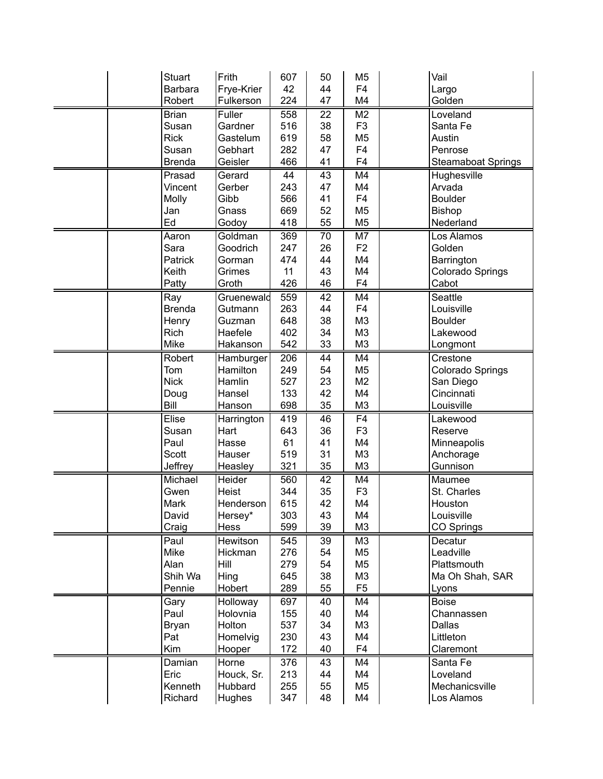|  | <b>Stuart</b>  | Frith              | 607              | 50       | M <sub>5</sub>       | Vail                      |
|--|----------------|--------------------|------------------|----------|----------------------|---------------------------|
|  | <b>Barbara</b> | Frye-Krier         | 42               | 44       | F <sub>4</sub>       | Largo                     |
|  | Robert         | Fulkerson          | 224              | 47       | M4                   | Golden                    |
|  | <b>Brian</b>   | Fuller             | 558              | 22       | M <sub>2</sub>       | Loveland                  |
|  | Susan          | Gardner            | 516              | 38       | F <sub>3</sub>       | Santa Fe                  |
|  | <b>Rick</b>    | Gastelum           | 619              | 58       | M <sub>5</sub>       | Austin                    |
|  | Susan          | Gebhart            | 282              | 47       | F <sub>4</sub>       | Penrose                   |
|  | <b>Brenda</b>  | Geisler            | 466              | 41       | F <sub>4</sub>       | <b>Steamaboat Springs</b> |
|  | Prasad         | Gerard             | 44               | 43       | M4                   | Hughesville               |
|  | Vincent        | Gerber             | 243              | 47       | M4                   | Arvada                    |
|  | Molly          | Gibb               | 566              | 41       | F <sub>4</sub>       | <b>Boulder</b>            |
|  | Jan            | Gnass              | 669              | 52       | M <sub>5</sub>       | Bishop                    |
|  | Ed             | Godoy              | 418              | 55       | M <sub>5</sub>       | Nederland                 |
|  | Aaron          | Goldman            | 369              | 70       | M7                   | Los Alamos                |
|  | Sara           | Goodrich           | 247              | 26       | F <sub>2</sub>       | Golden                    |
|  | Patrick        | Gorman             | 474              | 44       | M4                   | Barrington                |
|  | Keith          | Grimes             | 11               | 43       | M4                   | Colorado Springs          |
|  | Patty          | Groth              | 426              | 46       | F <sub>4</sub>       | Cabot                     |
|  | Ray            | Gruenewald         | 559              | 42       | M4                   | Seattle                   |
|  | <b>Brenda</b>  | Gutmann            | 263              | 44       | F <sub>4</sub>       | Louisville                |
|  | Henry          | Guzman             | 648              | 38       | M <sub>3</sub>       | <b>Boulder</b>            |
|  | <b>Rich</b>    | Haefele            | 402              | 34       | M <sub>3</sub>       | Lakewood                  |
|  | Mike           | Hakanson           | 542              | 33       | M <sub>3</sub>       | Longmont                  |
|  | Robert         | Hamburger          | $\overline{206}$ | 44       | M4                   | Crestone                  |
|  | Tom            | Hamilton           | 249              | 54       | M <sub>5</sub>       | Colorado Springs          |
|  | <b>Nick</b>    | Hamlin             | 527              | 23       | M <sub>2</sub>       | San Diego                 |
|  | Doug           | Hansel             | 133              | 42       | M4                   | Cincinnati                |
|  | Bill           | Hanson             | 698              | 35       | M <sub>3</sub>       | Louisville                |
|  | Elise          |                    | 419              | 46       | F <sub>4</sub>       | Lakewood                  |
|  | Susan          | Harrington<br>Hart | 643              | 36       | F <sub>3</sub>       | Reserve                   |
|  | Paul           | Hasse              | 61               | 41       | M4                   | Minneapolis               |
|  | Scott          | Hauser             | 519              | 31       | M <sub>3</sub>       | Anchorage                 |
|  | Jeffrey        | Heasley            | 321              | 35       | M <sub>3</sub>       | Gunnison                  |
|  | Michael        | Heider             | 560              | 42       | M4                   | Maumee                    |
|  | Gwen           | Heist              | 344              | 35       | F <sub>3</sub>       | St. Charles               |
|  | Mark           | Henderson          | 615              | 42       | M4                   | Houston                   |
|  | David          |                    | 303              | 43       | M4                   | Louisville                |
|  | Craig          | Hersey*<br>Hess    | 599              | 39       | M <sub>3</sub>       | CO Springs                |
|  | Paul           | Hewitson           |                  |          | M <sub>3</sub>       | Decatur                   |
|  | Mike           | Hickman            | 545<br>276       | 39<br>54 | M <sub>5</sub>       | Leadville                 |
|  | Alan           | Hill               | 279              | 54       | M <sub>5</sub>       | Plattsmouth               |
|  | Shih Wa        |                    | 645              | 38       | M <sub>3</sub>       |                           |
|  | Pennie         | Hing<br>Hobert     | 289              | 55       | F <sub>5</sub>       | Ma Oh Shah, SAR<br>Lyons  |
|  |                |                    |                  |          |                      |                           |
|  | Gary           | Holloway           | 697              | 40       | M4                   | <b>Boise</b>              |
|  | Paul           | Holovnia<br>Holton | 155<br>537       | 40       | M4<br>M <sub>3</sub> | Channassen<br>Dallas      |
|  | <b>Bryan</b>   |                    |                  | 34       |                      |                           |
|  | Pat<br>Kim     | Homelvig           | 230              | 43       | M4<br>F4             | Littleton                 |
|  |                | Hooper             | 172              | 40       |                      | Claremont                 |
|  | Damian         | Horne              | 376              | 43       | M4                   | Santa Fe                  |
|  | Eric           | Houck, Sr.         | 213              | 44       | M4                   | Loveland                  |
|  | Kenneth        | Hubbard            | 255              | 55       | M <sub>5</sub>       | Mechanicsville            |
|  | Richard        | Hughes             | 347              | 48       | M4                   | Los Alamos                |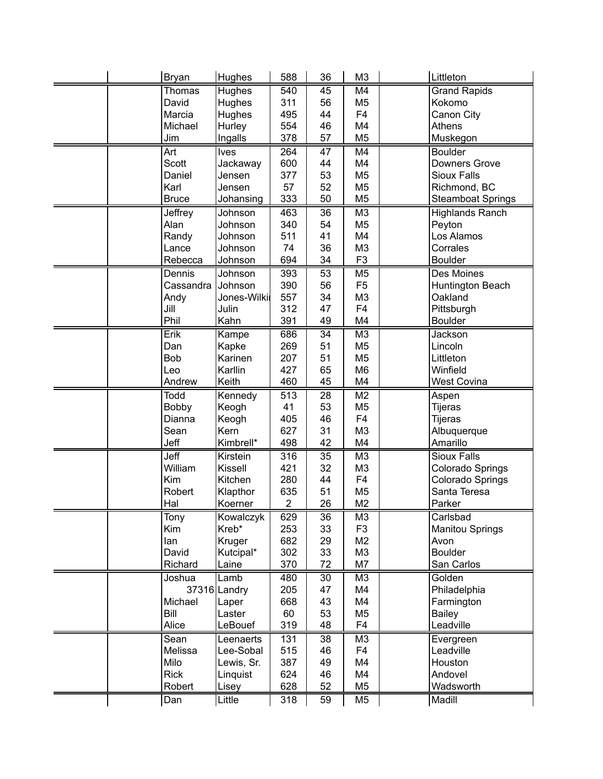|  | <b>Bryan</b> | Hughes        | 588            | 36              | M <sub>3</sub>       | Littleton                |
|--|--------------|---------------|----------------|-----------------|----------------------|--------------------------|
|  | Thomas       | Hughes        | 540            | 45              | M4                   | <b>Grand Rapids</b>      |
|  | David        | <b>Hughes</b> | 311            | 56              | M <sub>5</sub>       | Kokomo                   |
|  | Marcia       | Hughes        | 495            | 44              | F <sub>4</sub>       | Canon City               |
|  | Michael      | Hurley        | 554            | 46              | M4                   | Athens                   |
|  | Jim          | Ingalls       | 378            | 57              | M <sub>5</sub>       | Muskegon                 |
|  | Art          | Ives          | 264            | 47              | M4                   | <b>Boulder</b>           |
|  | Scott        | Jackaway      | 600            | 44              | M4                   | Downers Grove            |
|  | Daniel       | Jensen        | 377            | 53              | M <sub>5</sub>       | <b>Sioux Falls</b>       |
|  | Karl         | Jensen        | 57             | 52              | M <sub>5</sub>       | Richmond, BC             |
|  | <b>Bruce</b> | Johansing     | 333            | 50              | M <sub>5</sub>       | <b>Steamboat Springs</b> |
|  | Jeffrey      | Johnson       | 463            | 36              | M <sub>3</sub>       | <b>Highlands Ranch</b>   |
|  | Alan         | Johnson       | 340            | 54              | M <sub>5</sub>       | Peyton                   |
|  | Randy        | Johnson       | 511            | 41              | M4                   | Los Alamos               |
|  | Lance        | Johnson       | 74             | 36              | M <sub>3</sub>       | Corrales                 |
|  | Rebecca      | Johnson       | 694            | 34              | F <sub>3</sub>       | <b>Boulder</b>           |
|  | Dennis       | Johnson       | 393            | 53              | M <sub>5</sub>       | Des Moines               |
|  | Cassandra    | Johnson       | 390            | 56              | F <sub>5</sub>       | Huntington Beach         |
|  | Andy         | Jones-Wilki   | 557            | 34              | M <sub>3</sub>       | Oakland                  |
|  | Jill         | Julin         | 312            | 47              | F4                   | Pittsburgh               |
|  | Phil         | Kahn          | 391            | 49              | M4                   | <b>Boulder</b>           |
|  | Erik         | Kampe         | 686            | $\overline{34}$ | M <sub>3</sub>       | Jackson                  |
|  | Dan          | Kapke         | 269            | 51              | M <sub>5</sub>       | Lincoln                  |
|  | <b>Bob</b>   | Karinen       | 207            | 51              | M <sub>5</sub>       | Littleton                |
|  | Leo          | Karllin       | 427            | 65              | M <sub>6</sub>       | Winfield                 |
|  | Andrew       | Keith         | 460            | 45              | M4                   | West Covina              |
|  |              |               |                |                 |                      |                          |
|  | Todd         |               | 513            | 28              | M <sub>2</sub>       |                          |
|  |              | Kennedy       |                |                 |                      | Aspen                    |
|  | Bobby        | Keogh         | 41             | 53              | M <sub>5</sub>       | Tijeras                  |
|  | Dianna       | Keogh<br>Kern | 405            | 46              | F <sub>4</sub>       | Tijeras                  |
|  | Sean<br>Jeff | Kimbrell*     | 627<br>498     | 31<br>42        | M <sub>3</sub><br>M4 | Albuquerque<br>Amarillo  |
|  | Jeff         | Kirstein      | 316            | 35              | M <sub>3</sub>       | <b>Sioux Falls</b>       |
|  | William      | Kissell       | 421            | 32              | M <sub>3</sub>       | Colorado Springs         |
|  | Kim          | Kitchen       | 280            | 44              | F <sub>4</sub>       | Colorado Springs         |
|  | Robert       | Klapthor      | 635            | 51              | M <sub>5</sub>       | Santa Teresa             |
|  | Hal          | Koerner       | $\overline{2}$ | 26              | M <sub>2</sub>       | Parker                   |
|  | Tony         | Kowalczyk     | 629            | 36              | M <sub>3</sub>       | Carlsbad                 |
|  | Kim          | Kreb*         | 253            | 33              | F <sub>3</sub>       | <b>Manitou Springs</b>   |
|  | lan          | Kruger        | 682            | 29              | M2                   | Avon                     |
|  | David        | Kutcipal*     | 302            | 33              | M <sub>3</sub>       | <b>Boulder</b>           |
|  | Richard      | Laine         | 370            | 72              | M7                   | San Carlos               |
|  | Joshua       | Lamb          | 480            | 30              | M <sub>3</sub>       | Golden                   |
|  |              | 37316 Landry  | 205            | 47              | M4                   | Philadelphia             |
|  | Michael      | Laper         | 668            | 43              | M4                   | Farmington               |
|  | Bill         | Laster        | 60             | 53              | M <sub>5</sub>       | <b>Bailey</b>            |
|  | Alice        | LeBouef       | 319            | 48              | F <sub>4</sub>       | Leadville                |
|  | Sean         | Leenaerts     | 131            | 38              | M <sub>3</sub>       | Evergreen                |
|  | Melissa      | Lee-Sobal     | 515            | 46              | F4                   | Leadville                |
|  | Milo         | Lewis, Sr.    | 387            | 49              | M4                   | Houston                  |
|  | <b>Rick</b>  | Linquist      | 624            | 46              | M4                   | Andovel                  |
|  | Robert       | Lisey         | 628            | 52              | M <sub>5</sub>       | Wadsworth                |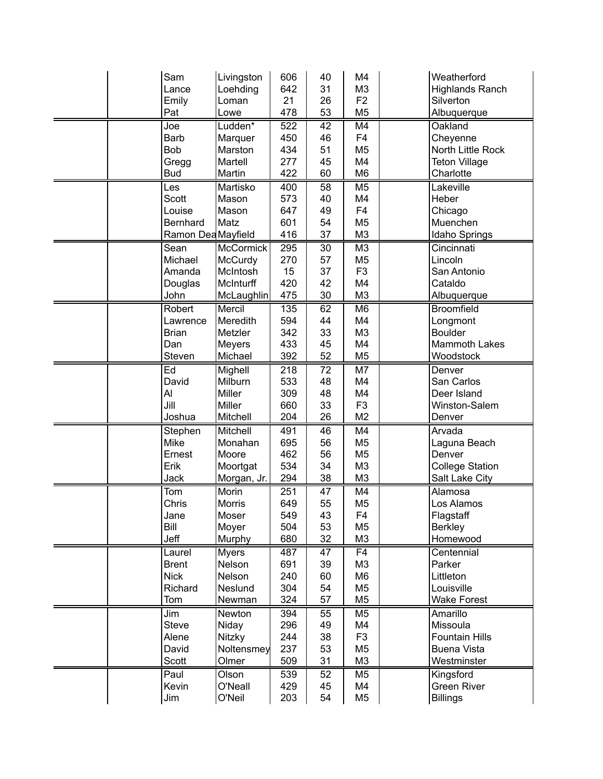| Sam                         | Livingston             | 606        | 40       | M4                               | Weatherford                |
|-----------------------------|------------------------|------------|----------|----------------------------------|----------------------------|
| Lance                       | Loehding               | 642        | 31       | M <sub>3</sub>                   | <b>Highlands Ranch</b>     |
| Emily                       | Loman                  | 21         | 26       | F <sub>2</sub>                   | Silverton                  |
| Pat                         | Lowe                   | 478        | 53       | M <sub>5</sub>                   | Albuquerque                |
| Joe                         | Ludden <sup>*</sup>    | 522        | 42       | M4                               | Oakland                    |
| <b>Barb</b>                 | Marquer                | 450        | 46       | F <sub>4</sub>                   | Cheyenne                   |
| <b>Bob</b>                  | Marston                | 434        | 51       | M <sub>5</sub>                   | North Little Rock          |
| Gregg                       | Martell                | 277        | 45       | M4                               | <b>Teton Village</b>       |
| <b>Bud</b>                  | Martin                 | 422        | 60       | M <sub>6</sub>                   | Charlotte                  |
| Les                         | Martisko               | 400        | 58       | M <sub>5</sub>                   | Lakeville                  |
| Scott                       | Mason                  | 573        | 40       | M4                               | Heber                      |
| Louise                      | Mason                  | 647        | 49       | F <sub>4</sub>                   | Chicago                    |
| Bernhard                    | Matz                   | 601        | 54       | M <sub>5</sub>                   | Muenchen                   |
| Ramon Dea Mayfield          |                        | 416        | 37       | M <sub>3</sub>                   | Idaho Springs              |
| Sean                        | McCormick              | 295        | 30       | M <sub>3</sub>                   | Cincinnati                 |
| Michael                     | McCurdy                | 270        | 57       | M <sub>5</sub>                   | Lincoln                    |
| Amanda                      | McIntosh               | 15         | 37       | F <sub>3</sub>                   | San Antonio                |
| Douglas                     | McInturff              | 420        | 42       | M4                               | Cataldo                    |
| John                        | McLaughlin             | 475        | 30       | M <sub>3</sub>                   | Albuquerque                |
| Robert                      | Mercil                 | 135        | 62       | M <sub>6</sub>                   | <b>Broomfield</b>          |
| Lawrence                    | Meredith               | 594        | 44       | M4                               | Longmont                   |
| <b>Brian</b>                | Metzler                | 342        | 33       | M <sub>3</sub>                   | <b>Boulder</b>             |
| Dan                         | <b>Meyers</b>          | 433        | 45       | M4                               | <b>Mammoth Lakes</b>       |
| Steven                      | Michael                | 392        | 52       | M <sub>5</sub>                   | Woodstock                  |
| Ed                          | Mighell                | 218        | 72       | M7                               | Denver                     |
| David                       | Milburn                | 533        | 48       | M4                               | San Carlos                 |
| Al                          | Miller                 | 309        | 48       | M4                               | Deer Island                |
| Jill                        | Miller                 | 660        | 33       | F <sub>3</sub>                   | Winston-Salem              |
| Joshua                      | Mitchell               | 204        | 26       | M <sub>2</sub>                   | Denver                     |
| Stephen                     | Mitchell               | 491        | 46       | M4                               | Arvada                     |
| Mike                        | Monahan                | 695        | 56       | M <sub>5</sub>                   | Laguna Beach               |
| Ernest                      | Moore                  | 462        | 56       | M <sub>5</sub>                   | Denver                     |
| Erik                        | Moortgat               | 534        | 34       | M <sub>3</sub>                   | <b>College Station</b>     |
| Jack                        | Morgan, Jr.            | 294        | 38       | M <sub>3</sub>                   | <b>Salt Lake City</b>      |
| $\overline{T}$ om           | Morin                  | 251        | 47       | M4                               | Alamosa                    |
| Chris                       | <b>Morris</b>          | 649        | 55       | M <sub>5</sub>                   | Los Alamos                 |
| Jane                        | Moser                  | 549        | 43       | F <sub>4</sub>                   | Flagstaff                  |
| Bill<br>Jeff                | Moyer                  | 504<br>680 | 53<br>32 | M <sub>5</sub><br>M <sub>3</sub> | <b>Berkley</b><br>Homewood |
|                             | Murphy                 |            |          |                                  |                            |
| Laurel                      | <b>Myers</b><br>Nelson | 487<br>691 | 47<br>39 | F <sub>4</sub><br>M <sub>3</sub> | Centennial<br>Parker       |
| <b>Brent</b><br><b>Nick</b> | Nelson                 | 240        | 60       | M6                               | Littleton                  |
| Richard                     | Neslund                | 304        | 54       | M <sub>5</sub>                   | Louisville                 |
| Tom                         | Newman                 | 324        | 57       | M <sub>5</sub>                   | <b>Wake Forest</b>         |
| Jim                         | Newton                 | 394        | 55       | M <sub>5</sub>                   | Amarillo                   |
| <b>Steve</b>                | Niday                  | 296        | 49       | M4                               | Missoula                   |
| Alene                       | Nitzky                 | 244        | 38       | F <sub>3</sub>                   | <b>Fountain Hills</b>      |
| David                       | Noltensmey             | 237        | 53       | M <sub>5</sub>                   | <b>Buena Vista</b>         |
| Scott                       | Olmer                  | 509        | 31       | M <sub>3</sub>                   | Westminster                |
| Paul                        | Olson                  | 539        | 52       | M <sub>5</sub>                   | Kingsford                  |
| Kevin                       | O'Neall                | 429        | 45       | M4                               | <b>Green River</b>         |
| Jim                         | O'Neil                 | 203        | 54       | M <sub>5</sub>                   | <b>Billings</b>            |
|                             |                        |            |          |                                  |                            |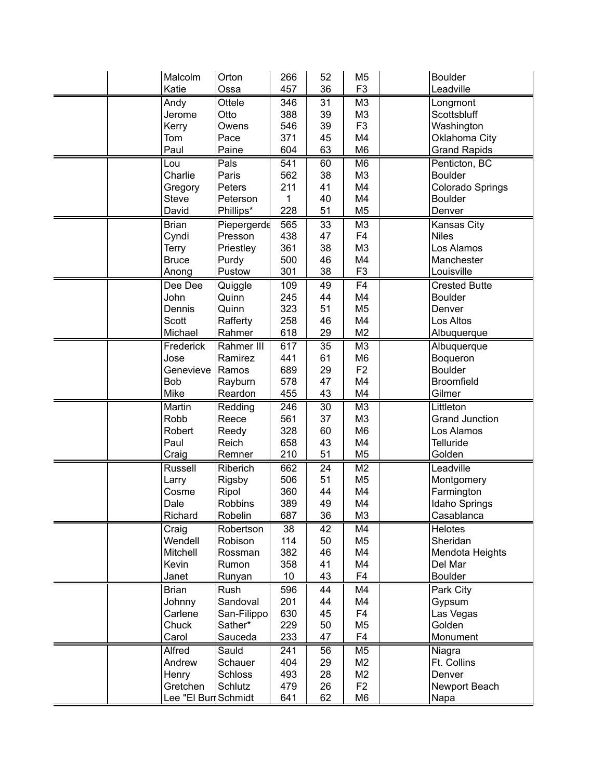| Malcolm              | Orton          | 266 | 52 | M <sub>5</sub> | <b>Boulder</b>        |
|----------------------|----------------|-----|----|----------------|-----------------------|
| Katie                | Ossa           | 457 | 36 | F <sub>3</sub> | Leadville             |
| Andy                 | Ottele         | 346 | 31 | M <sub>3</sub> | Longmont              |
| Jerome               | Otto           | 388 | 39 | M3             | Scottsbluff           |
| Kerry                | Owens          | 546 | 39 | F <sub>3</sub> | Washington            |
| Tom                  | Pace           | 371 | 45 | M4             | Oklahoma City         |
| Paul                 | Paine          | 604 | 63 | M <sub>6</sub> | <b>Grand Rapids</b>   |
| Lou                  | Pals           | 541 | 60 | M <sub>6</sub> | Penticton, BC         |
| Charlie              | Paris          | 562 | 38 | M <sub>3</sub> | <b>Boulder</b>        |
| Gregory              | Peters         | 211 | 41 | M4             | Colorado Springs      |
| Steve                | Peterson       | 1   | 40 | M4             | <b>Boulder</b>        |
| David                | Phillips*      | 228 | 51 | M <sub>5</sub> | Denver                |
| <b>Brian</b>         | Piepergerde    | 565 | 33 | M <sub>3</sub> | Kansas City           |
| Cyndi                | Presson        | 438 | 47 | F <sub>4</sub> | <b>Niles</b>          |
| <b>Terry</b>         | Priestley      | 361 | 38 | M <sub>3</sub> | Los Alamos            |
| <b>Bruce</b>         | Purdy          | 500 | 46 | M4             | Manchester            |
| Anong                | Pustow         | 301 | 38 | F <sub>3</sub> | Louisville            |
| Dee Dee              | Quiggle        | 109 | 49 | F4             | <b>Crested Butte</b>  |
| John                 | Quinn          | 245 | 44 | M4             | <b>Boulder</b>        |
| Dennis               | Quinn          | 323 | 51 | M <sub>5</sub> | Denver                |
| Scott                | Rafferty       | 258 | 46 | M4             | Los Altos             |
| Michael              | Rahmer         | 618 | 29 | M <sub>2</sub> | Albuquerque           |
| Frederick            | Rahmer III     | 617 | 35 | M3             | Albuquerque           |
| Jose                 | Ramirez        | 441 | 61 | M <sub>6</sub> | Boqueron              |
| Genevieve            | Ramos          | 689 | 29 | F <sub>2</sub> | <b>Boulder</b>        |
| <b>Bob</b>           | Rayburn        | 578 | 47 | M4             | <b>Broomfield</b>     |
| Mike                 | Reardon        | 455 | 43 | M4             | Gilmer                |
| Martin               | Redding        | 246 | 30 | M <sub>3</sub> | Littleton             |
| Robb                 | Reece          | 561 | 37 | M <sub>3</sub> | <b>Grand Junction</b> |
| Robert               | Reedy          | 328 | 60 | M <sub>6</sub> | Los Alamos            |
| Paul                 | Reich          | 658 | 43 | M4             | <b>Telluride</b>      |
| Craig                | Remner         | 210 | 51 | M <sub>5</sub> | Golden                |
| Russell              | Riberich       | 662 | 24 | M <sub>2</sub> | Leadville             |
| Larry                | Rigsby         | 506 | 51 | M <sub>5</sub> | Montgomery            |
| Cosme                | Ripol          | 360 | 44 | M4             | Farmington            |
| Dale                 | Robbins        | 389 | 49 | M4             | <b>Idaho Springs</b>  |
| Richard              | Robelin        | 687 | 36 | M <sub>3</sub> | Casablanca            |
| Craig                | Robertson      | 38  | 42 | M4             | <b>Helotes</b>        |
| Wendell              | Robison        | 114 | 50 | M <sub>5</sub> | Sheridan              |
| Mitchell             | Rossman        | 382 | 46 | M4             | Mendota Heights       |
| Kevin                | Rumon          | 358 | 41 | M4             | Del Mar               |
| Janet                | Runyan         | 10  | 43 | F <sub>4</sub> | <b>Boulder</b>        |
| <b>Brian</b>         | Rush           | 596 | 44 | M4             | Park City             |
| Johnny               | Sandoval       | 201 | 44 | M4             | Gypsum                |
| Carlene              | San-Filippo    | 630 | 45 | F <sub>4</sub> | Las Vegas             |
| Chuck                | Sather*        | 229 | 50 | M5             | Golden                |
| Carol                | Sauceda        | 233 | 47 | F4             | Monument              |
| Alfred               | Sauld          | 241 | 56 | M5             | Niagra                |
| Andrew               | Schauer        | 404 | 29 | M <sub>2</sub> | Ft. Collins           |
| Henry                | <b>Schloss</b> | 493 | 28 | M <sub>2</sub> | Denver                |
| Gretchen             | Schlutz        | 479 | 26 | F <sub>2</sub> | Newport Beach         |
| Lee "El Buri Schmidt |                | 641 | 62 | M <sub>6</sub> | Napa                  |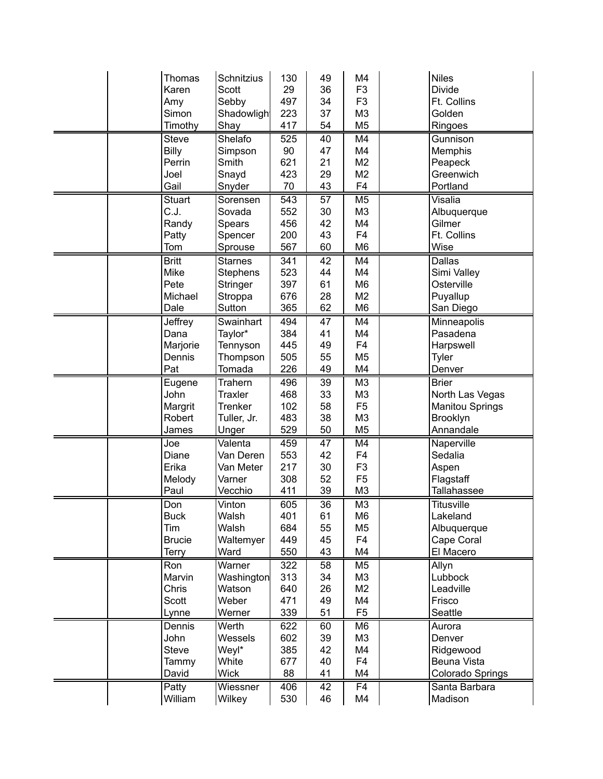|  | <b>Thomas</b>  | Schnitzius     | 130 | 49              | M4              | <b>Niles</b>             |
|--|----------------|----------------|-----|-----------------|-----------------|--------------------------|
|  | Karen          | Scott          | 29  | 36              | F <sub>3</sub>  | <b>Divide</b>            |
|  |                |                |     |                 |                 |                          |
|  | Amy            | Sebby          | 497 | 34              | F <sub>3</sub>  | Ft. Collins              |
|  | Simon          | Shadowligh     | 223 | 37              | M <sub>3</sub>  | Golden                   |
|  | Timothy        | Shay           | 417 | 54              | M <sub>5</sub>  | Ringoes                  |
|  | <b>Steve</b>   | Shelafo        | 525 | 40              | M4              | Gunnison                 |
|  | Billy          | Simpson        | 90  | 47              | M4              | Memphis                  |
|  | Perrin         | Smith          | 621 | 21              | M <sub>2</sub>  | Peapeck                  |
|  | Joel           | Snayd          | 423 | 29              | M <sub>2</sub>  | Greenwich                |
|  | Gail           | Snyder         | 70  | 43              | F <sub>4</sub>  | Portland                 |
|  | <b>Stuart</b>  | Sorensen       | 543 | 57              | M <sub>5</sub>  | Visalia                  |
|  | C.J.           | Sovada         | 552 | 30              | M <sub>3</sub>  | Albuquerque              |
|  | Randy          | Spears         | 456 | 42              | M4              | Gilmer                   |
|  | Patty          | Spencer        | 200 | 43              | F <sub>4</sub>  | Ft. Collins              |
|  | Tom            | Sprouse        | 567 | 60              | M <sub>6</sub>  | Wise                     |
|  |                |                |     |                 |                 |                          |
|  | <b>Britt</b>   | <b>Starnes</b> | 341 | 42              | M4              | <b>Dallas</b>            |
|  | Mike           | Stephens       | 523 | 44              | M4              | Simi Valley              |
|  | Pete           | Stringer       | 397 | 61              | M <sub>6</sub>  | Osterville               |
|  | Michael        | Stroppa        | 676 | 28              | M <sub>2</sub>  | Puyallup                 |
|  | Dale           | Sutton         | 365 | 62              | M <sub>6</sub>  | San Diego                |
|  | <b>Jeffrey</b> | Swainhart      | 494 | 47              | M4              | Minneapolis              |
|  | Dana           | Taylor*        | 384 | 41              | M4              | Pasadena                 |
|  | Marjorie       | Tennyson       | 445 | 49              | F <sub>4</sub>  | Harpswell                |
|  | Dennis         | Thompson       | 505 | 55              | M <sub>5</sub>  | Tyler                    |
|  | Pat            | Tomada         | 226 | 49              | M4              | Denver                   |
|  | Eugene         | Trahern        | 496 | 39              | M <sub>3</sub>  | <b>Brier</b>             |
|  | John           | <b>Traxler</b> | 468 | 33              | M <sub>3</sub>  | North Las Vegas          |
|  | Margrit        | <b>Trenker</b> | 102 | 58              | F <sub>5</sub>  | <b>Manitou Springs</b>   |
|  | Robert         | Tuller, Jr.    | 483 | 38              | M <sub>3</sub>  | Brooklyn                 |
|  | James          | Unger          | 529 | 50              | M <sub>5</sub>  | Annandale                |
|  | Joe            | Valenta        | 459 | 47              | M4              | Naperville               |
|  | Diane          | Van Deren      | 553 | 42              | F <sub>4</sub>  | Sedalia                  |
|  | Erika          | Van Meter      | 217 | 30              | F <sub>3</sub>  | Aspen                    |
|  | Melody         | Varner         | 308 | 52              | F <sub>5</sub>  |                          |
|  |                |                |     |                 |                 | Flagstaff<br>Tallahassee |
|  | Paul           | Vecchio        | 411 | 39              | M <sub>3</sub>  |                          |
|  | Don            | Vinton         | 605 | $\overline{36}$ | $\overline{M3}$ | <b>Titusville</b>        |
|  | <b>Buck</b>    | Walsh          | 401 | 61              | M6              | Lakeland                 |
|  | Tim            | Walsh          | 684 | 55              | M <sub>5</sub>  | Albuquerque              |
|  | <b>Brucie</b>  | Waltemyer      | 449 | 45              | F <sub>4</sub>  | Cape Coral               |
|  | <b>Terry</b>   | Ward           | 550 | 43              | M4              | El Macero                |
|  | Ron            | Warner         | 322 | 58              | M <sub>5</sub>  | Allyn                    |
|  | Marvin         | Washington     | 313 | 34              | M <sub>3</sub>  | Lubbock                  |
|  | Chris          | Watson         | 640 | 26              | M2              | Leadville                |
|  | Scott          | Weber          | 471 | 49              | M4              | Frisco                   |
|  | Lynne          | Werner         | 339 | 51              | F <sub>5</sub>  | Seattle                  |
|  | Dennis         | Werth          | 622 | 60              | M <sub>6</sub>  | Aurora                   |
|  | John           | Wessels        | 602 | 39              | M <sub>3</sub>  | Denver                   |
|  | <b>Steve</b>   | Weyl*          | 385 | 42              | M4              | Ridgewood                |
|  | Tammy          | White          | 677 | 40              | F <sub>4</sub>  | Beuna Vista              |
|  | David          | <b>Wick</b>    | 88  | 41              | M4              | <b>Colorado Springs</b>  |
|  | Patty          | Wiessner       | 406 | 42              | $\overline{F4}$ | Santa Barbara            |
|  | William        | Wilkey         | 530 | 46              | M4              | Madison                  |
|  |                |                |     |                 |                 |                          |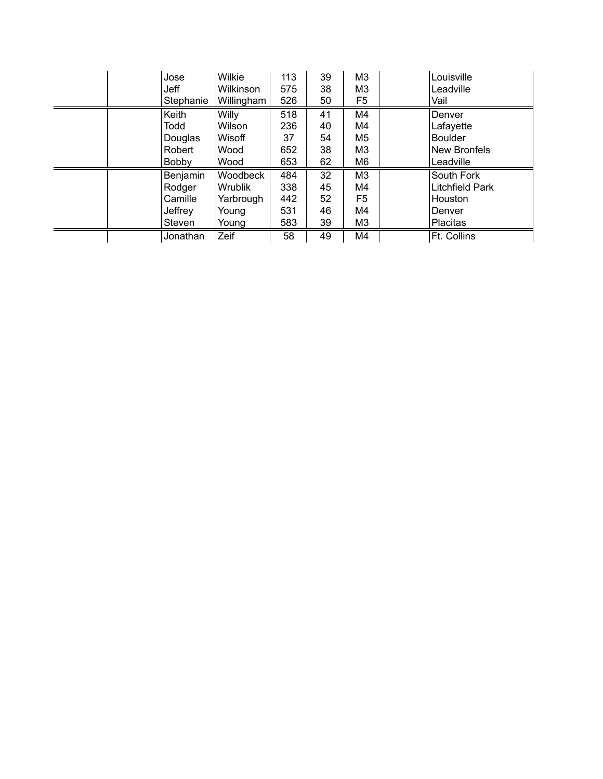| Jose      | Wilkie     | 113 | 39 | M3             | Louisville      |
|-----------|------------|-----|----|----------------|-----------------|
| Jeff      | Wilkinson  | 575 | 38 | M3             | Leadville       |
| Stephanie | Willingham | 526 | 50 | F5             | Vail            |
| Keith     | Willy      | 518 | 41 | M4             | Denver          |
| Todd      | Wilson     | 236 | 40 | M4             | Lafayette       |
| Douglas   | Wisoff     | 37  | 54 | M5             | <b>Boulder</b>  |
| Robert    | Wood       | 652 | 38 | M3             | New Bronfels    |
| Bobby     | Wood       | 653 | 62 | M6             | Leadville       |
| Benjamin  | Woodbeck   | 484 | 32 | M <sub>3</sub> | South Fork      |
| Rodger    | Wrublik    | 338 | 45 | M4             | Litchfield Park |
| Camille   | Yarbrough  | 442 | 52 | F5             | Houston         |
| Jeffrey   | Young      | 531 | 46 | M4             | Denver          |
| Steven    | Young      | 583 | 39 | M3             | Placitas        |
| Jonathan  | Zeif       | 58  | 49 | M4             | Ft. Collins     |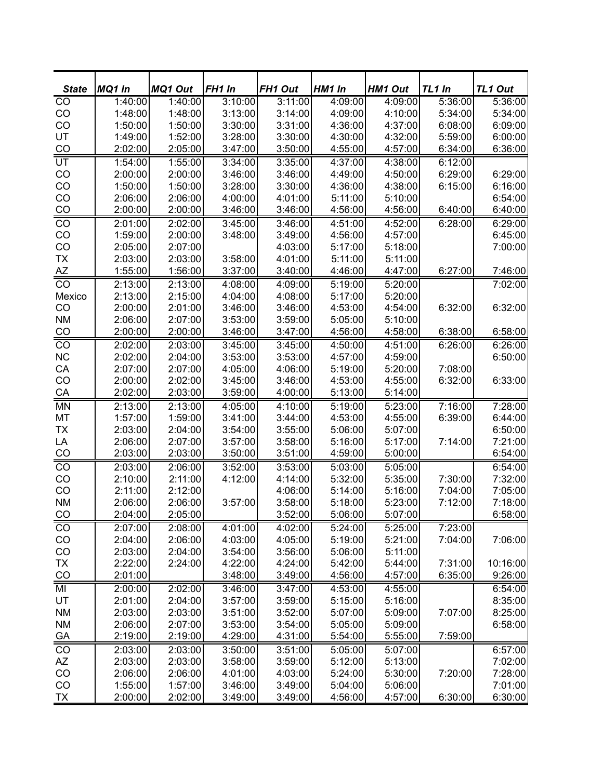| <b>State</b>    | MQ1 In  | <b>MQ1 Out</b> | FH1 In  | FH1 Out | HM1 In  | <b>HM1 Out</b> | TL1 In  | <b>TL1 Out</b> |
|-----------------|---------|----------------|---------|---------|---------|----------------|---------|----------------|
| $\overline{C}$  | 1:40:00 | 1:40:00        | 3:10:00 | 3:11:00 | 4:09:00 | 4:09:00        | 5:36:00 | 5:36:00        |
| CO              | 1:48:00 | 1:48:00        | 3:13:00 | 3:14:00 | 4:09:00 | 4:10:00        | 5:34:00 | 5:34:00        |
| CO              | 1:50:00 | 1:50:00        | 3:30:00 | 3:31:00 | 4:36:00 | 4:37:00        | 6:08:00 | 6:09:00        |
| UT              | 1:49:00 | 1:52:00        | 3:28:00 | 3:30:00 | 4:30:00 | 4:32:00        | 5:59:00 | 6:00:00        |
| CO              | 2:02:00 | 2:05:00        | 3:47:00 | 3:50:00 | 4:55:00 | 4:57:00        | 6:34:00 | 6:36:00        |
| UT              | 1:54:00 | 1:55:00        | 3:34:00 | 3:35:00 | 4:37:00 | 4:38:00        | 6:12:00 |                |
| CO              | 2:00:00 | 2:00:00        | 3:46:00 | 3:46:00 | 4:49:00 | 4:50:00        | 6:29:00 | 6:29:00        |
| CO              | 1:50:00 | 1:50:00        | 3:28:00 | 3:30:00 | 4:36:00 | 4:38:00        | 6:15:00 | 6:16:00        |
| CO              | 2:06:00 | 2:06:00        | 4:00:00 | 4:01:00 | 5:11:00 | 5:10:00        |         | 6:54:00        |
| CO              | 2:00:00 | 2:00:00        | 3:46:00 | 3:46:00 | 4:56:00 | 4:56:00        | 6:40:00 | 6:40:00        |
| $\frac{1}{100}$ | 2:01:00 | 2:02:00        | 3:45:00 | 3:46:00 | 4:51:00 | 4:52:00        | 6:28:00 | 6:29:00        |
| CO              | 1:59:00 | 2:00:00        | 3:48:00 | 3:49:00 | 4:56:00 | 4:57:00        |         | 6:45:00        |
| CO              | 2:05:00 | 2:07:00        |         | 4:03:00 | 5:17:00 | 5:18:00        |         | 7:00:00        |
| <b>TX</b>       | 2:03:00 | 2:03:00        | 3:58:00 | 4:01:00 | 5:11:00 | 5:11:00        |         |                |
| $\overline{AZ}$ | 1:55:00 | 1:56:00        | 3:37:00 | 3:40:00 | 4:46:00 | 4:47:00        | 6:27:00 | 7:46:00        |
| $\overline{co}$ | 2:13:00 | 2:13:00        | 4:08:00 | 4:09:00 | 5:19:00 | 5:20:00        |         | 7:02:00        |
| Mexico          | 2:13:00 | 2:15:00        | 4:04:00 | 4:08:00 | 5:17:00 | 5:20:00        |         |                |
| CO              | 2:00:00 | 2:01:00        | 3:46:00 | 3:46:00 | 4:53:00 | 4:54:00        | 6:32:00 | 6:32:00        |
| <b>NM</b>       | 2:06:00 | 2:07:00        | 3:53:00 | 3:59:00 | 5:05:00 | 5:10:00        |         |                |
| CO              | 2:00:00 | 2:00:00        | 3:46:00 | 3:47:00 | 4:56:00 | 4:58:00        | 6:38:00 | 6:58:00        |
| CO              | 2:02:00 | 2:03:00        | 3:45:00 | 3:45:00 | 4:50:00 | 4:51:00        | 6:26:00 | 6:26:00        |
| <b>NC</b>       | 2:02:00 | 2:04:00        | 3:53:00 | 3:53:00 | 4:57:00 | 4:59:00        |         | 6:50:00        |
| CA              | 2:07:00 | 2:07:00        | 4:05:00 | 4:06:00 | 5:19:00 | 5:20:00        | 7:08:00 |                |
| CO              | 2:00:00 | 2:02:00        | 3:45:00 | 3:46:00 | 4:53:00 | 4:55:00        | 6:32:00 | 6:33:00        |
| CA              | 2:02:00 | 2:03:00        | 3:59:00 | 4:00:00 | 5:13:00 | 5:14:00        |         |                |
| <b>MN</b>       | 2:13:00 | 2:13:00        | 4:05:00 | 4:10:00 | 5:19:00 | 5:23:00        | 7:16:00 | 7:28:00        |
| MT              | 1:57:00 | 1:59:00        | 3:41:00 | 3:44:00 | 4:53:00 | 4:55:00        | 6:39:00 | 6:44:00        |
| <b>TX</b>       | 2:03:00 | 2:04:00        | 3:54:00 | 3:55:00 | 5:06:00 | 5:07:00        |         | 6:50:00        |
| LA              | 2:06:00 | 2:07:00        | 3:57:00 | 3:58:00 | 5:16:00 | 5:17:00        | 7:14:00 | 7:21:00        |
| CO              | 2:03:00 | 2:03:00        | 3:50:00 | 3:51:00 | 4:59:00 | 5:00:00        |         | 6:54:00        |
| $\overline{CO}$ | 2:03:00 | 2:06:00        | 3:52:00 | 3:53:00 | 5:03:00 | 5:05:00        |         | 6:54:00        |
| CO              | 2:10:00 | 2:11:00        | 4:12:00 | 4:14:00 | 5:32:00 | 5:35:00        | 7:30:00 | 7:32:00        |
| CO              | 2:11:00 | 2:12:00        |         | 4:06:00 | 5:14:00 | 5:16:00        | 7:04:00 | 7:05:00        |
| <b>NM</b>       | 2:06:00 | 2:06:00        | 3:57:00 | 3:58:00 | 5:18:00 | 5:23:00        | 7:12:00 | 7:18:00        |
| CO              | 2:04:00 | 2:05:00        |         | 3:52:00 | 5:06:00 | 5:07:00        |         | 6:58:00        |
| $\overline{C}$  | 2:07:00 | 2:08:00        | 4:01:00 | 4:02:00 | 5:24:00 | 5:25:00        | 7:23:00 |                |
| $_{\rm CO}$     | 2:04:00 | 2:06:00        | 4:03:00 | 4:05:00 | 5:19:00 | 5:21:00        | 7:04:00 | 7:06:00        |
| CO              | 2:03:00 | 2:04:00        | 3:54:00 | 3:56:00 | 5:06:00 | 5:11:00        |         |                |
| <b>TX</b>       | 2:22:00 | 2:24:00        | 4:22:00 | 4:24:00 | 5:42:00 | 5:44:00        | 7:31:00 | 10:16:00       |
| CO              | 2:01:00 |                | 3:48:00 | 3:49:00 | 4:56:00 | 4:57:00        | 6:35:00 | 9:26:00        |
| MI              | 2:00:00 | 2:02:00        | 3:46:00 | 3:47:00 | 4:53:00 | 4:55:00        |         | 6:54:00        |
| UT              | 2:01:00 | 2:04:00        | 3:57:00 | 3:59:00 | 5:15:00 | 5:16:00        |         | 8:35:00        |
| <b>NM</b>       | 2:03:00 | 2:03:00        | 3:51:00 | 3:52:00 | 5:07:00 | 5:09:00        | 7:07:00 | 8:25:00        |
| <b>NM</b>       | 2:06:00 | 2:07:00        | 3:53:00 | 3:54:00 | 5:05:00 | 5:09:00        |         | 6:58:00        |
| <b>GA</b>       | 2:19:00 | 2:19:00        | 4:29:00 | 4:31:00 | 5:54:00 | 5:55:00        | 7:59:00 |                |
| CO              | 2:03:00 | 2:03:00        | 3:50:00 | 3:51:00 | 5:05:00 | 5:07:00        |         | 6:57:00        |
| AZ              | 2:03:00 | 2:03:00        | 3:58:00 | 3:59:00 | 5:12:00 | 5:13:00        |         | 7:02:00        |
| CO              | 2:06:00 | 2:06:00        | 4:01:00 | 4:03:00 | 5:24:00 | 5:30:00        | 7:20:00 | 7:28:00        |
| CO              | 1:55:00 | 1:57:00        | 3:46:00 | 3:49:00 | 5:04:00 | 5:06:00        |         | 7:01:00        |
| <b>TX</b>       | 2:00:00 | 2:02:00        | 3:49:00 | 3:49:00 | 4:56:00 | 4:57:00        | 6:30:00 | 6:30:00        |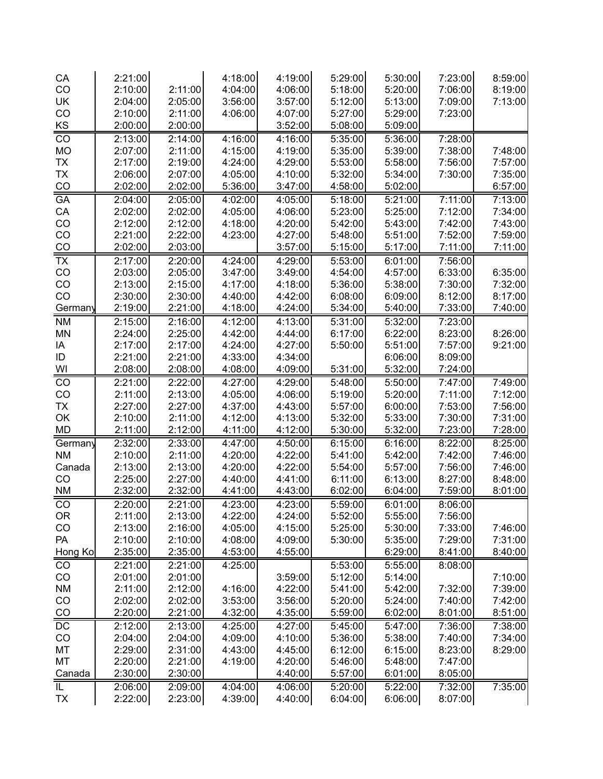| CA                       | 2:21:00 |         | 4:18:00 | 4:19:00 | 5:29:00 | 5:30:00 | 7:23:00 | 8:59:00 |
|--------------------------|---------|---------|---------|---------|---------|---------|---------|---------|
| CO                       | 2:10:00 | 2:11:00 | 4:04:00 | 4:06:00 | 5:18:00 | 5:20:00 | 7:06:00 | 8:19:00 |
| UK                       | 2:04:00 | 2:05:00 | 3:56:00 | 3:57:00 | 5:12:00 | 5:13:00 | 7:09:00 | 7:13:00 |
| CO                       | 2:10:00 | 2:11:00 | 4:06:00 | 4:07:00 | 5:27:00 | 5:29:00 | 7:23:00 |         |
| KS                       | 2:00:00 | 2:00:00 |         | 3:52:00 | 5:08:00 | 5:09:00 |         |         |
| CO                       | 2:13:00 | 2:14:00 | 4:16:00 | 4:16:00 | 5:35:00 | 5:36:00 | 7:28:00 |         |
| <b>MO</b>                | 2:07:00 | 2:11:00 | 4:15:00 | 4:19:00 | 5:35:00 | 5:39:00 | 7:38:00 | 7:48:00 |
| <b>TX</b>                | 2:17:00 | 2:19:00 | 4:24:00 | 4:29:00 | 5:53:00 | 5:58:00 | 7:56:00 | 7:57:00 |
| <b>TX</b>                | 2:06:00 | 2:07:00 | 4:05:00 | 4:10:00 | 5:32:00 | 5:34:00 | 7:30:00 | 7:35:00 |
| CO                       | 2:02:00 | 2:02:00 | 5:36:00 | 3:47:00 | 4:58:00 | 5:02:00 |         | 6:57:00 |
| <b>GA</b>                | 2:04:00 | 2:05:00 | 4:02:00 | 4:05:00 | 5:18:00 | 5:21:00 | 7:11:00 | 7:13:00 |
| CA                       | 2:02:00 | 2:02:00 | 4:05:00 | 4:06:00 | 5:23:00 | 5:25:00 | 7:12:00 | 7:34:00 |
| CO                       | 2:12:00 | 2:12:00 | 4:18:00 | 4:20:00 | 5:42:00 | 5:43:00 | 7:42:00 | 7:43:00 |
| CO                       | 2:21:00 | 2:22:00 | 4:23:00 | 4:27:00 | 5:48:00 | 5:51:00 | 7:52:00 | 7:59:00 |
| CO                       | 2:02:00 | 2:03:00 |         | 3:57:00 | 5:15:00 | 5:17:00 | 7:11:00 | 7:11:00 |
| $\overline{\mathsf{TX}}$ | 2:17:00 | 2:20:00 | 4:24:00 | 4:29:00 | 5:53:00 | 6:01:00 | 7:56:00 |         |
| CO                       | 2:03:00 | 2:05:00 | 3:47:00 | 3:49:00 | 4:54:00 | 4:57:00 | 6:33:00 | 6:35:00 |
| CO                       | 2:13:00 | 2:15:00 | 4:17:00 | 4:18:00 | 5:36:00 | 5:38:00 | 7:30:00 | 7:32:00 |
| CO                       | 2:30:00 | 2:30:00 | 4:40:00 | 4:42:00 | 6:08:00 | 6:09:00 | 8:12:00 | 8:17:00 |
| Germany                  | 2:19:00 | 2:21:00 | 4:18:00 | 4:24:00 | 5:34:00 | 5:40:00 | 7:33:00 | 7:40:00 |
| <b>NM</b>                | 2:15:00 | 2:16:00 | 4:12:00 | 4:13:00 | 5:31:00 | 5:32:00 | 7:23:00 |         |
| <b>MN</b>                | 2:24:00 | 2:25:00 | 4:42:00 | 4:44:00 | 6:17:00 | 6:22:00 | 8:23:00 | 8:26:00 |
| ΙA                       | 2:17:00 | 2:17:00 | 4:24:00 | 4:27:00 | 5:50:00 | 5:51:00 | 7:57:00 | 9:21:00 |
| ID                       | 2:21:00 | 2:21:00 | 4:33:00 | 4:34:00 |         | 6:06:00 | 8:09:00 |         |
| WI                       | 2:08:00 | 2:08:00 | 4:08:00 | 4:09:00 | 5:31:00 | 5:32:00 | 7:24:00 |         |
| CO                       | 2:21:00 | 2:22:00 | 4:27:00 | 4:29:00 | 5:48:00 | 5:50:00 | 7:47:00 | 7:49:00 |
| CO                       | 2:11:00 | 2:13:00 | 4:05:00 | 4:06:00 | 5:19:00 | 5:20:00 | 7:11:00 | 7:12:00 |
| <b>TX</b>                | 2:27:00 | 2:27:00 | 4:37:00 | 4:43:00 | 5:57:00 | 6:00:00 | 7:53:00 | 7:56:00 |
| OK                       | 2:10:00 | 2:11:00 | 4:12:00 | 4:13:00 | 5:32:00 | 5:33:00 | 7:30:00 | 7:31:00 |
| <b>MD</b>                | 2:11:00 | 2:12:00 | 4:11:00 | 4:12:00 | 5:30:00 | 5:32:00 | 7:23:00 | 7:28:00 |
| Germany                  | 2:32:00 | 2:33:00 | 4:47:00 | 4:50:00 | 6:15:00 | 6:16:00 | 8:22:00 | 8:25:00 |
| <b>NM</b>                | 2:10:00 | 2:11:00 | 4:20:00 | 4:22:00 | 5:41:00 | 5:42:00 | 7:42:00 | 7:46:00 |
| Canada                   | 2:13:00 | 2:13:00 | 4:20:00 | 4:22:00 | 5:54:00 | 5:57:00 | 7:56:00 | 7:46:00 |
| CO                       | 2:25:00 | 2:27:00 | 4:40:00 | 4:41:00 | 6:11:00 | 6:13:00 | 8:27:00 | 8:48:00 |
| <b>NM</b>                | 2:32:00 | 2:32:00 | 4:41:00 | 4:43:00 | 6:02:00 | 6:04:00 | 7:59:00 | 8:01:00 |
| CO                       | 2:20:00 | 2:21:00 | 4:23:00 | 4:23:00 | 5:59:00 | 6:01:00 | 8:06:00 |         |
| 0R                       | 2:11:00 | 2:13:00 | 4:22:00 | 4:24:00 | 5:52:00 | 5:55:00 | 7:56:00 |         |
| CO                       | 2:13:00 | 2:16:00 | 4:05:00 | 4:15:00 | 5:25:00 | 5:30:00 | 7:33:00 | 7:46:00 |
| PA                       | 2:10:00 | 2:10:00 | 4:08:00 | 4:09:00 | 5:30:00 | 5:35:00 | 7:29:00 | 7:31:00 |
| Hong Ko                  | 2:35:00 | 2:35:00 | 4:53:00 | 4:55:00 |         | 6:29:00 | 8:41:00 | 8:40:00 |
| CO                       | 2:21:00 | 2:21:00 | 4:25:00 |         | 5:53:00 | 5:55:00 | 8:08:00 |         |
| CO                       | 2:01:00 | 2:01:00 |         | 3:59:00 | 5:12:00 | 5:14:00 |         | 7:10:00 |
| <b>NM</b>                | 2:11:00 | 2:12:00 | 4:16:00 | 4:22:00 | 5:41:00 | 5:42:00 | 7:32:00 | 7:39:00 |
| CO                       | 2:02:00 | 2:02:00 | 3:53:00 | 3:56:00 | 5:20:00 | 5:24:00 | 7:40:00 | 7:42:00 |
| CO                       | 2:20:00 | 2:21:00 | 4:32:00 | 4:35:00 | 5:59:00 | 6:02:00 | 8:01:00 | 8:51:00 |
| $DC$                     | 2:12:00 | 2:13:00 | 4:25:00 | 4:27:00 | 5:45:00 | 5:47:00 | 7:36:00 | 7:38:00 |
| CO                       | 2:04:00 | 2:04:00 | 4:09:00 | 4:10:00 | 5:36:00 | 5:38:00 | 7:40:00 | 7:34:00 |
| MT                       | 2:29:00 | 2:31:00 | 4:43:00 | 4:45:00 | 6:12:00 | 6:15:00 | 8:23:00 | 8:29:00 |
| MT                       | 2:20:00 | 2:21:00 | 4:19:00 | 4:20:00 | 5:46:00 | 5:48:00 | 7:47:00 |         |
| Canada                   | 2:30:00 | 2:30:00 |         | 4:40:00 | 5:57:00 | 6:01:00 | 8:05:00 |         |
| IL                       | 2:06:00 | 2:09:00 | 4:04:00 | 4:06:00 | 5:20:00 | 5:22:00 | 7:32:00 | 7:35:00 |
| TX                       | 2:22:00 | 2:23:00 | 4:39:00 | 4:40:00 | 6:04:00 | 6:06:00 | 8:07:00 |         |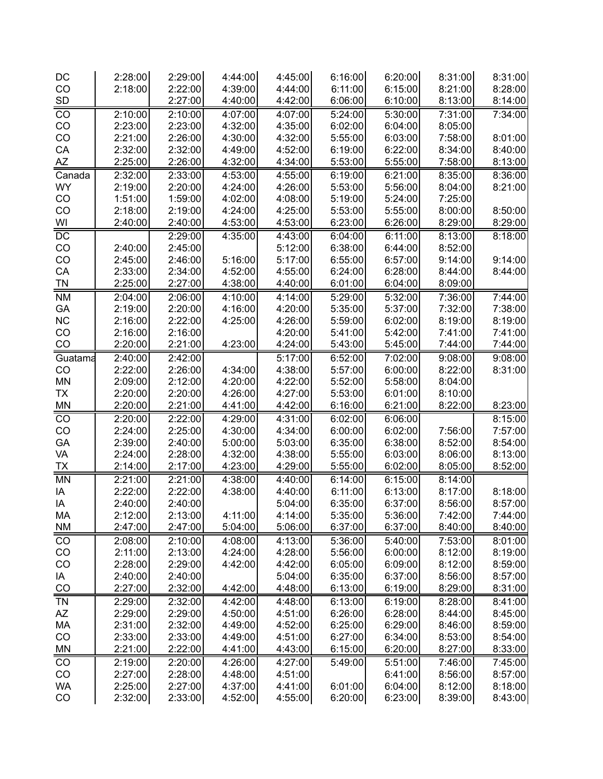| DC              | 2:28:00            | 2:29:00            | 4:44:00            | 4:45:00            | 6:16:00            | 6:20:00            | 8:31:00            | 8:31:00            |  |
|-----------------|--------------------|--------------------|--------------------|--------------------|--------------------|--------------------|--------------------|--------------------|--|
| CO              | 2:18:00            | 2:22:00            | 4:39:00            | 4:44:00            | 6:11:00            | 6:15:00            | 8:21:00            | 8:28:00            |  |
| SD              |                    | 2:27:00            | 4:40:00            | 4:42:00            | 6:06:00            | 6:10:00            | 8:13:00            | 8:14:00            |  |
| CO              | 2:10:00            | 2:10:00            | 4:07:00            | 4:07:00            | 5:24:00            | 5:30:00            | 7:31:00            | 7:34:00            |  |
| CO              | 2:23:00            | 2:23:00            | 4:32:00            | 4:35:00            | 6:02:00            | 6:04:00            | 8:05:00            |                    |  |
| CO              | 2:21:00            | 2:26:00            | 4:30:00            | 4:32:00            | 5:55:00            | 6:03:00            | 7:58:00            | 8:01:00            |  |
| CA              | 2:32:00            | 2:32:00            | 4:49:00            | 4:52:00            | 6:19:00            | 6:22:00            | 8:34:00            | 8:40:00            |  |
| AZ              | 2:25:00            | 2:26:00            | 4:32:00            | 4:34:00            | 5:53:00            | 5:55:00            | 7:58:00            | 8:13:00            |  |
| Canada          | 2:32:00            | 2:33:00            | 4:53:00            | 4:55:00            | 6:19:00            | 6:21:00            | 8:35:00            | 8:36:00            |  |
| <b>WY</b>       | 2:19:00            | 2:20:00            | 4:24:00            | 4:26:00            | 5:53:00            | 5:56:00            | 8:04:00            | 8:21:00            |  |
| CO              | 1:51:00            | 1:59:00            | 4:02:00            | 4:08:00            | 5:19:00            | 5:24:00            | 7:25:00            |                    |  |
| CO<br>WI        | 2:18:00<br>2:40:00 | 2:19:00<br>2:40:00 | 4:24:00<br>4:53:00 | 4:25:00<br>4:53:00 | 5:53:00<br>6:23:00 | 5:55:00<br>6:26:00 | 8:00:00<br>8:29:00 | 8:50:00<br>8:29:00 |  |
|                 |                    |                    |                    |                    |                    |                    |                    |                    |  |
| $\overline{DC}$ |                    | 2:29:00            | 4:35:00            | 4:43:00            | 6:04:00            | 6:11:00            | 8:13:00            | 8:18:00            |  |
| CO<br>CO        | 2:40:00<br>2:45:00 | 2:45:00<br>2:46:00 | 5:16:00            | 5:12:00<br>5:17:00 | 6:38:00<br>6:55:00 | 6:44:00<br>6:57:00 | 8:52:00<br>9:14:00 | 9:14:00            |  |
| CA              | 2:33:00            | 2:34:00            | 4:52:00            | 4:55:00            | 6:24:00            | 6:28:00            | 8:44:00            | 8:44:00            |  |
| <b>TN</b>       | 2:25:00            | 2:27:00            | 4:38:00            | 4:40:00            | 6:01:00            | 6:04:00            | 8:09:00            |                    |  |
|                 |                    | 2:06:00            | 4:10:00            | 4:14:00            | 5:29:00            | 5:32:00            | 7:36:00            | 7:44:00            |  |
| <b>NM</b><br>GA | 2:04:00<br>2:19:00 | 2:20:00            | 4:16:00            | 4:20:00            | 5:35:00            | 5:37:00            | 7:32:00            | 7:38:00            |  |
| NC              | 2:16:00            | 2:22:00            | 4:25:00            | 4:26:00            | 5:59:00            | 6:02:00            | 8:19:00            | 8:19:00            |  |
| CO              | 2:16:00            | 2:16:00            |                    | 4:20:00            | 5:41:00            | 5:42:00            | 7:41:00            | 7:41:00            |  |
| CO              | 2:20:00            | 2:21:00            | 4:23:00            | 4:24:00            | 5:43:00            | 5:45:00            | 7:44:00            | 7:44:00            |  |
| Guatama         | 2:40:00            | 2:42:00            |                    | 5:17:00            | 6:52:00            | 7:02:00            | 9:08:00            | 9:08:00            |  |
| CO              | 2:22:00            | 2:26:00            | 4:34:00            | 4:38:00            | 5:57:00            | 6:00:00            | 8:22:00            | 8:31:00            |  |
| $\sf MN$        | 2:09:00            | 2:12:00            | 4:20:00            | 4:22:00            | 5:52:00            | 5:58:00            | 8:04:00            |                    |  |
| <b>TX</b>       | 2:20:00            | 2:20:00            | 4:26:00            | 4:27:00            | 5:53:00            | 6:01:00            | 8:10:00            |                    |  |
| MN              | 2:20:00            | 2:21:00            | 4:41:00            | 4:42:00            | 6:16:00            | 6:21:00            | 8:22:00            | 8:23:00            |  |
| CO              | 2:20:00            | 2:22:00            | 4:29:00            | 4:31:00            | 6:02:00            | 6:06:00            |                    | 8:15:00            |  |
| CO              | 2:24:00            | 2:25:00            | 4:30:00            | 4:34:00            | 6:00:00            | 6:02:00            | 7:56:00            | 7:57:00            |  |
| GA              | 2:39:00            | 2:40:00            | 5:00:00            | 5:03:00            | 6:35:00            | 6:38:00            | 8:52:00            | 8:54:00            |  |
| VA              | 2:24:00            | 2:28:00            | 4:32:00            | 4:38:00            | 5:55:00            | 6:03:00            | 8:06:00            | 8:13:00            |  |
| <u>TX</u>       | 2:14:00            | 2:17:00            | 4:23:00            | 4:29:00            | 5:55:00            | 6:02:00            | 8:05:00            | 8:52:00            |  |
| MN              | 2:21:00            | 2:21:00            | 4:38:00            | 4:40:00            | 6:14:00            | 6:15:00            | 8:14:00            |                    |  |
| IA              | 2:22:00            | 2:22:00            | 4:38:00            | 4:40:00            | 6:11:00            | 6:13:00            | 8:17:00            | 8:18:00            |  |
| IA              | 2:40:00            | 2:40:00            |                    | 5:04:00            | 6:35:00            | 6:37:00            | 8:56:00            | 8:57:00            |  |
| МA              | 2:12:00            | 2:13:00            | 4:11:00            | 4:14:00            | 5:35:00            | 5:36:00            | 7:42:00            | 7:44:00            |  |
| NM              | 2:47:00            | 2:47:00            | 5:04:00            | 5:06:00            | 6:37:00            | 6:37:00            | 8:40:00            | 8:40:00            |  |
| CO              | 2:08:00            | 2:10:00            | 4:08:00            | 4:13:00            | 5:36:00            | 5:40:00            | 7:53:00            | 8:01:00            |  |
| CO              | 2:11:00            | 2:13:00            | 4:24:00            | 4:28:00            | 5:56:00            | 6:00:00            | 8:12:00            | 8:19:00            |  |
| CO              | 2:28:00            | 2:29:00            | 4:42:00            | 4:42:00            | 6:05:00            | 6:09:00            | 8:12:00            | 8:59:00            |  |
| IA              | 2:40:00            | 2:40:00            |                    | 5:04:00            | 6:35:00            | 6:37:00            | 8:56:00            | 8:57:00            |  |
| CO              | 2:27:00            | 2:32:00            | 4:42:00            | 4:48:00            | 6:13:00            | 6:19:00            | 8:29:00            | 8:31:00            |  |
| <b>TN</b>       | 2:29:00            | 2:32:00            | 4:42:00            | 4:48:00            | 6:13:00            | 6:19:00            | 8:28:00            | 8:41:00            |  |
| AZ              | 2:29:00            | 2:29:00            | 4:50:00            | 4:51:00            | 6:26:00            | 6:28:00            | 8:44:00            | 8:45:00            |  |
| МA              | 2:31:00            | 2:32:00            | 4:49:00            | 4:52:00            | 6:25:00            | 6:29:00            | 8:46:00            | 8:59:00            |  |
| CO              | 2:33:00            | 2:33:00            | 4:49:00            | 4:51:00            | 6:27:00            | 6:34:00            | 8:53:00            | 8:54:00            |  |
| MN              | 2:21:00            | 2:22:00            | 4:41:00            | 4:43:00            | 6:15:00            | 6:20:00            | 8:27:00            | 8:33:00            |  |
| CO              | 2:19:00            | 2:20:00            | 4:26:00            | 4:27:00            | 5:49:00            | 5:51:00            | 7:46:00            | 7:45:00            |  |
| CO              | 2:27:00            | 2:28:00            | 4:48:00            | 4:51:00            |                    | 6:41:00            | 8:56:00            | 8:57:00            |  |
| WA              | 2:25:00            | 2:27:00            | 4:37:00            | 4:41:00            | 6:01:00            | 6:04:00            | 8:12:00            | 8:18:00            |  |
| CO              | 2:32:00            | 2:33:00            | 4:52:00            | 4:55:00            | 6:20:00            | 6:23:00            | 8:39:00            | 8:43:00            |  |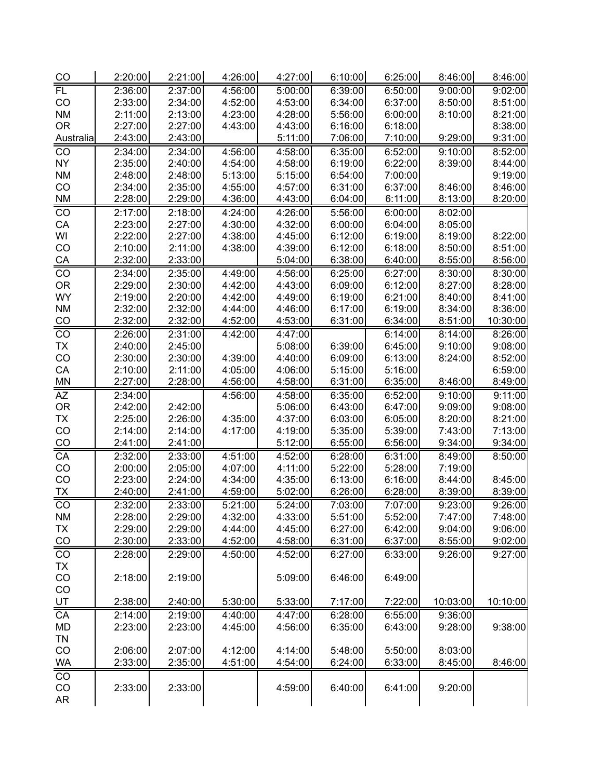| $\frac{CO}{4}$         | 2:20:00 | 2:21:00 | 4:26:00 | 4:27:00 | 6:10:00 | 6:25:00 | 8:46:00  | 8:46:00  |
|------------------------|---------|---------|---------|---------|---------|---------|----------|----------|
| <b>FL</b>              | 2:36:00 | 2:37:00 | 4:56:00 | 5:00:00 | 6:39:00 | 6:50:00 | 9:00:00  | 9:02:00  |
| CO                     | 2:33:00 | 2:34:00 | 4:52:00 | 4:53:00 | 6:34:00 | 6:37:00 | 8:50:00  | 8:51:00  |
| <b>NM</b>              | 2:11:00 | 2:13:00 | 4:23:00 | 4:28:00 | 5:56:00 | 6:00:00 | 8:10:00  | 8:21:00  |
| <b>OR</b>              | 2:27:00 | 2:27:00 | 4:43:00 | 4:43:00 | 6:16:00 | 6:18:00 |          | 8:38:00  |
| Australia              | 2:43:00 | 2:43:00 |         | 5:11:00 | 7:06:00 | 7:10:00 | 9:29:00  | 9:31:00  |
| CO                     | 2:34:00 | 2:34:00 | 4:56:00 | 4:58:00 | 6:35:00 | 6:52:00 | 9:10:00  | 8:52:00  |
| <b>NY</b>              | 2:35:00 | 2:40:00 | 4:54:00 | 4:58:00 | 6:19:00 | 6:22:00 | 8:39:00  | 8:44:00  |
| <b>NM</b>              | 2:48:00 | 2:48:00 | 5:13:00 | 5:15:00 | 6:54:00 | 7:00:00 |          | 9:19:00  |
| CO                     | 2:34:00 | 2:35:00 | 4:55:00 | 4:57:00 | 6:31:00 | 6:37:00 | 8:46:00  | 8:46:00  |
| <b>NM</b>              | 2:28:00 | 2:29:00 | 4:36:00 | 4:43:00 | 6:04:00 | 6:11:00 | 8:13:00  | 8:20:00  |
| $\overline{CO}$        | 2:17:00 | 2:18:00 | 4:24:00 | 4:26:00 | 5:56:00 | 6:00:00 | 8:02:00  |          |
| CA                     | 2:23:00 | 2:27:00 | 4:30:00 | 4:32:00 | 6:00:00 | 6:04:00 | 8:05:00  |          |
| WI                     | 2:22:00 | 2:27:00 | 4:38:00 | 4:45:00 | 6:12:00 | 6:19:00 | 8:19:00  | 8:22:00  |
| CO                     | 2:10:00 | 2:11:00 | 4:38:00 | 4:39:00 | 6:12:00 | 6:18:00 | 8:50:00  | 8:51:00  |
|                        | 2:32:00 | 2:33:00 |         | 5:04:00 | 6:38:00 | 6:40:00 | 8:55:00  | 8:56:00  |
| $\frac{CA}{CO}$        | 2:34:00 | 2:35:00 | 4:49:00 | 4:56:00 | 6:25:00 | 6:27:00 | 8:30:00  | 8:30:00  |
| <b>OR</b>              | 2:29:00 | 2:30:00 | 4:42:00 | 4:43:00 | 6:09:00 | 6:12:00 | 8:27:00  | 8:28:00  |
| <b>WY</b>              | 2:19:00 | 2:20:00 | 4:42:00 | 4:49:00 | 6:19:00 | 6:21:00 | 8:40:00  | 8:41:00  |
| <b>NM</b>              | 2:32:00 | 2:32:00 | 4:44:00 | 4:46:00 | 6:17:00 | 6:19:00 | 8:34:00  | 8:36:00  |
| CO                     | 2:32:00 | 2:32:00 | 4:52:00 | 4:53:00 | 6:31:00 | 6:34:00 | 8:51:00  | 10:30:00 |
| $\overline{C}$         | 2:26:00 | 2:31:00 | 4:42:00 | 4:47:00 |         | 6:14:00 | 8:14:00  | 8:26:00  |
| <b>TX</b>              | 2:40:00 | 2:45:00 |         | 5:08:00 | 6:39:00 | 6:45:00 | 9:10:00  | 9:08:00  |
| CO                     | 2:30:00 | 2:30:00 | 4:39:00 | 4:40:00 | 6:09:00 | 6:13:00 | 8:24:00  | 8:52:00  |
| CA                     | 2:10:00 | 2:11:00 | 4:05:00 | 4:06:00 | 5:15:00 | 5:16:00 |          | 6:59:00  |
| <b>MN</b>              | 2:27:00 | 2:28:00 | 4:56:00 | 4:58:00 | 6:31:00 | 6:35:00 | 8:46:00  | 8:49:00  |
| AZ                     | 2:34:00 |         | 4:56:00 | 4:58:00 | 6:35:00 | 6:52:00 | 9:10:00  | 9:11:00  |
| <b>OR</b>              | 2:42:00 | 2:42:00 |         | 5:06:00 | 6:43:00 | 6:47:00 | 9:09:00  | 9:08:00  |
|                        |         |         |         |         |         |         |          |          |
| <b>TX</b>              | 2:25:00 | 2:26:00 | 4:35:00 | 4:37:00 | 6:03:00 | 6:05:00 | 8:20:00  | 8:21:00  |
| CO                     | 2:14:00 | 2:14:00 | 4:17:00 | 4:19:00 | 5:35:00 | 5:39:00 | 7:43:00  | 7:13:00  |
| $rac{CO}{CA}$          | 2:41:00 | 2:41:00 |         | 5:12:00 | 6:55:00 | 6:56:00 | 9:34:00  | 9:34:00  |
|                        | 2:32:00 | 2:33:00 | 4:51:00 | 4:52:00 | 6:28:00 | 6:31:00 | 8:49:00  | 8:50:00  |
| CO                     | 2:00:00 | 2:05:00 | 4:07:00 | 4:11:00 | 5:22:00 | 5:28:00 | 7:19:00  |          |
| CO                     | 2:23:00 | 2:24:00 | 4:34:00 | 4:35:00 | 6:13:00 | 6:16:00 | 8:44:00  | 8:45:00  |
| <b>TX</b>              | 2:40:00 | 2:41:00 | 4:59:00 | 5:02:00 | 6:26:00 | 6:28:00 | 8:39:00  | 8:39:00  |
| $\overline{co}$        | 2:32:00 | 2:33:00 | 5:21:00 | 5:24:00 | 7:03:00 | 7:07:00 | 9:23:00  | 9:26:00  |
| $\mathsf{N}\mathsf{M}$ | 2:28:00 | 2:29:00 | 4:32:00 | 4:33:00 | 5:51:00 | 5:52:00 | 7:47:00  | 7:48:00  |
| <b>TX</b>              | 2:29:00 | 2:29:00 | 4:44:00 | 4:45:00 | 6:27:00 | 6:42:00 | 9:04:00  | 9:06:00  |
| CO                     | 2:30:00 | 2:33:00 | 4:52:00 | 4:58:00 | 6:31:00 | 6:37:00 | 8:55:00  | 9:02:00  |
| $\overline{C}$         | 2:28:00 | 2:29:00 | 4:50:00 | 4:52:00 | 6:27:00 | 6:33:00 | 9:26:00  | 9:27:00  |
| <b>TX</b>              |         |         |         |         |         |         |          |          |
| CO                     | 2:18:00 | 2:19:00 |         | 5:09:00 | 6:46:00 | 6:49:00 |          |          |
| CO                     |         |         |         |         |         |         |          |          |
| UT                     | 2:38:00 | 2:40:00 | 5:30:00 | 5:33:00 | 7:17:00 | 7:22:00 | 10:03:00 | 10:10:00 |
| CA                     | 2:14:00 | 2:19:00 | 4:40:00 | 4:47:00 | 6:28:00 | 6:55:00 | 9:36:00  |          |
| MD                     | 2:23:00 | 2:23:00 | 4:45:00 | 4:56:00 | 6:35:00 | 6:43:00 | 9:28:00  | 9:38:00  |
| <b>TN</b>              |         |         |         |         |         |         |          |          |
| CO                     | 2:06:00 | 2:07:00 | 4:12:00 | 4:14:00 | 5:48:00 | 5:50:00 | 8:03:00  |          |
| WA                     | 2:33:00 | 2:35:00 | 4:51:00 | 4:54:00 | 6:24:00 | 6:33:00 | 8:45:00  | 8:46:00  |
| CO                     |         |         |         |         |         |         |          |          |
| CO                     | 2:33:00 | 2:33:00 |         | 4:59:00 | 6:40:00 | 6:41:00 | 9:20:00  |          |
| <b>AR</b>              |         |         |         |         |         |         |          |          |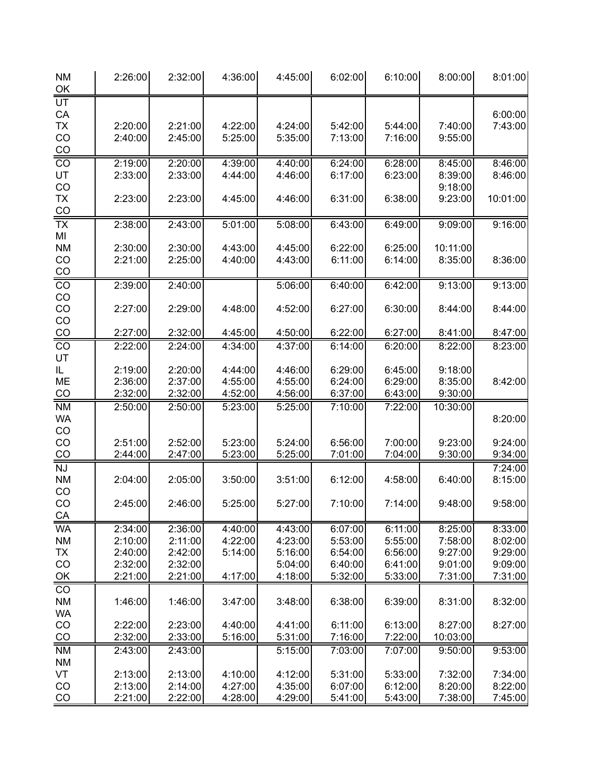| <b>NM</b><br>OK        | 2:26:00            | 2:32:00            | 4:36:00            | 4:45:00            | 6:02:00            | 6:10:00            | 8:00:00            | 8:01:00            |
|------------------------|--------------------|--------------------|--------------------|--------------------|--------------------|--------------------|--------------------|--------------------|
| UT                     |                    |                    |                    |                    |                    |                    |                    |                    |
| CA                     |                    |                    |                    |                    |                    |                    |                    | 6:00:00            |
| <b>TX</b>              | 2:20:00            | 2:21:00            | 4:22:00            | 4:24:00            | 5:42:00            | 5:44:00            | 7:40:00            | 7:43:00            |
| CO<br>CO               | 2:40:00            | 2:45:00            | 5:25:00            | 5:35:00            | 7:13:00            | 7:16:00            | 9:55:00            |                    |
| $\overline{CO}$        | 2:19:00            | 2:20:00            | 4:39:00            | 4:40:00            | 6:24:00            | 6:28:00            | 8:45:00            | 8:46:00            |
| UT                     | 2:33:00            | 2:33:00            | 4:44:00            | 4:46:00            | 6:17:00            | 6:23:00            | 8:39:00            | 8:46:00            |
| CO                     |                    |                    |                    |                    |                    |                    | 9:18:00            |                    |
| <b>TX</b>              | 2:23:00            | 2:23:00            | 4:45:00            | 4:46:00            | 6:31:00            | 6:38:00            | 9:23:00            | 10:01:00           |
| CO                     |                    |                    |                    |                    |                    |                    |                    |                    |
| $\overline{TX}$        | 2:38:00            | 2:43:00            | 5:01:00            | 5:08:00            | 6:43:00            | 6:49:00            | 9:09:00            | 9:16:00            |
| MI<br><b>NM</b>        | 2:30:00            | 2:30:00            | 4:43:00            | 4:45:00            | 6:22:00            | 6:25:00            | 10:11:00           |                    |
| CO                     | 2:21:00            | 2:25:00            | 4:40:00            | 4:43:00            | 6:11:00            | 6:14:00            | 8:35:00            | 8:36:00            |
| $\underline{CO}$       |                    |                    |                    |                    |                    |                    |                    |                    |
| CO                     | 2:39:00            | 2:40:00            |                    | 5:06:00            | 6:40:00            | 6:42:00            | 9:13:00            | 9:13:00            |
| CO                     |                    |                    |                    |                    |                    |                    |                    |                    |
| CO                     | 2:27:00            | 2:29:00            | 4:48:00            | 4:52:00            | 6:27:00            | 6:30:00            | 8:44:00            | 8:44:00            |
| CO<br>CO               | 2:27:00            | 2:32:00            | 4:45:00            | 4:50:00            | 6:22:00            | 6:27:00            | 8:41:00            | 8:47:00            |
| $\overline{CO}$        | 2:22:00            | 2:24:00            | 4:34:00            | 4:37:00            | 6:14:00            | 6:20:00            | 8:22:00            | 8:23:00            |
| UT                     |                    |                    |                    |                    |                    |                    |                    |                    |
| IL                     | 2:19:00            | 2:20:00            | 4:44:00            | 4:46:00            | 6:29:00            | 6:45:00            | 9:18:00            |                    |
| ME                     | 2:36:00            | 2:37:00            | 4:55:00            | 4:55:00            | 6:24:00            | 6:29:00            | 8:35:00            | 8:42:00            |
| CO                     | 2:32:00            | 2:32:00            | 4:52:00            | 4:56:00            | 6:37:00            | 6:43:00            | 9:30:00            |                    |
| <b>NM</b><br><b>WA</b> | 2:50:00            | 2:50:00            | 5:23:00            | 5:25:00            | 7:10:00            | 7:22:00            | 10:30:00           | 8:20:00            |
| CO                     |                    |                    |                    |                    |                    |                    |                    |                    |
| CO                     | 2:51:00            | 2:52:00            | 5:23:00            | 5:24:00            | 6:56:00            | 7:00:00            | 9:23:00            | 9:24:00            |
| $\underline{CO}$       | 2:44:00            | 2:47:00            | 5:23:00            | 5:25:00            | 7:01:00            | 7:04:00            | 9:30:00            | 9:34:00            |
| <b>NJ</b>              |                    |                    |                    |                    |                    |                    |                    | 7:24:00            |
| <b>NM</b>              | 2:04:00            | 2:05:00            | 3:50:00            | 3:51:00            | 6:12:00            | 4:58:00            | 6:40:00            | 8:15:00            |
| CO<br>CO               | 2:45:00            | 2:46:00            | 5:25:00            | 5:27:00            | 7:10:00            | 7:14:00            | 9:48:00            | 9:58:00            |
| СA                     |                    |                    |                    |                    |                    |                    |                    |                    |
| <b>WA</b>              | 2:34:00            | 2:36:00            | 4:40:00            | 4:43:00            | 6:07:00            | 6:11:00            | 8:25:00            | 8:33:00            |
| <b>NM</b>              | 2:10:00            | 2:11:00            | 4:22:00            | 4:23:00            | 5:53:00            | 5:55:00            | 7:58:00            | 8:02:00            |
| <b>TX</b>              | 2:40:00            | 2:42:00            | 5:14:00            | 5:16:00            | 6:54:00            | 6:56:00            | 9:27:00            | 9:29:00            |
| CO                     | 2:32:00            | 2:32:00            |                    | 5:04:00            | 6:40:00            | 6:41:00            | 9:01:00            | 9:09:00            |
| OK                     | 2:21:00            | 2:21:00            | 4:17:00            | 4:18:00            | 5:32:00            | 5:33:00            | 7:31:00            | 7:31:00            |
| CO<br><b>NM</b>        | 1:46:00            | 1:46:00            | 3:47:00            | 3:48:00            | 6:38:00            | 6:39:00            | 8:31:00            | 8:32:00            |
| <b>WA</b>              |                    |                    |                    |                    |                    |                    |                    |                    |
| CO                     | 2:22:00            | 2:23:00            | 4:40:00            | 4:41:00            | 6:11:00            | 6:13:00            | 8:27:00            | 8:27:00            |
| CO                     | 2:32:00            | 2:33:00            | 5:16:00            | 5:31:00            | 7:16:00            | 7:22:00            | 10:03:00           |                    |
| <b>NM</b>              | 2:43:00            | 2:43:00            |                    | 5:15:00            | 7:03:00            | 7:07:00            | 9:50:00            | 9:53:00            |
| <b>NM</b>              |                    |                    |                    |                    |                    |                    |                    |                    |
| VT                     | 2:13:00            | 2:13:00            | 4:10:00            | 4:12:00            | 5:31:00            | 5:33:00            | 7:32:00            | 7:34:00            |
| CO<br>CO               | 2:13:00<br>2:21:00 | 2:14:00<br>2:22:00 | 4:27:00<br>4:28:00 | 4:35:00<br>4:29:00 | 6:07:00<br>5:41:00 | 6:12:00<br>5:43:00 | 8:20:00<br>7:38:00 | 8:22:00<br>7:45:00 |
|                        |                    |                    |                    |                    |                    |                    |                    |                    |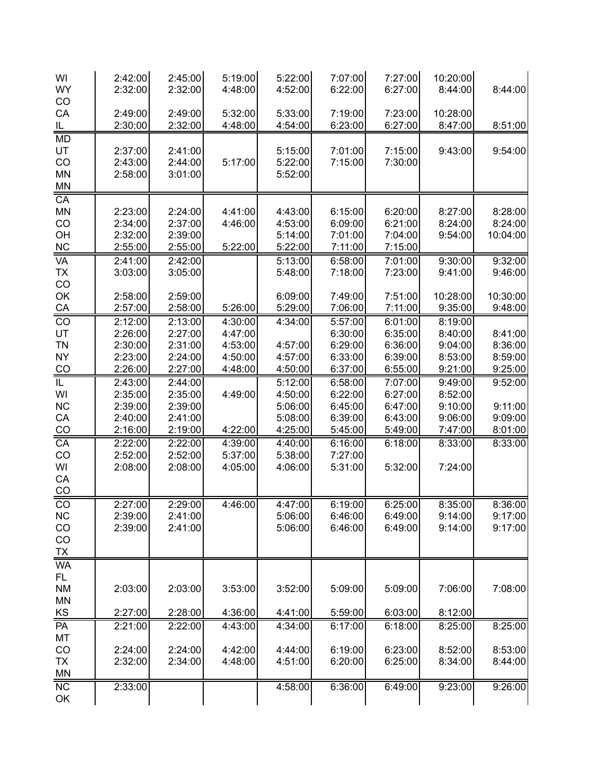| WI                      | 2:42:00            | 2:45:00            | 5:19:00 | 5:22:00            | 7:07:00            | 7:27:00            | 10:20:00           |                    |
|-------------------------|--------------------|--------------------|---------|--------------------|--------------------|--------------------|--------------------|--------------------|
| <b>WY</b><br>CO         | 2:32:00            | 2:32:00            | 4:48:00 | 4:52:00            | 6:22:00            | 6:27:00            | 8:44:00            | 8:44:00            |
| CA                      | 2:49:00            | 2:49:00            | 5:32:00 | 5:33:00            | 7:19:00            | 7:23:00            | 10:28:00           |                    |
| <u>IL </u>              | 2:30:00            | 2:32:00            | 4:48:00 | 4:54:00            | 6:23:00            | 6:27:00            | 8:47:00            | 8:51:00            |
| MD                      |                    |                    |         |                    |                    |                    |                    |                    |
| UT                      | 2:37:00            | 2:41:00            |         | 5:15:00            | 7:01:00            | 7:15:00            | 9:43:00            | 9:54:00            |
| CO                      | 2:43:00            | 2:44:00            | 5:17:00 | 5:22:00            | 7:15:00            | 7:30:00            |                    |                    |
| <b>MN</b>               | 2:58:00            | 3:01:00            |         | 5:52:00            |                    |                    |                    |                    |
| <b>MN</b>               |                    |                    |         |                    |                    |                    |                    |                    |
| CA                      |                    |                    |         |                    |                    |                    |                    |                    |
| MN                      | 2:23:00            | 2:24:00            | 4:41:00 | 4:43:00            | 6:15:00            | 6:20:00            | 8:27:00            | 8:28:00            |
| CO                      | 2:34:00            | 2:37:00            | 4:46:00 | 4:53:00            | 6:09:00            | 6:21:00            | 8:24:00            | 8:24:00            |
| OH<br>$\sf NC$          | 2:32:00<br>2:55:00 | 2:39:00<br>2:55:00 | 5:22:00 | 5:14:00<br>5:22:00 | 7:01:00<br>7:11:00 | 7:04:00<br>7:15:00 | 9:54:00            | 10:04:00           |
| <b>VA</b>               |                    |                    |         |                    |                    |                    |                    |                    |
| <b>TX</b>               | 2:41:00<br>3:03:00 | 2:42:00<br>3:05:00 |         | 5:13:00<br>5:48:00 | 6:58:00<br>7:18:00 | 7:01:00<br>7:23:00 | 9:30:00<br>9:41:00 | 9:32:00<br>9:46:00 |
| CO                      |                    |                    |         |                    |                    |                    |                    |                    |
| OK                      | 2:58:00            | 2:59:00            |         | 6:09:00            | 7:49:00            | 7:51:00            | 10:28:00           | 10:30:00           |
| CA                      | 2:57:00            | 2:58:00            | 5:26:00 | 5:29:00            | 7:06:00            | 7:11:00            | 9:35:00            | 9:48:00            |
| $\overline{CO}$         | 2:12:00            | 2:13:00            | 4:30:00 | 4:34:00            | 5:57:00            | 6:01:00            | 8:19:00            |                    |
| UT                      | 2:26:00            | 2:27:00            | 4:47:00 |                    | 6:30:00            | 6:35:00            | 8:40:00            | 8:41:00            |
| <b>TN</b>               | 2:30:00            | 2:31:00            | 4:53:00 | 4:57:00            | 6:29:00            | 6:36:00            | 9:04:00            | 8:36:00            |
| <b>NY</b>               | 2:23:00            | 2:24:00            | 4:50:00 | 4:57:00            | 6:33:00            | 6:39:00            | 8:53:00            | 8:59:00            |
| CO                      | 2:26:00            | 2:27:00            | 4:48:00 | 4:50:00            | 6:37:00            | 6:55:00            | 9:21:00            | 9:25:00            |
| $\overline{\mathbb{L}}$ | 2:43:00            | 2:44:00            |         | 5:12:00            | 6:58:00            | 7:07:00            | 9:49:00            | 9:52:00            |
| WI                      | 2:35:00            | 2:35:00            | 4:49:00 | 4:50:00            | 6:22:00            | 6:27:00            | 8:52:00            |                    |
| NC                      | 2:39:00            | 2:39:00            |         | 5:06:00            | 6:45:00            | 6:47:00            | 9:10:00            | 9:11:00            |
| CA                      | 2:40:00            | 2:41:00            |         | 5:08:00            | 6:39:00            | 6:43:00            | 9:06:00            | 9:09:00            |
| CO                      | 2:16:00            | 2:19:00            | 4:22:00 | 4:25:00            | 5:45:00            | 5:49:00            | 7:47:00            | 8:01:00            |
| CA                      | 2:22:00            | 2:22:00            | 4:39:00 | 4:40:00            | 6:16:00            | 6:18:00            | 8:33:00            | 8:33:00            |
| CO                      | 2:52:00            | 2:52:00            | 5:37:00 | 5:38:00            | 7:27:00            |                    |                    |                    |
| WI                      | 2:08:00            | 2:08:00            | 4:05:00 | 4:06:00            | 5:31:00            | 5:32:00            | 7:24:00            |                    |
| CA<br>CO                |                    |                    |         |                    |                    |                    |                    |                    |
| $\overline{co}$         | 2:27:00            | 2:29:00            | 4:46:00 | 4:47:00            | 6:19:00            | 6:25:00            | 8:35:00            | 8:36:00            |
| <b>NC</b>               | 2:39:00            | 2:41:00            |         | 5:06:00            | 6:46:00            | 6:49:00            | 9:14:00            | 9:17:00            |
| CO                      | 2:39:00            | 2:41:00            |         | 5:06:00            | 6:46:00            | 6:49:00            | 9:14:00            | 9:17:00            |
| CO                      |                    |                    |         |                    |                    |                    |                    |                    |
| <b>TX</b>               |                    |                    |         |                    |                    |                    |                    |                    |
| <b>WA</b>               |                    |                    |         |                    |                    |                    |                    |                    |
| FL.                     |                    |                    |         |                    |                    |                    |                    |                    |
| <b>NM</b>               | 2:03:00            | 2:03:00            | 3:53:00 | 3:52:00            | 5:09:00            | 5:09:00            | 7:06:00            | 7:08:00            |
| $\mathsf{MN}$           |                    |                    |         |                    |                    |                    |                    |                    |
| KS                      | 2:27:00            | 2:28:00            | 4:36:00 | 4:41:00            | 5:59:00            | 6:03:00            | 8:12:00            |                    |
| PA                      | 2:21:00            | 2:22:00            | 4:43:00 | 4:34:00            | 6:17:00            | 6:18:00            | 8:25:00            | 8:25:00            |
| MT                      |                    |                    |         |                    |                    |                    |                    |                    |
| CO                      | 2:24:00            | 2:24:00            | 4:42:00 | 4:44:00            | 6:19:00            | 6:23:00            | 8:52:00            | 8:53:00            |
| <b>TX</b>               | 2:32:00            | 2:34:00            | 4:48:00 | 4:51:00            | 6:20:00            | 6:25:00            | 8:34:00            | 8:44:00            |
| <b>MN</b>               |                    |                    |         |                    |                    |                    |                    |                    |
| NC                      | 2:33:00            |                    |         | 4:58:00            | 6:36:00            | 6:49:00            | 9:23:00            | 9:26:00            |
| OK                      |                    |                    |         |                    |                    |                    |                    |                    |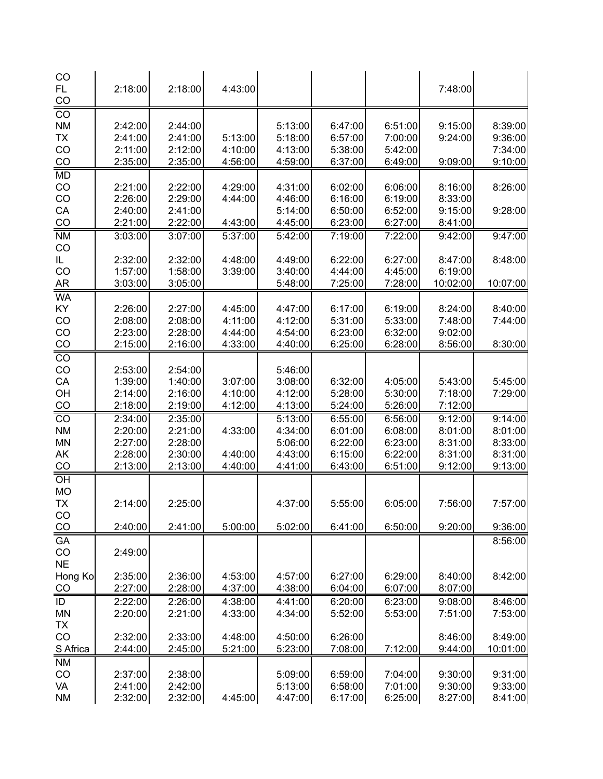| CO<br>FL.<br>CO              | 2:18:00            | 2:18:00            | 4:43:00 |                    |                    |                    | 7:48:00            |          |
|------------------------------|--------------------|--------------------|---------|--------------------|--------------------|--------------------|--------------------|----------|
| $\overline{CO}$<br><b>NM</b> | 2:42:00            | 2:44:00            |         | 5:13:00            | 6:47:00            | 6:51:00            | 9:15:00            | 8:39:00  |
| <b>TX</b>                    | 2:41:00            | 2:41:00            | 5:13:00 | 5:18:00            | 6:57:00            | 7:00:00            | 9:24:00            | 9:36:00  |
| CO                           | 2:11:00            | 2:12:00            | 4:10:00 | 4:13:00            | 5:38:00            | 5:42:00            |                    | 7:34:00  |
| CO                           | 2:35:00            | 2:35:00            | 4:56:00 | 4:59:00            | 6:37:00            | 6:49:00            | 9:09:00            | 9:10:00  |
| <b>MD</b>                    |                    |                    |         |                    |                    |                    |                    |          |
| CO                           | 2:21:00            | 2:22:00            | 4:29:00 | 4:31:00            | 6:02:00            | 6:06:00            | 8:16:00            | 8:26:00  |
| CO                           | 2:26:00            | 2:29:00            | 4:44:00 | 4:46:00<br>5:14:00 | 6:16:00            | 6:19:00            | 8:33:00            |          |
| CA<br>CO                     | 2:40:00<br>2:21:00 | 2:41:00<br>2:22:00 | 4:43:00 | 4:45:00            | 6:50:00<br>6:23:00 | 6:52:00<br>6:27:00 | 9:15:00<br>8:41:00 | 9:28:00  |
| <b>NM</b>                    | 3:03:00            | 3:07:00            | 5:37:00 | 5:42:00            | 7:19:00            | 7:22:00            | 9:42:00            | 9:47:00  |
| CO                           |                    |                    |         |                    |                    |                    |                    |          |
| IL.                          | 2:32:00            | 2:32:00            | 4:48:00 | 4:49:00            | 6:22:00            | 6:27:00            | 8:47:00            | 8:48:00  |
| CO                           | 1:57:00            | 1:58:00            | 3:39:00 | 3:40:00            | 4:44:00            | 4:45:00            | 6:19:00            |          |
| <b>AR</b>                    | 3:03:00            | 3:05:00            |         | 5:48:00            | 7:25:00            | 7:28:00            | 10:02:00           | 10:07:00 |
| <b>WA</b>                    |                    |                    |         |                    |                    |                    |                    |          |
| KY                           | 2:26:00            | 2:27:00            | 4:45:00 | 4:47:00            | 6:17:00            | 6:19:00            | 8:24:00            | 8:40:00  |
| CO                           | 2:08:00            | 2:08:00            | 4:11:00 | 4:12:00            | 5:31:00            | 5:33:00            | 7:48:00            | 7:44:00  |
| CO                           | 2:23:00            | 2:28:00            | 4:44:00 | 4:54:00            | 6:23:00            | 6:32:00            | 9:02:00            |          |
| CO                           | 2:15:00            | 2:16:00            | 4:33:00 | 4:40:00            | 6:25:00            | 6:28:00            | 8:56:00            | 8:30:00  |
| $\overline{co}$              |                    |                    |         |                    |                    |                    |                    |          |
| CO                           | 2:53:00            | 2:54:00            |         | 5:46:00            |                    |                    |                    |          |
| CA                           | 1:39:00            | 1:40:00            | 3:07:00 | 3:08:00            | 6:32:00            | 4:05:00            | 5:43:00            | 5:45:00  |
| OH                           | 2:14:00            | 2:16:00            | 4:10:00 | 4:12:00            | 5:28:00            | 5:30:00            | 7:18:00            | 7:29:00  |
| CO                           | 2:18:00            | 2:19:00            | 4:12:00 | 4:13:00            | 5:24:00            | 5:26:00            | 7:12:00            |          |
| CO                           | 2:34:00            | 2:35:00            |         | 5:13:00            | 6:55:00            | 6:56:00            | 9:12:00            | 9:14:00  |
| <b>NM</b>                    | 2:20:00            | 2:21:00            | 4:33:00 | 4:34:00            | 6:01:00            | 6:08:00            | 8:01:00            | 8:01:00  |
| <b>MN</b>                    | 2:27:00            | 2:28:00            |         | 5:06:00            | 6:22:00            | 6:23:00            | 8:31:00            | 8:33:00  |
| AK                           | 2:28:00            | 2:30:00            | 4:40:00 | 4:43:00            | 6:15:00            | 6:22:00            | 8:31:00            | 8:31:00  |
| CO                           | 2:13:00            | 2:13:00            | 4:40:00 | 4:41:00            | 6:43:00            | 6:51:00            | 9:12:00            | 9:13:00  |
| $\overline{OH}$              |                    |                    |         |                    |                    |                    |                    |          |
| <b>MO</b><br><b>TX</b>       | 2:14:00            | 2:25:00            |         | 4:37:00            | 5:55:00            | 6:05:00            | 7:56:00            | 7:57:00  |
| CO.                          |                    |                    |         |                    |                    |                    |                    |          |
| CO                           | 2:40:00            | 2:41:00            | 5:00:00 | 5:02:00            | 6:41:00            | 6:50:00            | 9:20:00            | 9:36:00  |
| <b>GA</b>                    |                    |                    |         |                    |                    |                    |                    | 8:56:00  |
| CO                           | 2:49:00            |                    |         |                    |                    |                    |                    |          |
| <b>NE</b>                    |                    |                    |         |                    |                    |                    |                    |          |
| Hong Ko                      | 2:35:00            | 2:36:00            | 4:53:00 | 4:57:00            | 6:27:00            | 6:29:00            | 8:40:00            | 8:42:00  |
| CO                           | 2:27:00            | 2:28:00            | 4:37:00 | 4:38:00            | 6:04:00            | 6:07:00            | 8:07:00            |          |
| ID                           | 2:22:00            | 2:26:00            | 4:38:00 | 4:41:00            | 6:20:00            | 6:23:00            | 9:08:00            | 8:46:00  |
| <b>MN</b>                    | 2:20:00            | 2:21:00            | 4:33:00 | 4:34:00            | 5:52:00            | 5:53:00            | 7:51:00            | 7:53:00  |
| <b>TX</b>                    |                    |                    |         |                    |                    |                    |                    |          |
| CO                           | 2:32:00            | 2:33:00            | 4:48:00 | 4:50:00            | 6:26:00            |                    | 8:46:00            | 8:49:00  |
| S Africa                     | 2:44:00            | 2:45:00            | 5:21:00 | 5:23:00            | 7:08:00            | 7:12:00            | 9:44:00            | 10:01:00 |
| <b>NM</b>                    |                    |                    |         |                    |                    |                    |                    |          |
| CO                           | 2:37:00            | 2:38:00            |         | 5:09:00            | 6:59:00            | 7:04:00            | 9:30:00            | 9:31:00  |
| VA                           | 2:41:00            | 2:42:00            |         | 5:13:00            | 6:58:00            | 7:01:00            | 9:30:00            | 9:33:00  |
| <b>NM</b>                    | 2:32:00            | 2:32:00            | 4:45:00 | 4:47:00            | 6:17:00            | 6:25:00            | 8:27:00            | 8:41:00  |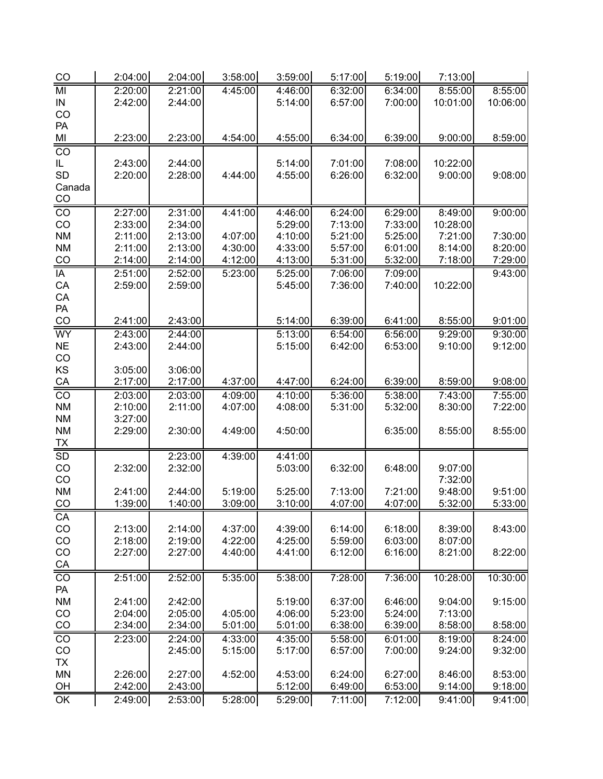| CO              | 2:04:00 | 2:04:00 | 3:58:00 | 3:59:00 | 5:17:00 | 5:19:00 | 7:13:00  |          |
|-----------------|---------|---------|---------|---------|---------|---------|----------|----------|
| MI              | 2:20:00 | 2:21:00 | 4:45:00 | 4:46:00 | 6:32:00 | 6:34:00 | 8:55:00  | 8:55:00  |
| IN              | 2:42:00 | 2:44:00 |         | 5:14:00 | 6:57:00 | 7:00:00 | 10:01:00 | 10:06:00 |
| CO              |         |         |         |         |         |         |          |          |
| PA              |         |         |         |         |         |         |          |          |
| MI              | 2:23:00 | 2:23:00 | 4:54:00 | 4:55:00 | 6:34:00 | 6:39:00 | 9:00:00  | 8:59:00  |
| $\overline{CO}$ |         |         |         |         |         |         |          |          |
| IL              | 2:43:00 | 2:44:00 |         | 5:14:00 | 7:01:00 | 7:08:00 | 10:22:00 |          |
| SD              | 2:20:00 | 2:28:00 | 4:44:00 | 4:55:00 | 6:26:00 | 6:32:00 | 9:00:00  | 9:08:00  |
| Canada          |         |         |         |         |         |         |          |          |
| CO              |         |         |         |         |         |         |          |          |
| $\overline{CO}$ | 2:27:00 | 2:31:00 | 4:41:00 | 4:46:00 | 6:24:00 | 6:29:00 | 8:49:00  | 9:00:00  |
| CO              | 2:33:00 | 2:34:00 |         | 5:29:00 | 7:13:00 | 7:33:00 | 10:28:00 |          |
| <b>NM</b>       | 2:11:00 | 2:13:00 | 4:07:00 | 4:10:00 | 5:21:00 | 5:25:00 | 7:21:00  | 7:30:00  |
| <b>NM</b>       | 2:11:00 | 2:13:00 | 4:30:00 | 4:33:00 | 5:57:00 | 6:01:00 | 8:14:00  | 8:20:00  |
| CO              | 2:14:00 | 2:14:00 | 4:12:00 | 4:13:00 | 5:31:00 | 5:32:00 | 7:18:00  | 7:29:00  |
| IA              | 2:51:00 | 2:52:00 | 5:23:00 | 5:25:00 | 7:06:00 | 7:09:00 |          | 9:43:00  |
| CA              | 2:59:00 | 2:59:00 |         | 5:45:00 | 7:36:00 | 7:40:00 | 10:22:00 |          |
| CA              |         |         |         |         |         |         |          |          |
| PA              |         |         |         |         |         |         |          |          |
| CO              | 2:41:00 | 2:43:00 |         | 5:14:00 | 6:39:00 | 6:41:00 | 8:55:00  | 9:01:00  |
| WY              | 2:43:00 | 2:44:00 |         | 5:13:00 | 6:54:00 | 6:56:00 | 9:29:00  | 9:30:00  |
| $NE$            | 2:43:00 | 2:44:00 |         |         | 6:42:00 | 6:53:00 |          | 9:12:00  |
| CO              |         |         |         | 5:15:00 |         |         | 9:10:00  |          |
| KS              | 3:05:00 | 3:06:00 |         |         |         |         |          |          |
| CA              | 2:17:00 | 2:17:00 | 4:37:00 | 4:47:00 | 6:24:00 | 6:39:00 | 8:59:00  | 9:08:00  |
|                 |         |         |         |         |         |         |          |          |
| CO              | 2:03:00 | 2:03:00 | 4:09:00 | 4:10:00 | 5:36:00 | 5:38:00 | 7:43:00  | 7:55:00  |
| <b>NM</b>       | 2:10:00 | 2:11:00 | 4:07:00 | 4:08:00 | 5:31:00 | 5:32:00 | 8:30:00  | 7:22:00  |
| <b>NM</b>       | 3:27:00 |         |         |         |         |         |          |          |
| <b>NM</b>       | 2:29:00 | 2:30:00 | 4:49:00 | 4:50:00 |         | 6:35:00 | 8:55:00  | 8:55:00  |
| <u>TX</u>       |         |         |         |         |         |         |          |          |
| SD              |         | 2:23:00 | 4:39:00 | 4:41:00 |         |         |          |          |
| CO              | 2:32:00 | 2:32:00 |         | 5:03:00 | 6:32:00 | 6:48:00 | 9:07:00  |          |
| CO              |         |         |         |         |         |         | 7:32:00  |          |
| <b>NM</b>       | 2:41:00 | 2:44:00 | 5:19:00 | 5:25:00 | 7:13:00 | 7:21:00 | 9:48:00  | 9:51:00  |
| CO              | 1:39:00 | 1:40:00 | 3:09:00 | 3:10:00 | 4:07:00 | 4:07:00 | 5:32:00  | 5:33:00  |
| CA              |         |         |         |         |         |         |          |          |
| CO              | 2:13:00 | 2:14:00 | 4:37:00 | 4:39:00 | 6:14:00 | 6:18:00 | 8:39:00  | 8:43:00  |
| CO              | 2:18:00 | 2:19:00 | 4:22:00 | 4:25:00 | 5:59:00 | 6:03:00 | 8:07:00  |          |
| $_{\rm CO}$     | 2:27:00 | 2:27:00 | 4:40:00 | 4:41:00 | 6:12:00 | 6:16:00 | 8:21:00  | 8:22:00  |
| $\frac{CA}{CO}$ |         |         |         |         |         |         |          |          |
|                 | 2:51:00 | 2:52:00 | 5:35:00 | 5:38:00 | 7:28:00 | 7:36:00 | 10:28:00 | 10:30:00 |
| PA              |         |         |         |         |         |         |          |          |
| <b>NM</b>       | 2:41:00 | 2:42:00 |         | 5:19:00 | 6:37:00 | 6:46:00 | 9:04:00  | 9:15:00  |
| CO              | 2:04:00 | 2:05:00 | 4:05:00 | 4:06:00 | 5:23:00 | 5:24:00 | 7:13:00  |          |
| CO              | 2:34:00 | 2:34:00 | 5:01:00 | 5:01:00 | 6:38:00 | 6:39:00 | 8:58:00  | 8:58:00  |
| CO              | 2:23:00 | 2:24:00 | 4:33:00 | 4:35:00 | 5:58:00 | 6:01:00 | 8:19:00  | 8:24:00  |
| CO              |         | 2:45:00 | 5:15:00 | 5:17:00 | 6:57:00 | 7:00:00 | 9:24:00  | 9:32:00  |
| <b>TX</b>       |         |         |         |         |         |         |          |          |
| <b>MN</b>       | 2:26:00 | 2:27:00 | 4:52:00 | 4:53:00 | 6:24:00 | 6:27:00 | 8:46:00  | 8:53:00  |
| OH              | 2:42:00 | 2:43:00 |         | 5:12:00 | 6:49:00 | 6:53:00 | 9:14:00  | 9:18:00  |
| $\overline{OK}$ | 2:49:00 | 2:53:00 | 5:28:00 | 5:29:00 | 7:11:00 | 7:12:00 | 9:41:00  | 9:41:00  |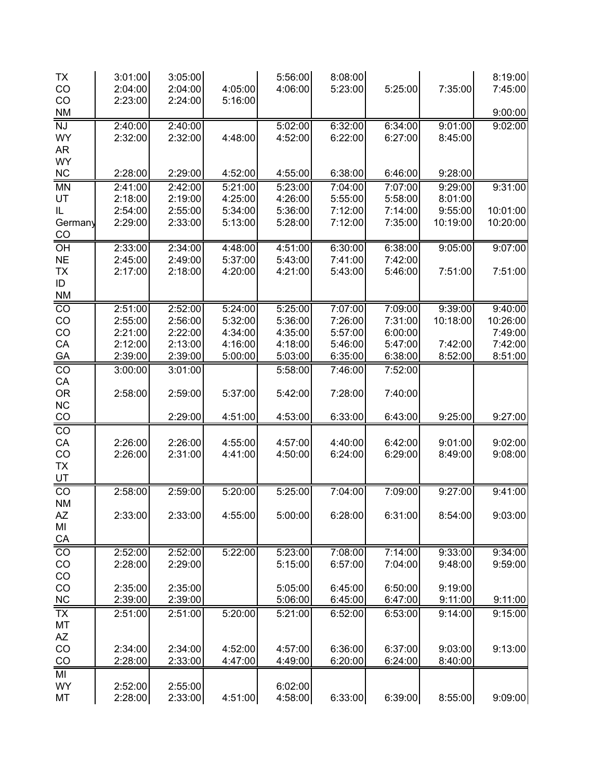| <b>TX</b><br>CO<br>CO               | 3:01:00<br>2:04:00<br>2:23:00 | 3:05:00<br>2:04:00<br>2:24:00 | 4:05:00<br>5:16:00 | 5:56:00<br>4:06:00 | 8:08:00<br>5:23:00 | 5:25:00            | 7:35:00            | 8:19:00<br>7:45:00 |
|-------------------------------------|-------------------------------|-------------------------------|--------------------|--------------------|--------------------|--------------------|--------------------|--------------------|
| <b>NM</b>                           |                               |                               |                    |                    |                    |                    |                    | 9:00:00            |
| <b>NJ</b><br><b>WY</b><br><b>AR</b> | 2:40:00<br>2:32:00            | 2:40:00<br>2:32:00            | 4:48:00            | 5:02:00<br>4:52:00 | 6:32:00<br>6:22:00 | 6:34:00<br>6:27:00 | 9:01:00<br>8:45:00 | 9:02:00            |
| <b>WY</b><br>$NC$                   | 2:28:00                       | 2:29:00                       | 4:52:00            | 4:55:00            | 6:38:00            | 6:46:00            | 9:28:00            |                    |
| <b>MN</b>                           | 2:41:00                       | 2:42:00                       | 5:21:00            | 5:23:00            | 7:04:00            | 7:07:00            | 9:29:00            | 9:31:00            |
| UT                                  | 2:18:00                       | 2:19:00                       | 4:25:00            | 4:26:00            | 5:55:00            | 5:58:00            | 8:01:00            |                    |
| IL                                  | 2:54:00                       | 2:55:00                       | 5:34:00            | 5:36:00            | 7:12:00            | 7:14:00            | 9:55:00            | 10:01:00           |
| Germany<br>CO                       | 2:29:00                       | 2:33:00                       | 5:13:00            | 5:28:00            | 7:12:00            | 7:35:00            | 10:19:00           | 10:20:00           |
| $\overline{OH}$                     | 2:33:00                       | 2:34:00                       | 4:48:00            | 4:51:00            | 6:30:00            | 6:38:00            | 9:05:00            | 9:07:00            |
| <b>NE</b>                           | 2:45:00                       | 2:49:00                       | 5:37:00            | 5:43:00            | 7:41:00            | 7:42:00            |                    |                    |
| TX                                  | 2:17:00                       | 2:18:00                       | 4:20:00            | 4:21:00            | 5:43:00            | 5:46:00            | 7:51:00            | 7:51:00            |
| ID                                  |                               |                               |                    |                    |                    |                    |                    |                    |
| $M$                                 |                               |                               |                    |                    |                    |                    |                    |                    |
| $\overline{C}$                      | 2:51:00                       | 2:52:00                       | 5:24:00            | 5:25:00            | 7:07:00            | 7:09:00            | 9:39:00            | 9:40:00            |
| CO                                  | 2:55:00                       | 2:56:00                       | 5:32:00            | 5:36:00            | 7:26:00            | 7:31:00            | 10:18:00           | 10:26:00           |
| CO                                  | 2:21:00                       | 2:22:00                       | 4:34:00            | 4:35:00            | 5:57:00            | 6:00:00            |                    | 7:49:00            |
| CA                                  | 2:12:00                       | 2:13:00                       | 4:16:00            | 4:18:00            | 5:46:00            | 5:47:00            | 7:42:00            | 7:42:00            |
| GA                                  | 2:39:00                       | 2:39:00                       | 5:00:00            | 5:03:00            | 6:35:00            | 6:38:00            | 8:52:00            | 8:51:00            |
| $\overline{C}$                      | 3:00:00                       | 3:01:00                       |                    | 5:58:00            | 7:46:00            | 7:52:00            |                    |                    |
| ${\sf CA}$                          |                               |                               |                    |                    |                    |                    |                    |                    |
| <b>OR</b>                           | 2:58:00                       | 2:59:00                       | 5:37:00            | 5:42:00            | 7:28:00            | 7:40:00            |                    |                    |
| NC                                  |                               |                               |                    |                    |                    |                    |                    |                    |
| CO                                  |                               | 2:29:00                       | 4:51:00            | 4:53:00            | 6:33:00            | 6:43:00            | 9:25:00            | 9:27:00            |
| $\overline{CO}$                     |                               |                               |                    |                    |                    |                    |                    |                    |
| ${\sf CA}$                          | 2:26:00                       | 2:26:00                       | 4:55:00            | 4:57:00            | 4:40:00            | 6:42:00            | 9:01:00            | 9:02:00            |
| CO                                  | 2:26:00                       | 2:31:00                       | 4:41:00            | 4:50:00            | 6:24:00            | 6:29:00            | 8:49:00            | 9:08:00            |
| <b>TX</b>                           |                               |                               |                    |                    |                    |                    |                    |                    |
| $rac{UT}{CO}$                       |                               |                               |                    |                    |                    |                    |                    |                    |
|                                     | 2:58:00                       | 2:59:00                       | 5:20:00            | 5:25:00            | 7:04:00            | 7:09:00            | 9:27:00            | 9:41:00            |
| <b>NM</b>                           | 2:33:00                       |                               | 4:55:00            |                    |                    |                    | 8:54:00            | 9:03:00            |
| AZ<br>MI                            |                               | 2:33:00                       |                    | 5:00:00            | 6:28:00            | 6:31:00            |                    |                    |
|                                     |                               |                               |                    |                    |                    |                    |                    |                    |
| $rac{CA}{CO}$                       | 2:52:00                       | 2:52:00                       | 5:22:00            | 5:23:00            | 7:08:00            | 7:14:00            | 9:33:00            | 9:34:00            |
| CO                                  | 2:28:00                       | 2:29:00                       |                    | 5:15:00            | 6:57:00            | 7:04:00            | 9:48:00            | 9:59:00            |
| $_{\rm CO}$                         |                               |                               |                    |                    |                    |                    |                    |                    |
| $_{\rm CO}$                         | 2:35:00                       | 2:35:00                       |                    | 5:05:00            | 6:45:00            | 6:50:00            | 9:19:00            |                    |
| $NC$                                | 2:39:00                       | 2:39:00                       |                    | 5:06:00            | 6:45:00            | 6:47:00            | 9:11:00            | 9:11:00            |
| <b>TX</b>                           | 2:51:00                       | 2:51:00                       | 5:20:00            | 5:21:00            | 6:52:00            | 6:53:00            | 9:14:00            | 9:15:00            |
| MT                                  |                               |                               |                    |                    |                    |                    |                    |                    |
| $A\!Z$                              |                               |                               |                    |                    |                    |                    |                    |                    |
| $_{\rm CO}$                         | 2:34:00                       | 2:34:00                       | 4:52:00            | 4:57:00            | 6:36:00            | 6:37:00            | 9:03:00            | 9:13:00            |
| $\frac{1}{10}$                      | 2:28:00                       | 2:33:00                       | 4:47:00            | 4:49:00            | 6:20:00            | 6:24:00            | 8:40:00            |                    |
| MI                                  |                               |                               |                    |                    |                    |                    |                    |                    |
| <b>WY</b>                           | 2:52:00                       | 2:55:00                       |                    | 6:02:00            |                    |                    |                    |                    |
| MT                                  | 2:28:00                       | 2:33:00                       | 4:51:00            | 4:58:00            | 6:33:00            | 6:39:00            | 8:55:00            | 9:09:00            |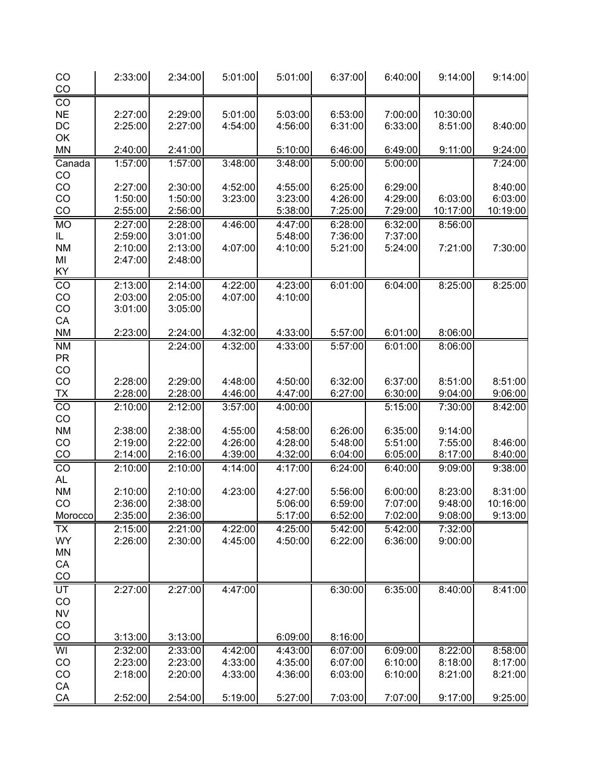| CO<br>CO               | 2:33:00            | 2:34:00            | 5:01:00            | 5:01:00            | 6:37:00            | 6:40:00            | 9:14:00            | 9:14:00            |
|------------------------|--------------------|--------------------|--------------------|--------------------|--------------------|--------------------|--------------------|--------------------|
| CO                     |                    |                    |                    |                    |                    |                    |                    |                    |
| <b>NE</b>              | 2:27:00            | 2:29:00            | 5:01:00            | 5:03:00            | 6:53:00            | 7:00:00            | 10:30:00           |                    |
| DC                     | 2:25:00            | 2:27:00            | 4:54:00            | 4:56:00            | 6:31:00            | 6:33:00            | 8:51:00            | 8:40:00            |
| OK<br><b>MN</b>        | 2:40:00            | 2:41:00            |                    | 5:10:00            | 6:46:00            | 6:49:00            | 9:11:00            | 9:24:00            |
| Canada                 | 1:57:00            | 1:57:00            | 3:48:00            | 3:48:00            | 5:00:00            | 5:00:00            |                    | 7:24:00            |
| CO                     |                    |                    |                    |                    |                    |                    |                    |                    |
| CO                     | 2:27:00            | 2:30:00            | 4:52:00            | 4:55:00            | 6:25:00            | 6:29:00            |                    | 8:40:00            |
| CO                     | 1:50:00            | 1:50:00            | 3:23:00            | 3:23:00            | 4:26:00            | 4:29:00            | 6:03:00            | 6:03:00            |
| CO                     | 2:55:00            | 2:56:00            |                    | 5:38:00            | 7:25:00            | 7:29:00            | 10:17:00           | 10:19:00           |
| <b>MO</b>              | 2:27:00            | 2:28:00            | 4:46:00            | 4:47:00            | 6:28:00            | 6:32:00            | 8:56:00            |                    |
| IL.                    | 2:59:00            | 3:01:00            |                    | 5:48:00            | 7:36:00            | 7:37:00            |                    |                    |
| <b>NM</b>              | 2:10:00            | 2:13:00            | 4:07:00            | 4:10:00            | 5:21:00            | 5:24:00            | 7:21:00            | 7:30:00            |
| MI                     | 2:47:00            | 2:48:00            |                    |                    |                    |                    |                    |                    |
| KY                     |                    |                    |                    |                    |                    |                    |                    |                    |
| $\overline{CO}$        | 2:13:00            | 2:14:00            | 4:22:00            | 4:23:00            | 6:01:00            | 6:04:00            | 8:25:00            | 8:25:00            |
| CO                     | 2:03:00            | 2:05:00            | 4:07:00            | 4:10:00            |                    |                    |                    |                    |
| CO<br>CA               | 3:01:00            | 3:05:00            |                    |                    |                    |                    |                    |                    |
| <b>NM</b>              | 2:23:00            | 2:24:00            | 4:32:00            | 4:33:00            | 5:57:00            | 6:01:00            | 8:06:00            |                    |
| <b>NM</b>              |                    | 2:24:00            | 4:32:00            | 4:33:00            | 5:57:00            | 6:01:00            | 8:06:00            |                    |
| <b>PR</b>              |                    |                    |                    |                    |                    |                    |                    |                    |
| CO                     |                    |                    |                    |                    |                    |                    |                    |                    |
| CO                     | 2:28:00            | 2:29:00            | 4:48:00            | 4:50:00            | 6:32:00            | 6:37:00            | 8:51:00            | 8:51:00            |
| <b>TX</b>              | 2:28:00            | 2:28:00            | 4:46:00            | 4:47:00            | 6:27:00            | 6:30:00            | 9:04:00            | 9:06:00            |
| $\overline{CO}$        | 2:10:00            | 2:12:00            | 3:57:00            | 4:00:00            |                    | 5:15:00            | 7:30:00            | 8:42:00            |
| CO                     |                    |                    |                    |                    |                    |                    |                    |                    |
| <b>NM</b>              | 2:38:00            | 2:38:00            | 4:55:00            | 4:58:00            | 6:26:00            | 6:35:00            | 9:14:00            |                    |
| CO                     | 2:19:00            | 2:22:00            | 4:26:00            | 4:28:00            | 5:48:00            | 5:51:00            | 7:55:00            | 8:46:00            |
| $\overline{CO}$        | 2:14:00            | 2:16:00            | 4:39:00            | 4:32:00            | 6:04:00            | 6:05:00            | 8:17:00            | 8:40:00            |
| $\overline{co}$        | 2:10:00            | 2:10:00            | 4:14:00            | 4:17:00            | 6:24:00            | 6:40:00            | 9:09:00            | 9:38:00            |
| <b>AL</b><br><b>NM</b> | 2:10:00            | 2:10:00            | 4:23:00            | 4:27:00            | 5:56:00            | 6:00:00            | 8:23:00            | 8:31:00            |
| CO                     | 2:36:00            | 2:38:00            |                    | 5:06:00            | 6:59:00            | 7:07:00            | 9:48:00            | 10:16:00           |
| Morocco                | 2:35:00            | 2:36:00            |                    | 5:17:00            | 6:52:00            | 7:02:00            | 9:08:00            | 9:13:00            |
| <b>TX</b>              | 2:15:00            | 2:21:00            | 4:22:00            | 4:25:00            | 5:42:00            | 5:42:00            | 7:32:00            |                    |
| WY                     | 2:26:00            | 2:30:00            | 4:45:00            | 4:50:00            | 6:22:00            | 6:36:00            | 9:00:00            |                    |
| MN                     |                    |                    |                    |                    |                    |                    |                    |                    |
| CA                     |                    |                    |                    |                    |                    |                    |                    |                    |
| CO                     |                    |                    |                    |                    |                    |                    |                    |                    |
| $\overline{UT}$        | 2:27:00            | 2:27:00            | 4:47:00            |                    | 6:30:00            | 6:35:00            | 8:40:00            | 8:41:00            |
| CO                     |                    |                    |                    |                    |                    |                    |                    |                    |
| <b>NV</b>              |                    |                    |                    |                    |                    |                    |                    |                    |
| CO                     |                    |                    |                    |                    |                    |                    |                    |                    |
| CO                     | 3:13:00            | 3:13:00            |                    | 6:09:00            | 8:16:00            |                    |                    |                    |
| WI<br>CO               | 2:32:00<br>2:23:00 | 2:33:00<br>2:23:00 | 4:42:00<br>4:33:00 | 4:43:00<br>4:35:00 | 6:07:00<br>6:07:00 | 6:09:00<br>6:10:00 | 8:22:00<br>8:18:00 | 8:58:00<br>8:17:00 |
| CO                     | 2:18:00            | 2:20:00            | 4:33:00            | 4:36:00            | 6:03:00            | 6:10:00            | 8:21:00            | 8:21:00            |
| CA                     |                    |                    |                    |                    |                    |                    |                    |                    |
| CA                     | 2:52:00            | 2:54:00            | 5:19:00            | 5:27:00            | 7:03:00            | 7:07:00            | 9:17:00            | 9:25:00            |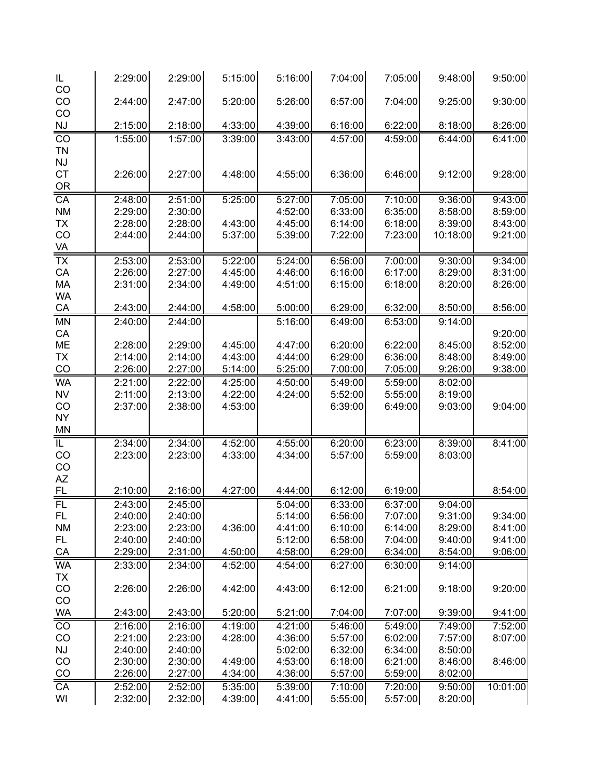| IL<br>CO        | 2:29:00 | 2:29:00 | 5:15:00 | 5:16:00 | 7:04:00 | 7:05:00 | 9:48:00  | 9:50:00  |
|-----------------|---------|---------|---------|---------|---------|---------|----------|----------|
| CO              | 2:44:00 | 2:47:00 | 5:20:00 | 5:26:00 | 6:57:00 | 7:04:00 | 9:25:00  | 9:30:00  |
| CO<br>NJ        | 2:15:00 | 2:18:00 | 4:33:00 | 4:39:00 | 6:16:00 | 6:22:00 | 8:18:00  | 8:26:00  |
| CO              | 1:55:00 | 1:57:00 | 3:39:00 | 3:43:00 | 4:57:00 | 4:59:00 | 6:44:00  | 6:41:00  |
| <b>TN</b>       |         |         |         |         |         |         |          |          |
| NJ              |         |         |         |         |         |         |          |          |
| <b>CT</b>       |         |         |         |         |         |         |          |          |
|                 | 2:26:00 | 2:27:00 | 4:48:00 | 4:55:00 | 6:36:00 | 6:46:00 | 9:12:00  | 9:28:00  |
| OR              |         |         |         |         |         |         |          |          |
| CA              | 2:48:00 | 2:51:00 | 5:25:00 | 5:27:00 | 7:05:00 | 7:10:00 | 9:36:00  | 9:43:00  |
| <b>NM</b>       | 2:29:00 | 2:30:00 |         | 4:52:00 | 6:33:00 | 6:35:00 | 8:58:00  | 8:59:00  |
| <b>TX</b>       | 2:28:00 | 2:28:00 | 4:43:00 | 4:45:00 | 6:14:00 | 6:18:00 | 8:39:00  | 8:43:00  |
| CO              | 2:44:00 | 2:44:00 | 5:37:00 | 5:39:00 | 7:22:00 | 7:23:00 | 10:18:00 | 9:21:00  |
| VA              |         |         |         |         |         |         |          |          |
| $\overline{TX}$ | 2:53:00 | 2:53:00 | 5:22:00 | 5:24:00 | 6:56:00 | 7:00:00 | 9:30:00  | 9:34:00  |
| CA              | 2:26:00 | 2:27:00 | 4:45:00 | 4:46:00 | 6:16:00 | 6:17:00 | 8:29:00  | 8:31:00  |
| MA              | 2:31:00 | 2:34:00 | 4:49:00 | 4:51:00 | 6:15:00 | 6:18:00 | 8:20:00  | 8:26:00  |
| <b>WA</b>       |         |         |         |         |         |         |          |          |
| CA              | 2:43:00 | 2:44:00 | 4:58:00 | 5:00:00 | 6:29:00 | 6:32:00 | 8:50:00  | 8:56:00  |
| <b>MN</b>       | 2:40:00 | 2:44:00 |         | 5:16:00 | 6:49:00 | 6:53:00 | 9:14:00  |          |
| CA              |         |         |         |         |         |         |          | 9:20:00  |
| ME              | 2:28:00 | 2:29:00 | 4:45:00 | 4:47:00 | 6:20:00 | 6:22:00 | 8:45:00  | 8:52:00  |
| <b>TX</b>       | 2:14:00 | 2:14:00 | 4:43:00 | 4:44:00 | 6:29:00 | 6:36:00 | 8:48:00  | 8:49:00  |
| CO              | 2:26:00 | 2:27:00 | 5:14:00 | 5:25:00 | 7:00:00 | 7:05:00 | 9:26:00  | 9:38:00  |
| <b>WA</b>       | 2:21:00 | 2:22:00 | 4:25:00 | 4:50:00 | 5:49:00 | 5:59:00 | 8:02:00  |          |
| <b>NV</b>       | 2:11:00 | 2:13:00 | 4:22:00 | 4:24:00 | 5:52:00 | 5:55:00 | 8:19:00  |          |
| CO              | 2:37:00 | 2:38:00 | 4:53:00 |         | 6:39:00 | 6:49:00 | 9:03:00  | 9:04:00  |
| <b>NY</b>       |         |         |         |         |         |         |          |          |
| <b>MN</b>       |         |         |         |         |         |         |          |          |
|                 |         |         |         |         |         |         |          |          |
| IL              | 2:34:00 | 2:34:00 | 4:52:00 | 4:55:00 | 6:20:00 | 6:23:00 | 8:39:00  | 8:41:00  |
| CO              | 2:23:00 | 2:23:00 | 4:33:00 | 4:34:00 | 5:57:00 | 5:59:00 | 8:03:00  |          |
| CO              |         |         |         |         |         |         |          |          |
| AZ              |         |         |         |         |         |         |          |          |
| FL              | 2:10:00 | 2:16:00 | 4:27:00 | 4:44:00 | 6:12:00 | 6:19:00 |          | 8:54:00  |
| $\overline{FL}$ | 2:43:00 | 2:45:00 |         | 5:04:00 | 6:33:00 | 6:37:00 | 9:04:00  |          |
| FL.             | 2:40:00 | 2:40:00 |         | 5:14:00 | 6:56:00 | 7:07:00 | 9:31:00  | 9:34:00  |
| <b>NM</b>       | 2:23:00 | 2:23:00 | 4:36:00 | 4:41:00 | 6:10:00 | 6:14:00 | 8:29:00  | 8:41:00  |
| FL.             | 2:40:00 | 2:40:00 |         | 5:12:00 | 6:58:00 | 7:04:00 | 9:40:00  | 9:41:00  |
| CA              | 2:29:00 | 2:31:00 | 4:50:00 | 4:58:00 | 6:29:00 | 6:34:00 | 8:54:00  | 9:06:00  |
| <b>WA</b>       | 2:33:00 | 2:34:00 | 4:52:00 | 4:54:00 | 6:27:00 | 6:30:00 | 9:14:00  |          |
| <b>TX</b>       |         |         |         |         |         |         |          |          |
| CO              | 2:26:00 | 2:26:00 | 4:42:00 | 4:43:00 | 6:12:00 | 6:21:00 | 9:18:00  | 9:20:00  |
| CO              |         |         |         |         |         |         |          |          |
| <b>WA</b>       | 2:43:00 | 2:43:00 | 5:20:00 | 5:21:00 | 7:04:00 | 7:07:00 | 9:39:00  | 9:41:00  |
|                 | 2:16:00 | 2:16:00 | 4:19:00 | 4:21:00 | 5:46:00 | 5:49:00 | 7:49:00  | 7:52:00  |
| CO              |         |         |         |         |         |         | 7:57:00  |          |
| CO              | 2:21:00 | 2:23:00 | 4:28:00 | 4:36:00 | 5:57:00 | 6:02:00 |          | 8:07:00  |
| <b>NJ</b>       | 2:40:00 | 2:40:00 |         | 5:02:00 | 6:32:00 | 6:34:00 | 8:50:00  |          |
| CO              | 2:30:00 | 2:30:00 | 4:49:00 | 4:53:00 | 6:18:00 | 6:21:00 | 8:46:00  | 8:46:00  |
| $\frac{CO}{1}$  | 2:26:00 | 2:27:00 | 4:34:00 | 4:36:00 | 5:57:00 | 5:59:00 | 8:02:00  |          |
| $\overline{CA}$ | 2:52:00 | 2:52:00 | 5:35:00 | 5:39:00 | 7:10:00 | 7:20:00 | 9:50:00  | 10:01:00 |
| WI              | 2:32:00 | 2:32:00 | 4:39:00 | 4:41:00 | 5:55:00 | 5:57:00 | 8:20:00  |          |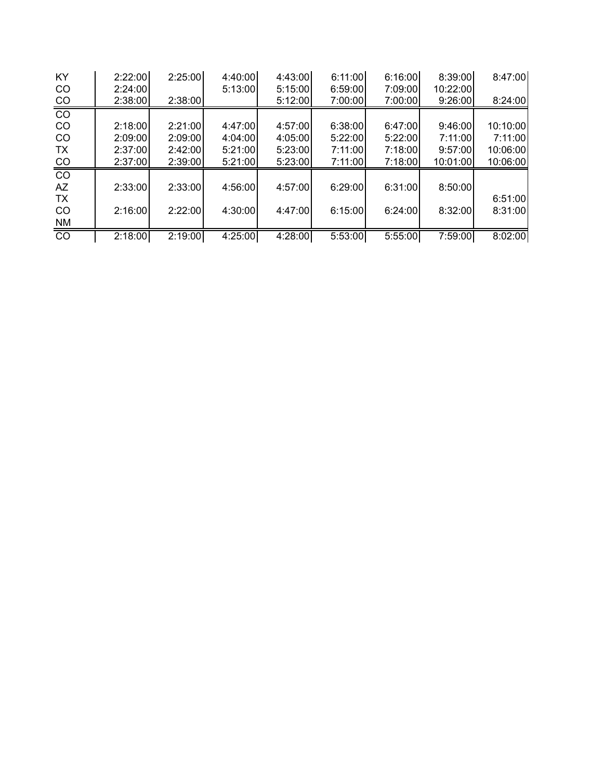| <b>KY</b>       | 2:22:00 | 2:25:00 | 4:40:00  | 4:43:00 | 6:11:00 | 6:16:00 | 8:39:00  | 8:47:00  |
|-----------------|---------|---------|----------|---------|---------|---------|----------|----------|
| CO              | 2:24:00 |         | 5:13:00  | 5:15:00 | 6:59:00 | 7:09:00 | 10:22:00 |          |
| CO              | 2:38:00 | 2:38:00 |          | 5:12:00 | 7:00:00 | 7:00:00 | 9:26:00  | 8:24:00  |
| $\overline{CO}$ |         |         |          |         |         |         |          |          |
| CO              | 2:18:00 | 2:21:00 | 4:47:00  | 4:57:00 | 6:38:00 | 6:47:00 | 9:46:00  | 10:10:00 |
| <sub>CO</sub>   | 2:09:00 | 2:09:00 | 4:04:001 | 4:05:00 | 5:22:00 | 5:22:00 | 7:11:00  | 7:11:00  |
| TX              | 2:37:00 | 2:42:00 | 5:21:00  | 5:23:00 | 7:11:00 | 7:18:00 | 9:57:00  | 10:06:00 |
| CO              | 2:37:00 | 2:39:00 | 5:21:00  | 5:23:00 | 7:11:00 | 7:18:00 | 10:01:00 | 10:06:00 |
| $\overline{co}$ |         |         |          |         |         |         |          |          |
| AZ              | 2:33:00 | 2:33:00 | 4:56:00  | 4:57:00 | 6:29:00 | 6:31:00 | 8:50:00  |          |
| TX              |         |         |          |         |         |         |          | 6:51:00  |
| <sub>CO</sub>   | 2:16:00 | 2:22:00 | 4:30:00  | 4:47:00 | 6:15:00 | 6:24:00 | 8:32:00  | 8:31:00  |
| NM              |         |         |          |         |         |         |          |          |
| $\overline{co}$ | 2:18:00 | 2:19:00 | 4:25:00  | 4:28:00 | 5:53:00 | 5:55:00 | 7:59:00  | 8:02:00  |
|                 |         |         |          |         |         |         |          |          |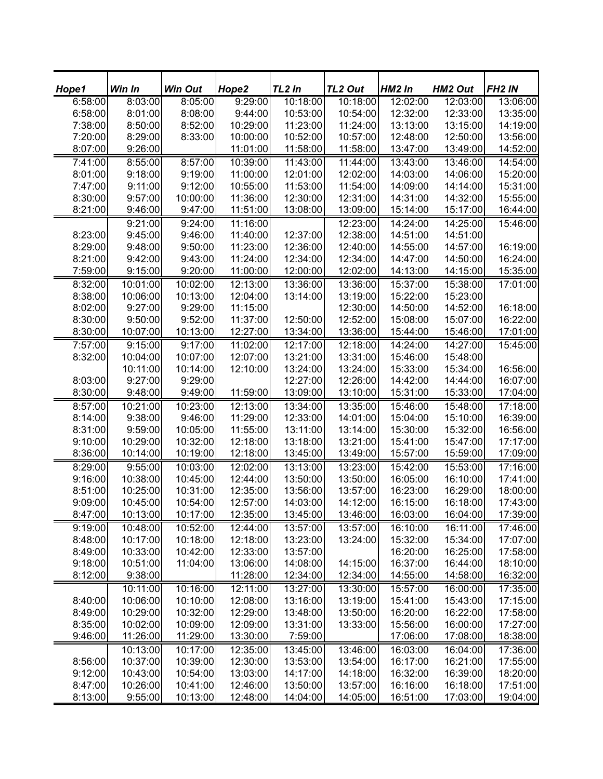| Hope1   | Win In   | <b>Win Out</b> | Hope2    | TL <sub>2</sub> In | TL <sub>2</sub> Out | HM <sub>2</sub> In | HM2 Out  | FH <sub>2</sub> IN |
|---------|----------|----------------|----------|--------------------|---------------------|--------------------|----------|--------------------|
| 6:58:00 | 8:03:00  | 8:05:00        | 9:29:00  | 10:18:00           | 10:18:00            | 12:02:00           | 12:03:00 | 13:06:00           |
| 6:58:00 | 8:01:00  | 8:08:00        | 9:44:00  | 10:53:00           | 10:54:00            | 12:32:00           | 12:33:00 | 13:35:00           |
| 7:38:00 | 8:50:00  | 8:52:00        | 10:29:00 | 11:23:00           | 11:24:00            | 13:13:00           | 13:15:00 | 14:19:00           |
| 7:20:00 | 8:29:00  | 8:33:00        | 10:00:00 | 10:52:00           | 10:57:00            | 12:48:00           | 12:50:00 | 13:56:00           |
| 8:07:00 | 9:26:00  |                | 11:01:00 | 11:58:00           | 11:58:00            | 13:47:00           | 13:49:00 | 14:52:00           |
| 7:41:00 | 8:55:00  | 8:57:00        | 10:39:00 | 11:43:00           | 11:44:00            | 13:43:00           | 13:46:00 | 14:54:00           |
| 8:01:00 | 9:18:00  | 9:19:00        | 11:00:00 | 12:01:00           | 12:02:00            | 14:03:00           | 14:06:00 | 15:20:00           |
| 7:47:00 | 9:11:00  | 9:12:00        | 10:55:00 | 11:53:00           | 11:54:00            | 14:09:00           | 14:14:00 | 15:31:00           |
| 8:30:00 | 9:57:00  | 10:00:00       | 11:36:00 | 12:30:00           | 12:31:00            | 14:31:00           | 14:32:00 | 15:55:00           |
| 8:21:00 | 9:46:00  | 9:47:00        | 11:51:00 | 13:08:00           | 13:09:00            | 15:14:00           | 15:17:00 | 16:44:00           |
|         | 9:21:00  | 9:24:00        | 11:16:00 |                    | 12:23:00            | 14:24:00           | 14:25:00 | 15:46:00           |
| 8:23:00 | 9:45:00  | 9:46:00        | 11:40:00 | 12:37:00           | 12:38:00            | 14:51:00           | 14:51:00 |                    |
| 8:29:00 | 9:48:00  | 9:50:00        | 11:23:00 | 12:36:00           | 12:40:00            | 14:55:00           | 14:57:00 | 16:19:00           |
| 8:21:00 | 9:42:00  | 9:43:00        | 11:24:00 | 12:34:00           | 12:34:00            | 14:47:00           | 14:50:00 | 16:24:00           |
| 7:59:00 | 9:15:00  | 9:20:00        | 11:00:00 | 12:00:00           | 12:02:00            | 14:13:00           | 14:15:00 | 15:35:00           |
| 8:32:00 | 10:01:00 | 10:02:00       | 12:13:00 | 13:36:00           | 13:36:00            | 15:37:00           | 15:38:00 | 17:01:00           |
| 8:38:00 | 10:06:00 | 10:13:00       | 12:04:00 | 13:14:00           | 13:19:00            | 15:22:00           | 15:23:00 |                    |
| 8:02:00 | 9:27:00  | 9:29:00        | 11:15:00 |                    | 12:30:00            | 14:50:00           | 14:52:00 | 16:18:00           |
| 8:30:00 | 9:50:00  | 9:52:00        | 11:37:00 | 12:50:00           | 12:52:00            | 15:08:00           | 15:07:00 | 16:22:00           |
| 8:30:00 | 10:07:00 | 10:13:00       | 12:27:00 | 13:34:00           | 13:36:00            | 15:44:00           | 15:46:00 | 17:01:00           |
| 7:57:00 | 9:15:00  | 9:17:00        | 11:02:00 | 12:17:00           | 12:18:00            | 14:24:00           | 14:27:00 | 15:45:00           |
| 8:32:00 | 10:04:00 | 10:07:00       | 12:07:00 | 13:21:00           | 13:31:00            | 15:46:00           | 15:48:00 |                    |
|         | 10:11:00 | 10:14:00       | 12:10:00 | 13:24:00           | 13:24:00            | 15:33:00           | 15:34:00 | 16:56:00           |
| 8:03:00 | 9:27:00  | 9:29:00        |          | 12:27:00           | 12:26:00            | 14:42:00           | 14:44:00 | 16:07:00           |
| 8:30:00 | 9:48:00  | 9:49:00        | 11:59:00 | 13:09:00           | 13:10:00            | 15:31:00           | 15:33:00 | 17:04:00           |
| 8:57:00 | 10:21:00 | 10:23:00       | 12:13:00 | 13:34:00           | 13:35:00            | 15:46:00           | 15:48:00 | 17:18:00           |
| 8:14:00 | 9:38:00  | 9:46:00        | 11:29:00 | 12:33:00           | 14:01:00            | 15:04:00           | 15:10:00 | 16:39:00           |
| 8:31:00 | 9:59:00  | 10:05:00       | 11:55:00 | 13:11:00           | 13:14:00            | 15:30:00           | 15:32:00 | 16:56:00           |
| 9:10:00 | 10:29:00 | 10:32:00       | 12:18:00 | 13:18:00           | 13:21:00            | 15:41:00           | 15:47:00 | 17:17:00           |
| 8:36:00 | 10:14:00 | 10:19:00       | 12:18:00 | 13:45:00           | 13:49:00            | 15:57:00           | 15:59:00 | 17:09:00           |
| 8:29:00 | 9:55:00  | 10:03:00       | 12:02:00 | 13:13:00           | 13:23:00            | 15:42:00           | 15:53:00 | 17:16:00           |
| 9:16:00 | 10:38:00 | 10:45:00       | 12:44:00 | 13:50:00           | 13:50:00            | 16:05:00           | 16:10:00 | 17:41:00           |
| 8:51:00 | 10:25:00 | 10:31:00       | 12:35:00 | 13:56:00           | 13:57:00            | 16:23:00           | 16:29:00 | 18:00:00           |
| 9:09:00 | 10:45:00 | 10:54:00       | 12:57:00 | 14:03:00           | 14:12:00            | 16:15:00           | 16:18:00 | 17:43:00           |
| 8:47:00 | 10:13:00 | 10:17:00       | 12:35:00 | 13:45:00           | 13:46:00            | 16:03:00           | 16:04:00 | 17:39:00           |
| 9:19:00 | 10:48:00 | 10:52:00       | 12:44:00 | 13:57:00           | 13:57:00            | 16:10:00           | 16:11:00 | 17:46:00           |
| 8:48:00 | 10:17:00 | 10:18:00       | 12:18:00 | 13:23:00           | 13:24:00            | 15:32:00           | 15:34:00 | 17:07:00           |
| 8:49:00 | 10:33:00 | 10:42:00       | 12:33:00 | 13:57:00           |                     | 16:20:00           | 16:25:00 | 17:58:00           |
| 9:18:00 | 10:51:00 | 11:04:00       | 13:06:00 | 14:08:00           | 14:15:00            | 16:37:00           | 16:44:00 | 18:10:00           |
| 8:12:00 | 9:38:00  |                | 11:28:00 | 12:34:00           | 12:34:00            | 14:55:00           | 14:58:00 | 16:32:00           |
|         | 10:11:00 | 10:16:00       | 12:11:00 | 13:27:00           | 13:30:00            | 15:57:00           | 16:00:00 | 17:35:00           |
| 8:40:00 | 10:06:00 | 10:10:00       | 12:08:00 | 13:16:00           | 13:19:00            | 15:41:00           | 15:43:00 | 17:15:00           |
| 8:49:00 | 10:29:00 | 10:32:00       | 12:29:00 | 13:48:00           | 13:50:00            | 16:20:00           | 16:22:00 | 17:58:00           |
| 8:35:00 | 10:02:00 | 10:09:00       | 12:09:00 | 13:31:00           | 13:33:00            | 15:56:00           | 16:00:00 | 17:27:00           |
| 9:46:00 | 11:26:00 | 11:29:00       | 13:30:00 | 7:59:00            |                     | 17:06:00           | 17:08:00 | 18:38:00           |
|         | 10:13:00 | 10:17:00       | 12:35:00 | 13:45:00           | 13:46:00            | 16:03:00           | 16:04:00 | 17:36:00           |
| 8:56:00 | 10:37:00 | 10:39:00       | 12:30:00 | 13:53:00           | 13:54:00            | 16:17:00           | 16:21:00 | 17:55:00           |
| 9:12:00 | 10:43:00 | 10:54:00       | 13:03:00 | 14:17:00           | 14:18:00            | 16:32:00           | 16:39:00 | 18:20:00           |
| 8:47:00 | 10:26:00 | 10:41:00       | 12:46:00 | 13:50:00           | 13:57:00            | 16:16:00           | 16:18:00 | 17:51:00           |
| 8:13:00 | 9:55:00  | 10:13:00       | 12:48:00 | 14:04:00           | 14:05:00            | 16:51:00           | 17:03:00 | 19:04:00           |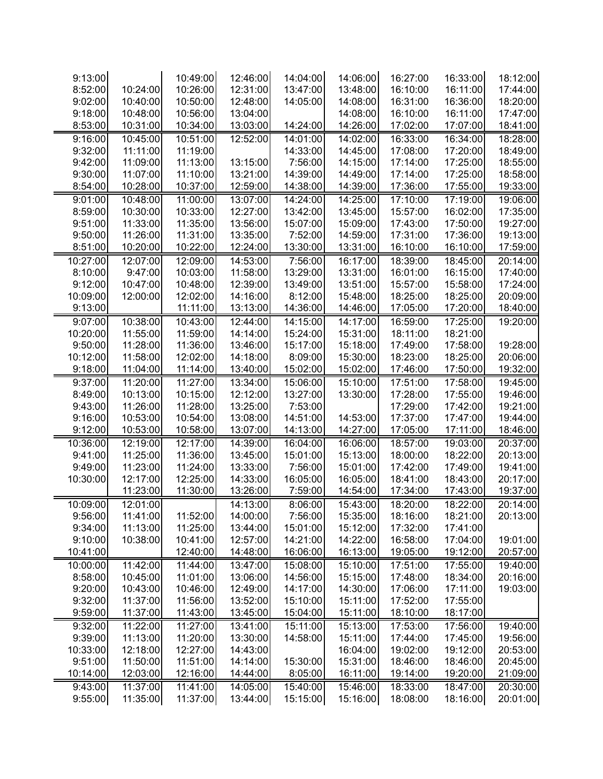| 9:13:00  |          | 10:49:00 | 12:46:00 | 14:04:00 | 14:06:00 | 16:27:00 | 16:33:00 | 18:12:00 |
|----------|----------|----------|----------|----------|----------|----------|----------|----------|
| 8:52:00  | 10:24:00 | 10:26:00 | 12:31:00 | 13:47:00 | 13:48:00 | 16:10:00 | 16:11:00 | 17:44:00 |
| 9:02:00  | 10:40:00 | 10:50:00 | 12:48:00 | 14:05:00 | 14:08:00 | 16:31:00 | 16:36:00 | 18:20:00 |
| 9:18:00  | 10:48:00 | 10:56:00 | 13:04:00 |          | 14:08:00 | 16:10:00 | 16:11:00 | 17:47:00 |
| 8:53:00  | 10:31:00 | 10:34:00 | 13:03:00 | 14:24:00 | 14:26:00 | 17:02:00 | 17:07:00 | 18:41:00 |
| 9:16:00  | 10:45:00 | 10:51:00 | 12:52:00 | 14:01:00 | 14:02:00 | 16:33:00 | 16:34:00 | 18:28:00 |
| 9:32:00  | 11:11:00 | 11:19:00 |          | 14:33:00 | 14:45:00 | 17:08:00 | 17:20:00 | 18:49:00 |
| 9:42:00  | 11:09:00 | 11:13:00 | 13:15:00 | 7:56:00  | 14:15:00 | 17:14:00 | 17:25:00 | 18:55:00 |
| 9:30:00  | 11:07:00 | 11:10:00 | 13:21:00 | 14:39:00 | 14:49:00 | 17:14:00 | 17:25:00 | 18:58:00 |
| 8:54:00  | 10:28:00 | 10:37:00 | 12:59:00 | 14:38:00 | 14:39:00 | 17:36:00 | 17:55:00 | 19:33:00 |
| 9:01:00  | 10:48:00 | 11:00:00 | 13:07:00 | 14:24:00 | 14:25:00 | 17:10:00 | 17:19:00 | 19:06:00 |
| 8:59:00  | 10:30:00 | 10:33:00 | 12:27:00 | 13:42:00 | 13:45:00 | 15:57:00 | 16:02:00 | 17:35:00 |
| 9:51:00  | 11:33:00 | 11:35:00 | 13:56:00 | 15:07:00 | 15:09:00 | 17:43:00 | 17:50:00 | 19:27:00 |
| 9:50:00  | 11:26:00 | 11:31:00 | 13:35:00 | 7:52:00  | 14:59:00 | 17:31:00 | 17:36:00 | 19:13:00 |
| 8:51:00  | 10:20:00 | 10:22:00 | 12:24:00 | 13:30:00 | 13:31:00 | 16:10:00 | 16:10:00 | 17:59:00 |
| 10:27:00 | 12:07:00 | 12:09:00 | 14:53:00 | 7:56:00  | 16:17:00 | 18:39:00 | 18:45:00 | 20:14:00 |
| 8:10:00  | 9:47:00  | 10:03:00 | 11:58:00 | 13:29:00 | 13:31:00 | 16:01:00 | 16:15:00 | 17:40:00 |
| 9:12:00  | 10:47:00 | 10:48:00 | 12:39:00 | 13:49:00 | 13:51:00 | 15:57:00 | 15:58:00 | 17:24:00 |
| 10:09:00 | 12:00:00 | 12:02:00 | 14:16:00 | 8:12:00  | 15:48:00 | 18:25:00 | 18:25:00 | 20:09:00 |
| 9:13:00  |          | 11:11:00 | 13:13:00 | 14:36:00 | 14:46:00 | 17:05:00 | 17:20:00 | 18:40:00 |
| 9:07:00  | 10:38:00 | 10:43:00 | 12:44:00 | 14:15:00 | 14:17:00 | 16:59:00 | 17:25:00 | 19:20:00 |
| 10:20:00 | 11:55:00 | 11:59:00 | 14:14:00 | 15:24:00 | 15:31:00 | 18:11:00 | 18:21:00 |          |
| 9:50:00  | 11:28:00 | 11:36:00 | 13:46:00 | 15:17:00 | 15:18:00 | 17:49:00 | 17:58:00 | 19:28:00 |
| 10:12:00 | 11:58:00 | 12:02:00 | 14:18:00 | 8:09:00  | 15:30:00 | 18:23:00 | 18:25:00 | 20:06:00 |
| 9:18:00  | 11:04:00 | 11:14:00 | 13:40:00 | 15:02:00 | 15:02:00 | 17:46:00 | 17:50:00 | 19:32:00 |
| 9:37:00  | 11:20:00 | 11:27:00 | 13:34:00 | 15:06:00 | 15:10:00 | 17:51:00 | 17:58:00 | 19:45:00 |
| 8:49:00  | 10:13:00 | 10:15:00 | 12:12:00 | 13:27:00 | 13:30:00 | 17:28:00 | 17:55:00 | 19:46:00 |
| 9:43:00  | 11:26:00 | 11:28:00 | 13:25:00 | 7:53:00  |          | 17:29:00 | 17:42:00 | 19:21:00 |
| 9:16:00  | 10:53:00 | 10:54:00 | 13:08:00 | 14:51:00 | 14:53:00 | 17:37:00 | 17:47:00 | 19:44:00 |
| 9:12:00  | 10:53:00 | 10:58:00 | 13:07:00 | 14:13:00 | 14:27:00 | 17:05:00 | 17:11:00 | 18:46:00 |
| 10:36:00 | 12:19:00 | 12:17:00 | 14:39:00 | 16:04:00 | 16:06:00 | 18:57:00 | 19:03:00 | 20:37:00 |
| 9:41:00  | 11:25:00 | 11:36:00 | 13:45:00 | 15:01:00 | 15:13:00 | 18:00:00 | 18:22:00 | 20:13:00 |
| 9:49:00  | 11:23:00 | 11:24:00 | 13:33:00 | 7:56:00  | 15:01:00 | 17:42:00 | 17:49:00 | 19:41:00 |
| 10:30:00 | 12:17:00 | 12:25:00 | 14:33:00 | 16:05:00 | 16:05:00 | 18:41:00 | 18:43:00 | 20:17:00 |
|          | 11:23:00 | 11:30:00 | 13:26:00 | 7:59:00  | 14:54:00 | 17:34:00 | 17:43:00 | 19:37:00 |
| 10:09:00 | 12:01:00 |          | 14:13:00 | 8:06:00  | 15:43:00 | 18:20:00 | 18:22:00 | 20:14:00 |
| 9:56:00  | 11:41:00 | 11:52:00 | 14:00:00 | 7:56:00  | 15:35:00 | 18:16:00 | 18:21:00 | 20:13:00 |
| 9:34:00  | 11:13:00 | 11:25:00 | 13:44:00 | 15:01:00 | 15:12:00 | 17:32:00 | 17:41:00 |          |
| 9:10:00  | 10:38:00 | 10:41:00 | 12:57:00 | 14:21:00 | 14:22:00 | 16:58:00 | 17:04:00 | 19:01:00 |
| 10:41:00 |          | 12:40:00 | 14:48:00 | 16:06:00 | 16:13:00 | 19:05:00 | 19:12:00 | 20:57:00 |
| 10:00:00 | 11:42:00 | 11:44:00 | 13:47:00 | 15:08:00 | 15:10:00 | 17:51:00 | 17:55:00 | 19:40:00 |
| 8:58:00  | 10:45:00 | 11:01:00 | 13:06:00 | 14:56:00 | 15:15:00 | 17:48:00 | 18:34:00 | 20:16:00 |
| 9:20:00  | 10:43:00 | 10:46:00 | 12:49:00 | 14:17:00 | 14:30:00 | 17:06:00 | 17:11:00 | 19:03:00 |
| 9:32:00  | 11:37:00 | 11:56:00 | 13:52:00 | 15:10:00 | 15:11:00 | 17:52:00 | 17:55:00 |          |
| 9:59:00  | 11:37:00 | 11:43:00 | 13:45:00 | 15:04:00 | 15:11:00 | 18:10:00 | 18:17:00 |          |
| 9:32:00  | 11:22:00 | 11:27:00 | 13:41:00 | 15:11:00 | 15:13:00 | 17:53:00 | 17:56:00 | 19:40:00 |
| 9:39:00  | 11:13:00 | 11:20:00 | 13:30:00 | 14:58:00 | 15:11:00 | 17:44:00 | 17:45:00 | 19:56:00 |
| 10:33:00 | 12:18:00 | 12:27:00 | 14:43:00 |          | 16:04:00 | 19:02:00 | 19:12:00 | 20:53:00 |
| 9:51:00  | 11:50:00 | 11:51:00 | 14:14:00 | 15:30:00 | 15:31:00 | 18:46:00 | 18:46:00 | 20:45:00 |
| 10:14:00 | 12:03:00 | 12:16:00 | 14:44:00 | 8:05:00  | 16:11:00 | 19:14:00 | 19:20:00 | 21:09:00 |
| 9:43:00  | 11:37:00 | 11:41:00 | 14:05:00 | 15:40:00 | 15:46:00 | 18:33:00 | 18:47:00 | 20:30:00 |
| 9:55:00  | 11:35:00 | 11:37:00 | 13:44:00 | 15:15:00 | 15:16:00 | 18:08:00 | 18:16:00 | 20:01:00 |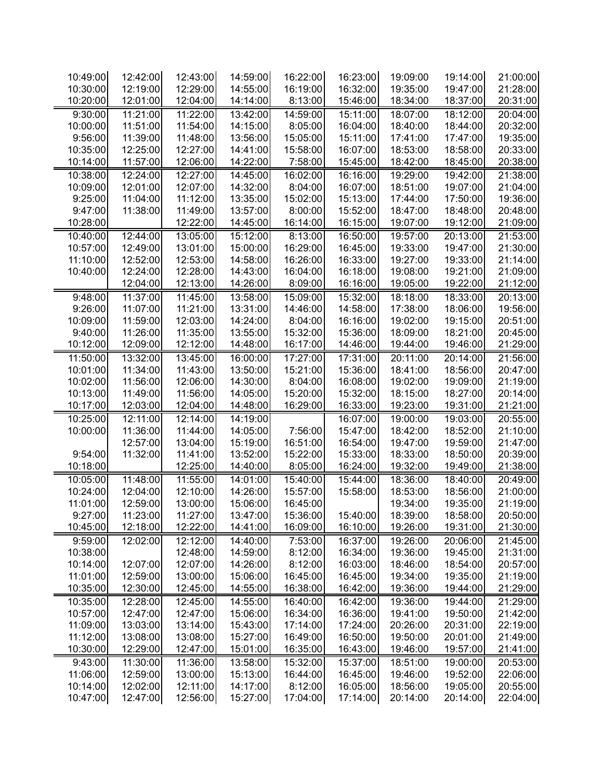| 10:49:00             | 12:42:00             | 12:43:00             | 14:59:00             | 16:22:00            | 16:23:00             | 19:09:00             | 19:14:00             | 21:00:00             |
|----------------------|----------------------|----------------------|----------------------|---------------------|----------------------|----------------------|----------------------|----------------------|
| 10:30:00             | 12:19:00             | 12:29:00             | 14:55:00             | 16:19:00            | 16:32:00             | 19:35:00             | 19:47:00             | 21:28:00             |
| 10:20:00             | 12:01:00             | 12:04:00             | 14:14:00             | 8:13:00             | 15:46:00             | 18:34:00             | 18:37:00             | 20:31:00             |
| 9:30:00              | 11:21:00             | 11:22:00             | 13:42:00             | 14:59:00            | 15:11:00             | 18:07:00             | 18:12:00             | 20:04:00             |
| 10:00:00             | 11:51:00             | 11:54:00             | 14:15:00             | 8:05:00             | 16:04:00             | 18:40:00             | 18:44:00             | 20:32:00             |
| 9:56:00              | 11:39:00             | 11:48:00             | 13:56:00             | 15:05:00            | 15:11:00             | 17:41:00             | 17:47:00             | 19:35:00             |
| 10:35:00             | 12:25:00             | 12:27:00             | 14:41:00             | 15:58:00            | 16:07:00             | 18:53:00             | 18:58:00             | 20:33:00             |
| 10:14:00             | 11:57:00             | 12:06:00             | 14:22:00             | 7:58:00             | 15:45:00             | 18:42:00             | 18:45:00             | 20:38:00             |
| 10:38:00             | 12:24:00             | 12:27:00             | 14:45:00             | 16:02:00            | 16:16:00             | 19:29:00             | 19:42:00             | 21:38:00             |
| 10:09:00             | 12:01:00             | 12:07:00             | 14:32:00             | 8:04:00             | 16:07:00             | 18:51:00             | 19:07:00             | 21:04:00             |
| 9:25:00              | 11:04:00             | 11:12:00             | 13:35:00             | 15:02:00            | 15:13:00             | 17:44:00             | 17:50:00             | 19:36:00             |
| 9:47:00              | 11:38:00             | 11:49:00             | 13:57:00             | 8:00:00             | 15:52:00             | 18:47:00             | 18:48:00             | 20:48:00             |
| 10:28:00             |                      | 12:22:00             | 14:45:00             | 16:14:00            | 16:15:00             | 19:07:00             | 19:12:00             | 21:09:00             |
| 10:40:00             | 12:44:00             | 13:05:00             | 15:12:00             | 8:13:00             | 16:50:00             | 19:57:00             | 20:13:00             | 21:53:00             |
| 10:57:00             | 12:49:00             | 13:01:00             | 15:00:00             | 16:29:00            | 16:45:00             | 19:33:00             | 19:47:00             | 21:30:00             |
| 11:10:00             | 12:52:00             | 12:53:00             | 14:58:00             | 16:26:00            | 16:33:00             | 19:27:00             | 19:33:00             | 21:14:00             |
| 10:40:00             | 12:24:00             | 12:28:00             | 14:43:00             | 16:04:00            | 16:18:00             | 19:08:00             | 19:21:00             | 21:09:00             |
|                      | 12:04:00             | 12:13:00             | 14:26:00             | 8:09:00             | 16:16:00             | 19:05:00             | 19:22:00             | 21:12:00             |
| 9:48:00              | 11:37:00             | 11:45:00             | 13:58:00             | 15:09:00            | 15:32:00             | 18:18:00             | 18:33:00             | 20:13:00             |
| 9:26:00              | 11:07:00             | 11:21:00             | 13:31:00             | 14:46:00            | 14:58:00             | 17:38:00             | 18:06:00             | 19:56:00             |
| 10:09:00             | 11:59:00             | 12:03:00             | 14:24:00             | 8:04:00             | 16:16:00             | 19:02:00             | 19:15:00             | 20:51:00             |
| 9:40:00              | 11:26:00             | 11:35:00             | 13:55:00             | 15:32:00            | 15:36:00             | 18:09:00             | 18:21:00             | 20:45:00             |
| 10:12:00             | 12:09:00             | 12:12:00             | 14:48:00             | 16:17:00            | 14:46:00             | 19:44:00             | 19:46:00             | 21:29:00             |
| 11:50:00             | 13:32:00             | 13:45:00             | 16:00:00             | 17:27:00            | 17:31:00             | 20:11:00             | 20:14:00             | 21:56:00             |
| 10:01:00             | 11:34:00             | 11:43:00             | 13:50:00             | 15:21:00            | 15:36:00             | 18:41:00             | 18:56:00             | 20:47:00             |
| 10:02:00             | 11:56:00             | 12:06:00             | 14:30:00             | 8:04:00             | 16:08:00             | 19:02:00             | 19:09:00             | 21:19:00             |
| 10:13:00             | 11:49:00             | 11:56:00             | 14:05:00             | 15:20:00            | 15:32:00             | 18:15:00             | 18:27:00             | 20:14:00             |
| 10:17:00             | 12:03:00             | 12:04:00             | 14:48:00             | 16:29:00            | 16:33:00             | 19:23:00             | 19:31:00             | 21:21:00             |
| 10:25:00             | 12:11:00             | 12:14:00             | 14:19:00             |                     | 16:07:00             | 19:00:00             | 19:03:00             | 20:55:00             |
| 10:00:00             | 11:36:00             | 11:44:00             | 14:05:00             | 7:56:00             | 15:47:00             | 18:42:00             | 18:52:00             | 21:10:00             |
|                      | 12:57:00             | 13:04:00             | 15:19:00             | 16:51:00            | 16:54:00             | 19:47:00             | 19:59:00             | 21:47:00             |
| 9:54:00              | 11:32:00             | 11:41:00             | 13:52:00             | 15:22:00            | 15:33:00             | 18:33:00             | 18:50:00             | 20:39:00             |
| 10:18:00             |                      | 12:25:00             | 14:40:00             | 8:05:00             | 16:24:00             | 19:32:00             | 19:49:00             | 21:38:00             |
| 10:05:00             | 11:48:00             | 11:55:00             | 14:01:00             | 15:40:00            | 15:44:00             | 18:36:00             | 18:40:00             | 20:49:00             |
| 10:24:00             | 12:04:00             | 12:10:00             | 14:26:00             | 15:57:00            |                      | 18:53:00             | 18:56:00             | 21:00:00             |
| 11:01:00             | 12:59:00             | 13:00:00             | 15:06:00             | 16:45:00            | 15:58:00             | 19:34:00             | 19:35:00             | 21:19:00             |
| 9:27:00              | 11:23:00             | 11:27:00             | 13:47:00             | 15:36:00            | 15:40:00             | 18:39:00             | 18:58:00             | 20:50:00             |
| 10:45:00             | 12:18:00             | 12:22:00             | 14:41:00             | 16:09:00            | 16:10:00             | 19:26:00             | 19:31:00             | 21:30:00             |
|                      |                      |                      |                      |                     |                      |                      |                      |                      |
| 9:59:00              | 12:02:00             | 12:12:00             | 14:40:00             | 7:53:00             | 16:37:00             | 19:26:00             | 20:06:00             | 21:45:00             |
| 10:38:00             |                      | 12:48:00             | 14:59:00             | 8:12:00             | 16:34:00             | 19:36:00             | 19:45:00             | 21:31:00             |
| 10:14:00             | 12:07:00             | 12:07:00             | 14:26:00             | 8:12:00             | 16:03:00             | 18:46:00             | 18:54:00             | 20:57:00             |
| 11:01:00             | 12:59:00             | 13:00:00             | 15:06:00             | 16:45:00            | 16:45:00             | 19:34:00             | 19:35:00             | 21:19:00             |
| 10:35:00             | 12:30:00             | 12:45:00             | 14:55:00             | 16:38:00            | 16:42:00             | 19:36:00             | 19:44:00             | 21:29:00             |
| 10:35:00             | 12:28:00             | 12:45:00             | 14:55:00             | 16:40:00            | 16:42:00             | 19:36:00             | 19:44:00             | 21:29:00             |
| 10:57:00             | 12:47:00             | 12:47:00             | 15:06:00             | 16:34:00            | 16:36:00             | 19:41:00             | 19:50:00             | 21:42:00             |
| 11:09:00             | 13:03:00             | 13:14:00             | 15:43:00             | 17:14:00            | 17:24:00             | 20:26:00             | 20:31:00             | 22:19:00             |
| 11:12:00             | 13:08:00             | 13:08:00             | 15:27:00             | 16:49:00            | 16:50:00             | 19:50:00             | 20:01:00             | 21:49:00             |
|                      | 12:29:00             | 12:47:00             | 15:01:00             | 16:35:00            | 16:43:00             | 19:46:00             | 19:57:00             | 21:41:00             |
| 10:30:00             |                      |                      |                      |                     | 15:37:00             | 18:51:00             |                      | 20:53:00             |
| 9:43:00              | 11:30:00             | 11:36:00             | 13:58:00             | 15:32:00            |                      |                      | 19:00:00             |                      |
| 11:06:00             | 12:59:00             | 13:00:00             | 15:13:00             | 16:44:00            | 16:45:00             | 19:46:00             | 19:52:00             | 22:06:00             |
| 10:14:00<br>10:47:00 | 12:02:00<br>12:47:00 | 12:11:00<br>12:56:00 | 14:17:00<br>15:27:00 | 8:12:00<br>17:04:00 | 16:05:00<br>17:14:00 | 18:56:00<br>20:14:00 | 19:05:00<br>20:14:00 | 20:55:00<br>22:04:00 |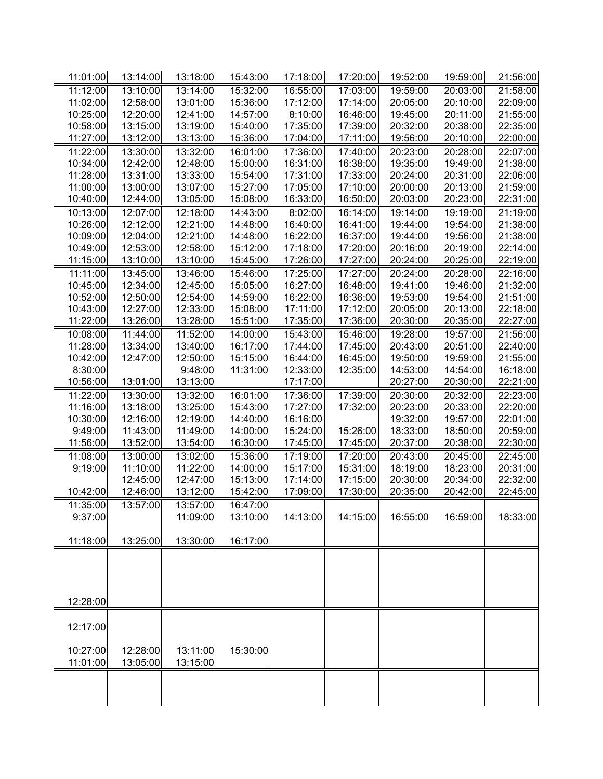| 11:01:00             | 13:14:00 | 13:18:00 | 15:43:00 | 17:18:00 | 17:20:00 | 19:52:00 | 19:59:00 | 21:56:00 |
|----------------------|----------|----------|----------|----------|----------|----------|----------|----------|
| 11:12:00             | 13:10:00 | 13:14:00 | 15:32:00 | 16:55:00 | 17:03:00 | 19:59:00 | 20:03:00 | 21:58:00 |
| 11:02:00             | 12:58:00 | 13:01:00 | 15:36:00 | 17:12:00 | 17:14:00 | 20:05:00 | 20:10:00 | 22:09:00 |
| 10:25:00             | 12:20:00 | 12:41:00 | 14:57:00 | 8:10:00  | 16:46:00 | 19:45:00 | 20:11:00 | 21:55:00 |
| 10:58:00             | 13:15:00 | 13:19:00 | 15:40:00 | 17:35:00 | 17:39:00 | 20:32:00 | 20:38:00 | 22:35:00 |
| 11:27:00             | 13:12:00 | 13:13:00 | 15:36:00 | 17:04:00 | 17:11:00 | 19:56:00 | 20:10:00 | 22:00:00 |
| 11:22:00             | 13:30:00 | 13:32:00 | 16:01:00 | 17:36:00 | 17:40:00 | 20:23:00 | 20:28:00 | 22:07:00 |
| 10:34:00             | 12:42:00 | 12:48:00 | 15:00:00 | 16:31:00 | 16:38:00 | 19:35:00 | 19:49:00 | 21:38:00 |
| 11:28:00             | 13:31:00 | 13:33:00 | 15:54:00 | 17:31:00 | 17:33:00 | 20:24:00 | 20:31:00 | 22:06:00 |
| 11:00:00             | 13:00:00 | 13:07:00 | 15:27:00 | 17:05:00 | 17:10:00 | 20:00:00 | 20:13:00 | 21:59:00 |
| 10:40:00             | 12:44:00 | 13:05:00 | 15:08:00 | 16:33:00 | 16:50:00 | 20:03:00 | 20:23:00 | 22:31:00 |
| 10:13:00             | 12:07:00 | 12:18:00 | 14:43:00 | 8:02:00  | 16:14:00 | 19:14:00 | 19:19:00 | 21:19:00 |
| 10:26:00             | 12:12:00 | 12:21:00 | 14:48:00 | 16:40:00 | 16:41:00 | 19:44:00 | 19:54:00 | 21:38:00 |
| 10:09:00             | 12:04:00 | 12:21:00 | 14:48:00 | 16:22:00 | 16:37:00 | 19:44:00 | 19:56:00 | 21:38:00 |
| 10:49:00             | 12:53:00 | 12:58:00 | 15:12:00 | 17:18:00 | 17:20:00 | 20:16:00 | 20:19:00 | 22:14:00 |
| 11:15:00             | 13:10:00 | 13:10:00 | 15:45:00 | 17:26:00 | 17:27:00 | 20:24:00 | 20:25:00 | 22:19:00 |
| 11:11:00             | 13:45:00 | 13:46:00 | 15:46:00 | 17:25:00 | 17:27:00 | 20:24:00 | 20:28:00 | 22:16:00 |
| 10:45:00             | 12:34:00 | 12:45:00 | 15:05:00 | 16:27:00 | 16:48:00 | 19:41:00 | 19:46:00 | 21:32:00 |
| 10:52:00             | 12:50:00 | 12:54:00 | 14:59:00 | 16:22:00 | 16:36:00 | 19:53:00 | 19:54:00 | 21:51:00 |
| 10:43:00             | 12:27:00 | 12:33:00 | 15:08:00 | 17:11:00 | 17:12:00 | 20:05:00 | 20:13:00 | 22:18:00 |
| 11:22:00             | 13:26:00 | 13:28:00 | 15:51:00 | 17:35:00 | 17:36:00 | 20:30:00 | 20:35:00 | 22:27:00 |
|                      | 11:44:00 | 11:52:00 | 14:00:00 | 15:43:00 | 15:46:00 | 19:28:00 | 19:57:00 | 21:56:00 |
| 10:08:00<br>11:28:00 | 13:34:00 | 13:40:00 | 16:17:00 | 17:44:00 | 17:45:00 | 20:43:00 | 20:51:00 | 22:40:00 |
| 10:42:00             |          |          |          |          |          |          |          |          |
|                      | 12:47:00 | 12:50:00 | 15:15:00 | 16:44:00 | 16:45:00 | 19:50:00 | 19:59:00 | 21:55:00 |
| 8:30:00              |          | 9:48:00  | 11:31:00 | 12:33:00 | 12:35:00 | 14:53:00 | 14:54:00 | 16:18:00 |
| 10:56:00             | 13:01:00 | 13:13:00 |          | 17:17:00 |          | 20:27:00 | 20:30:00 | 22:21:00 |
| 11:22:00             | 13:30:00 | 13:32:00 | 16:01:00 | 17:36:00 | 17:39:00 | 20:30:00 | 20:32:00 | 22:23:00 |
| 11:16:00             | 13:18:00 | 13:25:00 | 15:43:00 | 17:27:00 | 17:32:00 | 20:23:00 | 20:33:00 | 22:20:00 |
| 10:30:00             | 12:16:00 | 12:19:00 | 14:40:00 | 16:16:00 |          | 19:32:00 | 19:57:00 | 22:01:00 |
| 9:49:00              | 11:43:00 | 11:49:00 | 14:00:00 | 15:24:00 | 15:26:00 | 18:33:00 | 18:50:00 | 20:59:00 |
| 11:56:00             | 13:52:00 | 13:54:00 | 16:30:00 | 17:45:00 | 17:45:00 | 20:37:00 | 20:38:00 | 22:30:00 |
| 11:08:00             | 13:00:00 | 13:02:00 | 15:36:00 | 17:19:00 | 17:20:00 | 20:43:00 | 20:45:00 | 22:45:00 |
| 9:19:00              | 11:10:00 | 11:22:00 | 14:00:00 | 15:17:00 | 15:31:00 | 18:19:00 | 18:23:00 | 20:31:00 |
|                      | 12:45:00 | 12:47:00 | 15:13:00 | 17:14:00 | 17:15:00 | 20:30:00 | 20:34:00 | 22:32:00 |
| 10:42:00             | 12:46:00 | 13:12:00 | 15:42:00 | 17:09:00 | 17:30:00 | 20:35:00 | 20:42:00 | 22:45:00 |
| 11:35:00             | 13:57:00 | 13:57:00 | 16:47:00 |          |          |          |          |          |
| 9:37:00              |          | 11:09:00 | 13:10:00 | 14:13:00 | 14:15:00 | 16:55:00 | 16:59:00 | 18:33:00 |
|                      |          |          |          |          |          |          |          |          |
| 11:18:00             | 13:25:00 | 13:30:00 | 16:17:00 |          |          |          |          |          |
|                      |          |          |          |          |          |          |          |          |
|                      |          |          |          |          |          |          |          |          |
|                      |          |          |          |          |          |          |          |          |
|                      |          |          |          |          |          |          |          |          |
| 12:28:00             |          |          |          |          |          |          |          |          |
|                      |          |          |          |          |          |          |          |          |
| 12:17:00             |          |          |          |          |          |          |          |          |
|                      |          |          |          |          |          |          |          |          |
| 10:27:00             | 12:28:00 | 13:11:00 | 15:30:00 |          |          |          |          |          |
| 11:01:00             | 13:05:00 | 13:15:00 |          |          |          |          |          |          |
|                      |          |          |          |          |          |          |          |          |
|                      |          |          |          |          |          |          |          |          |
|                      |          |          |          |          |          |          |          |          |
|                      |          |          |          |          |          |          |          |          |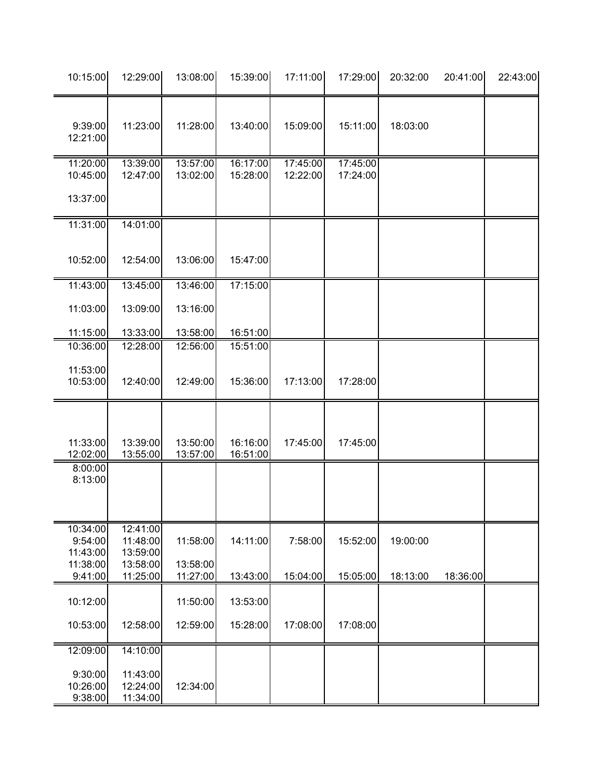| 10:15:00                        | 12:29:00                         | 13:08:00             | 15:39:00             | 17:11:00             | 17:29:00             | 20:32:00 | 20:41:00 | 22:43:00 |
|---------------------------------|----------------------------------|----------------------|----------------------|----------------------|----------------------|----------|----------|----------|
| 9:39:00<br>12:21:00             | 11:23:00                         | 11:28:00             | 13:40:00             | 15:09:00             | 15:11:00             | 18:03:00 |          |          |
| 11:20:00<br>10:45:00            | 13:39:00<br>12:47:00             | 13:57:00<br>13:02:00 | 16:17:00<br>15:28:00 | 17:45:00<br>12:22:00 | 17:45:00<br>17:24:00 |          |          |          |
| 13:37:00                        |                                  |                      |                      |                      |                      |          |          |          |
| 11:31:00                        | 14:01:00                         |                      |                      |                      |                      |          |          |          |
| 10:52:00                        | 12:54:00                         | 13:06:00             | 15:47:00             |                      |                      |          |          |          |
| 11:43:00                        | 13:45:00                         | 13:46:00             | 17:15:00             |                      |                      |          |          |          |
| 11:03:00                        | 13:09:00                         | 13:16:00             |                      |                      |                      |          |          |          |
| 11:15:00                        | 13:33:00                         | 13:58:00             | 16:51:00             |                      |                      |          |          |          |
| 10:36:00                        | 12:28:00                         | 12:56:00             | 15:51:00             |                      |                      |          |          |          |
| 11:53:00<br>10:53:00            | 12:40:00                         | 12:49:00             | 15:36:00             | 17:13:00             | 17:28:00             |          |          |          |
| 11:33:00<br>12:02:00            | 13:39:00<br>13:55:00             | 13:50:00<br>13:57:00 | 16:16:00<br>16:51:00 | 17:45:00             | 17:45:00             |          |          |          |
| 8:00:00<br>8:13:00              |                                  |                      |                      |                      |                      |          |          |          |
| 10:34:00<br>9:54:00<br>11:43:00 | 12:41:00<br>11:48:00<br>13:59:00 | 11:58:00             | 14:11:00             | 7:58:00              | 15:52:00             | 19:00:00 |          |          |
| 11:38:00<br>9:41:00             | 13:58:00<br>11:25:00             | 13:58:00<br>11:27:00 | 13:43:00             | 15:04:00             | 15:05:00             | 18:13:00 | 18:36:00 |          |
| 10:12:00                        |                                  | 11:50:00             | 13:53:00             |                      |                      |          |          |          |
| 10:53:00                        | 12:58:00                         | 12:59:00             | 15:28:00             | 17:08:00             | 17:08:00             |          |          |          |
| 12:09:00                        | 14:10:00                         |                      |                      |                      |                      |          |          |          |
| 9:30:00<br>10:26:00<br>9:38:00  | 11:43:00<br>12:24:00<br>11:34:00 | 12:34:00             |                      |                      |                      |          |          |          |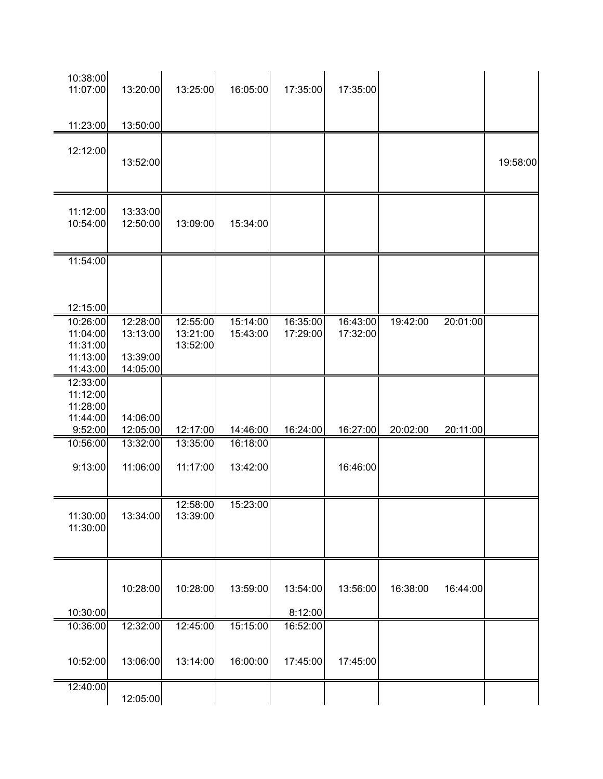| 10:38:00<br>11:07:00                                     | 13:20:00                                     | 13:25:00                         | 16:05:00             | 17:35:00             | 17:35:00             |          |          |          |
|----------------------------------------------------------|----------------------------------------------|----------------------------------|----------------------|----------------------|----------------------|----------|----------|----------|
| 11:23:00                                                 | 13:50:00                                     |                                  |                      |                      |                      |          |          |          |
| 12:12:00                                                 | 13:52:00                                     |                                  |                      |                      |                      |          |          | 19:58:00 |
| 11:12:00<br>10:54:00                                     | 13:33:00<br>12:50:00                         | 13:09:00                         | 15:34:00             |                      |                      |          |          |          |
| 11:54:00                                                 |                                              |                                  |                      |                      |                      |          |          |          |
| 12:15:00                                                 |                                              |                                  |                      |                      |                      |          |          |          |
| 10:26:00<br>11:04:00<br>11:31:00<br>11:13:00<br>11:43:00 | 12:28:00<br>13:13:00<br>13:39:00<br>14:05:00 | 12:55:00<br>13:21:00<br>13:52:00 | 15:14:00<br>15:43:00 | 16:35:00<br>17:29:00 | 16:43:00<br>17:32:00 | 19:42:00 | 20:01:00 |          |
| 12:33:00<br>11:12:00<br>11:28:00<br>11:44:00             | 14:06:00                                     |                                  |                      |                      |                      |          |          |          |
| 9:52:00                                                  | 12:05:00                                     | 12:17:00                         | 14:46:00             | 16:24:00             | 16:27:00             | 20:02:00 | 20:11:00 |          |
| 10:56:00<br>9:13:00                                      | 13:32:00<br>11:06:00                         | 13:35:00<br>11:17:00             | 16:18:00<br>13:42:00 |                      | 16:46:00             |          |          |          |
| 11:30:00<br>11:30:00                                     | 13:34:00                                     | 12:58:00<br>13:39:00             | 15:23:00             |                      |                      |          |          |          |
| 10:30:00                                                 | 10:28:00                                     | 10:28:00                         | 13:59:00             | 13:54:00<br>8:12:00  | 13:56:00             | 16:38:00 | 16:44:00 |          |
| 10:36:00                                                 | 12:32:00                                     | 12:45:00                         | 15:15:00             | 16:52:00             |                      |          |          |          |
| 10:52:00                                                 | 13:06:00                                     | 13:14:00                         | 16:00:00             | 17:45:00             | 17:45:00             |          |          |          |
| 12:40:00                                                 | 12:05:00                                     |                                  |                      |                      |                      |          |          |          |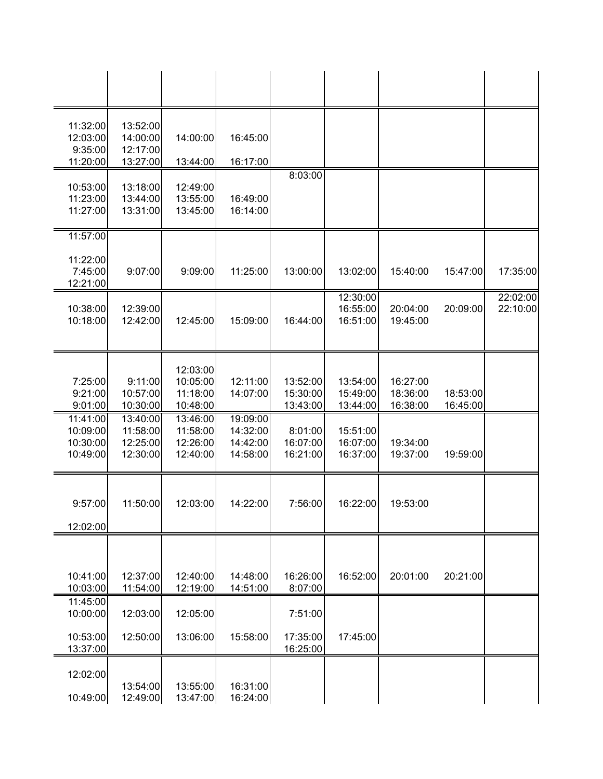| 11:32:00<br>12:03:00<br>9:35:00<br>11:20:00  | 13:52:00<br>14:00:00<br>12:17:00<br>13:27:00 | 14:00:00<br>13:44:00                         | 16:45:00<br>16:17:00                         |                                  |                                  |                                  |                      |                      |
|----------------------------------------------|----------------------------------------------|----------------------------------------------|----------------------------------------------|----------------------------------|----------------------------------|----------------------------------|----------------------|----------------------|
| 10:53:00<br>11:23:00<br>11:27:00             | 13:18:00<br>13:44:00<br>13:31:00             | 12:49:00<br>13:55:00<br>13:45:00             | 16:49:00<br>16:14:00                         | 8:03:00                          |                                  |                                  |                      |                      |
| 11:57:00<br>11:22:00<br>7:45:00<br>12:21:00  | 9:07:00                                      | 9:09:00                                      | 11:25:00                                     | 13:00:00                         | 13:02:00                         | 15:40:00                         | 15:47:00             | 17:35:00             |
| 10:38:00<br>10:18:00                         | 12:39:00<br>12:42:00                         | 12:45:00                                     | 15:09:00                                     | 16:44:00                         | 12:30:00<br>16:55:00<br>16:51:00 | 20:04:00<br>19:45:00             | 20:09:00             | 22:02:00<br>22:10:00 |
| 7:25:00<br>9:21:00<br>9:01:00                | 9:11:00<br>10:57:00<br>10:30:00              | 12:03:00<br>10:05:00<br>11:18:00<br>10:48:00 | 12:11:00<br>14:07:00                         | 13:52:00<br>15:30:00<br>13:43:00 | 13:54:00<br>15:49:00<br>13:44:00 | 16:27:00<br>18:36:00<br>16:38:00 | 18:53:00<br>16:45:00 |                      |
| 11:41:00<br>10:09:00<br>10:30:00<br>10:49:00 | 13:40:00<br>11:58:00<br>12:25:00<br>12:30:00 | 13:46:00<br>11:58:00<br>12:26:00<br>12:40:00 | 19:09:00<br>14:32:00<br>14:42:00<br>14:58:00 | 8:01:00<br>16:07:00<br>16:21:00  | 15:51:00<br>16:07:00<br>16:37:00 | 19:34:00<br>19:37:00             | 19:59:00             |                      |
| 9:57:00<br>12:02:00                          | 11:50:00                                     | 12:03:00                                     | 14:22:00                                     | 7:56:00                          | 16:22:00                         | 19:53:00                         |                      |                      |
| 10:41:00<br>10:03:00                         | 12:37:00<br>11:54:00                         | 12:40:00<br>12:19:00                         | 14:48:00<br>14:51:00                         | 16:26:00<br>8:07:00              | 16:52:00                         | 20:01:00                         | 20:21:00             |                      |
| 11:45:00<br>10:00:00<br>10:53:00<br>13:37:00 | 12:03:00<br>12:50:00                         | 12:05:00<br>13:06:00                         | 15:58:00                                     | 7:51:00<br>17:35:00<br>16:25:00  | 17:45:00                         |                                  |                      |                      |
| 12:02:00<br>10:49:00                         | 13:54:00<br>12:49:00                         | 13:55:00<br>13:47:00                         | 16:31:00<br>16:24:00                         |                                  |                                  |                                  |                      |                      |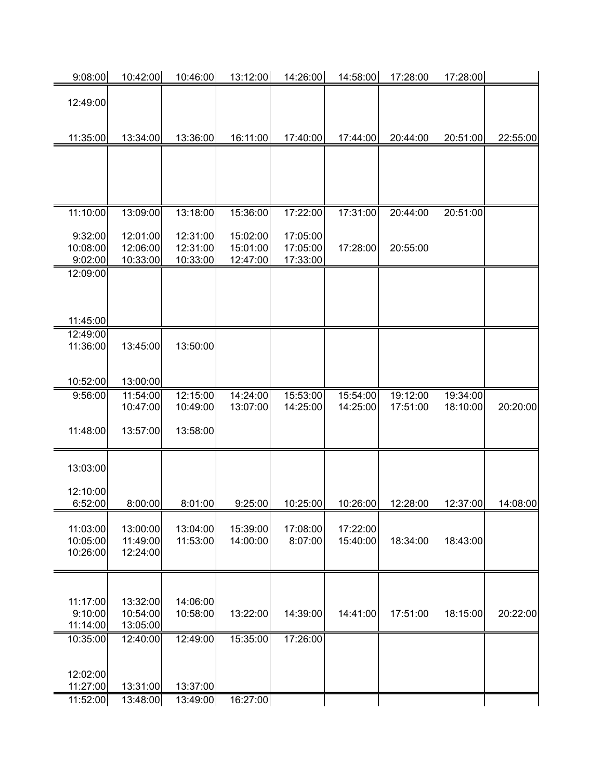| 9:08:00              | 10:42:00             | 10:46:00             | 13:12:00             | 14:26:00             | 14:58:00             | 17:28:00             | 17:28:00             |          |
|----------------------|----------------------|----------------------|----------------------|----------------------|----------------------|----------------------|----------------------|----------|
|                      |                      |                      |                      |                      |                      |                      |                      |          |
| 12:49:00             |                      |                      |                      |                      |                      |                      |                      |          |
|                      |                      |                      |                      |                      |                      |                      |                      |          |
| 11:35:00             | 13:34:00             | 13:36:00             | 16:11:00             | 17:40:00             | 17:44:00             | 20:44:00             | 20:51:00             | 22:55:00 |
|                      |                      |                      |                      |                      |                      |                      |                      |          |
|                      |                      |                      |                      |                      |                      |                      |                      |          |
|                      |                      |                      |                      |                      |                      |                      |                      |          |
|                      |                      |                      |                      |                      |                      |                      |                      |          |
| 11:10:00             | 13:09:00             | 13:18:00             | 15:36:00             | 17:22:00             | 17:31:00             | 20:44:00             | 20:51:00             |          |
| 9:32:00              | 12:01:00             | 12:31:00             | 15:02:00             | 17:05:00             |                      |                      |                      |          |
| 10:08:00             | 12:06:00             | 12:31:00             | 15:01:00             | 17:05:00             | 17:28:00             | 20:55:00             |                      |          |
| 9:02:00              | 10:33:00             | 10:33:00             | 12:47:00             | 17:33:00             |                      |                      |                      |          |
| 12:09:00             |                      |                      |                      |                      |                      |                      |                      |          |
|                      |                      |                      |                      |                      |                      |                      |                      |          |
|                      |                      |                      |                      |                      |                      |                      |                      |          |
| 11:45:00             |                      |                      |                      |                      |                      |                      |                      |          |
| 12:49:00<br>11:36:00 | 13:45:00             | 13:50:00             |                      |                      |                      |                      |                      |          |
|                      |                      |                      |                      |                      |                      |                      |                      |          |
|                      |                      |                      |                      |                      |                      |                      |                      |          |
| 10:52:00             | 13:00:00             |                      |                      |                      |                      |                      |                      |          |
| 9:56:00              | 11:54:00<br>10:47:00 | 12:15:00<br>10:49:00 | 14:24:00<br>13:07:00 | 15:53:00<br>14:25:00 | 15:54:00<br>14:25:00 | 19:12:00<br>17:51:00 | 19:34:00<br>18:10:00 | 20:20:00 |
|                      |                      |                      |                      |                      |                      |                      |                      |          |
| 11:48:00             | 13:57:00             | 13:58:00             |                      |                      |                      |                      |                      |          |
|                      |                      |                      |                      |                      |                      |                      |                      |          |
| 13:03:00             |                      |                      |                      |                      |                      |                      |                      |          |
|                      |                      |                      |                      |                      |                      |                      |                      |          |
| 12:10:00             |                      |                      |                      |                      |                      |                      |                      |          |
| 6:52:00              | 8:00:00              | 8:01:00              | 9:25:00              | 10:25:00             | 10:26:00             | 12:28:00             | 12:37:00             | 14:08:00 |
| 11:03:00             | 13:00:00             | 13:04:00             | 15:39:00             | 17:08:00             | 17:22:00             |                      |                      |          |
| 10:05:00             | 11:49:00             | 11:53:00             | 14:00:00             | 8:07:00              | 15:40:00             | 18:34:00             | 18:43:00             |          |
| 10:26:00             | 12:24:00             |                      |                      |                      |                      |                      |                      |          |
|                      |                      |                      |                      |                      |                      |                      |                      |          |
|                      |                      |                      |                      |                      |                      |                      |                      |          |
| 11:17:00             | 13:32:00             | 14:06:00             |                      |                      |                      |                      |                      |          |
| 9:10:00              | 10:54:00             | 10:58:00             | 13:22:00             | 14:39:00             | 14:41:00             | 17:51:00             | 18:15:00             | 20:22:00 |
| 11:14:00             | 13:05:00             |                      |                      |                      |                      |                      |                      |          |
| 10:35:00             | 12:40:00             | 12:49:00             | 15:35:00             | 17:26:00             |                      |                      |                      |          |
|                      |                      |                      |                      |                      |                      |                      |                      |          |
| 12:02:00             |                      |                      |                      |                      |                      |                      |                      |          |
| 11:27:00             | 13:31:00             | 13:37:00             |                      |                      |                      |                      |                      |          |
| 11:52:00             | 13:48:00             | 13:49:00             | 16:27:00             |                      |                      |                      |                      |          |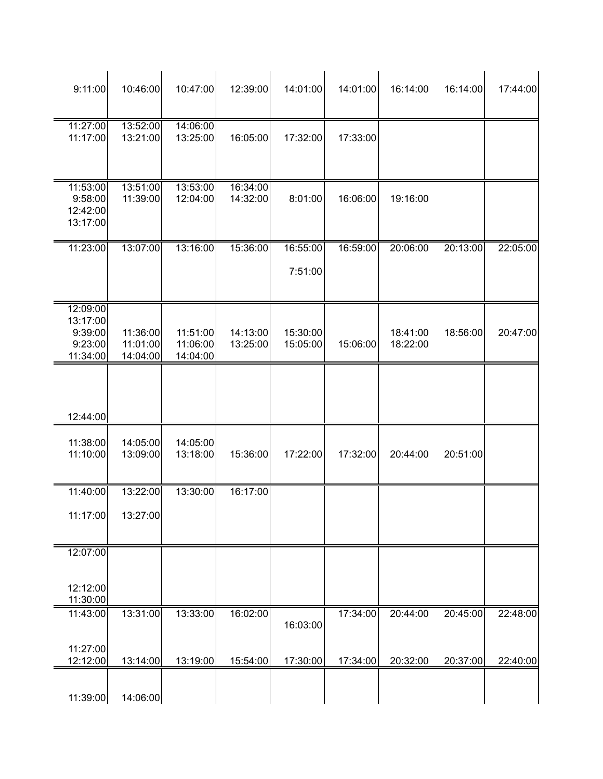| 9:11:00                                                | 10:46:00                         | 10:47:00                         | 12:39:00             | 14:01:00             | 14:01:00 | 16:14:00             | 16:14:00 | 17:44:00 |
|--------------------------------------------------------|----------------------------------|----------------------------------|----------------------|----------------------|----------|----------------------|----------|----------|
| 11:27:00<br>11:17:00                                   | 13:52:00<br>13:21:00             | 14:06:00<br>13:25:00             | 16:05:00             | 17:32:00             | 17:33:00 |                      |          |          |
| 11:53:00<br>9:58:00<br>12:42:00<br>13:17:00            | 13:51:00<br>11:39:00             | 13:53:00<br>12:04:00             | 16:34:00<br>14:32:00 | 8:01:00              | 16:06:00 | 19:16:00             |          |          |
| 11:23:00                                               | 13:07:00                         | 13:16:00                         | 15:36:00             | 16:55:00<br>7:51:00  | 16:59:00 | 20:06:00             | 20:13:00 | 22:05:00 |
| 12:09:00<br>13:17:00<br>9:39:00<br>9:23:00<br>11:34:00 | 11:36:00<br>11:01:00<br>14:04:00 | 11:51:00<br>11:06:00<br>14:04:00 | 14:13:00<br>13:25:00 | 15:30:00<br>15:05:00 | 15:06:00 | 18:41:00<br>18:22:00 | 18:56:00 | 20:47:00 |
| 12:44:00                                               |                                  |                                  |                      |                      |          |                      |          |          |
| 11:38:00<br>11:10:00                                   | 14:05:00<br>13:09:00             | 14:05:00<br>13:18:00             | 15:36:00             | 17:22:00             | 17:32:00 | 20:44:00             | 20:51:00 |          |
| 11:40:00<br>11:17:00                                   | 13:22:00<br>13:27:00             | 13:30:00                         | 16:17:00             |                      |          |                      |          |          |
| 12:07:00<br>12:12:00<br>11:30:00                       |                                  |                                  |                      |                      |          |                      |          |          |
| 11:43:00<br>11:27:00                                   | 13:31:00                         | 13:33:00                         | 16:02:00             | 16:03:00             | 17:34:00 | 20:44:00             | 20:45:00 | 22:48:00 |
| 12:12:00<br>11:39:00                                   | 13:14:00<br>14:06:00             | 13:19:00                         | 15:54:00             | 17:30:00             | 17:34:00 | 20:32:00             | 20:37:00 | 22:40:00 |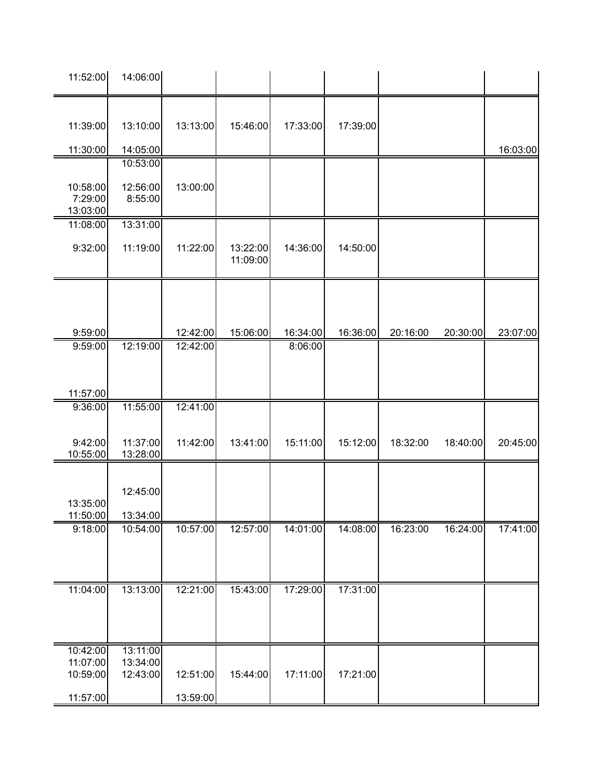| 11:52:00                                     | 14:06:00                         |                      |                      |                     |          |          |          |          |
|----------------------------------------------|----------------------------------|----------------------|----------------------|---------------------|----------|----------|----------|----------|
| 11:39:00<br>11:30:00                         | 13:10:00<br>14:05:00             | 13:13:00             | 15:46:00             | 17:33:00            | 17:39:00 |          |          | 16:03:00 |
| 10:58:00<br>7:29:00<br>13:03:00              | 10:53:00<br>12:56:00<br>8:55:00  | 13:00:00             |                      |                     |          |          |          |          |
| 11:08:00<br>9:32:00                          | 13:31:00<br>11:19:00             | 11:22:00             | 13:22:00<br>11:09:00 | 14:36:00            | 14:50:00 |          |          |          |
| 9:59:00<br>9:59:00                           | 12:19:00                         | 12:42:00<br>12:42:00 | 15:06:00             | 16:34:00<br>8:06:00 | 16:36:00 | 20:16:00 | 20:30:00 | 23:07:00 |
| 11:57:00                                     |                                  |                      |                      |                     |          |          |          |          |
| 9:36:00<br>9:42:00<br>10:55:00               | 11:55:00<br>11:37:00<br>13:28:00 | 12:41:00<br>11:42:00 | 13:41:00             | 15:11:00            | 15:12:00 | 18:32:00 | 18:40:00 | 20:45:00 |
| 13:35:00<br>11:50:00                         | 12:45:00<br>13:34:00             |                      |                      |                     |          |          |          |          |
| 9:18:00                                      | 10:54:00                         | 10:57:00             | 12:57:00             | 14:01:00            | 14:08:00 | 16:23:00 | 16:24:00 | 17:41:00 |
| 11:04:00                                     | 13:13:00                         | 12:21:00             | 15:43:00             | 17:29:00            | 17:31:00 |          |          |          |
| 10:42:00<br>11:07:00<br>10:59:00<br>11:57:00 | 13:11:00<br>13:34:00<br>12:43:00 | 12:51:00<br>13:59:00 | 15:44:00             | 17:11:00            | 17:21:00 |          |          |          |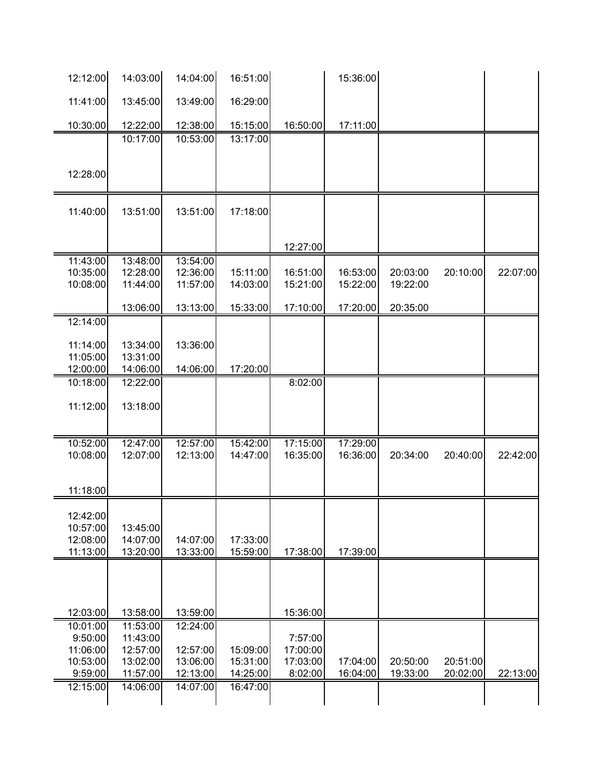| 12:12:00             | 14:03:00             | 14:04:00             | 16:51:00             |          | 15:36:00 |          |          |          |
|----------------------|----------------------|----------------------|----------------------|----------|----------|----------|----------|----------|
| 11:41:00             | 13:45:00             | 13:49:00             | 16:29:00             |          |          |          |          |          |
| 10:30:00             | 12:22:00             | 12:38:00             | 15:15:00             | 16:50:00 | 17:11:00 |          |          |          |
|                      | 10:17:00             | 10:53:00             | 13:17:00             |          |          |          |          |          |
|                      |                      |                      |                      |          |          |          |          |          |
| 12:28:00             |                      |                      |                      |          |          |          |          |          |
| 11:40:00             | 13:51:00             | 13:51:00             | 17:18:00             |          |          |          |          |          |
|                      |                      |                      |                      |          |          |          |          |          |
|                      |                      |                      |                      | 12:27:00 |          |          |          |          |
| 11:43:00<br>10:35:00 | 13:48:00<br>12:28:00 | 13:54:00<br>12:36:00 | 15:11:00             | 16:51:00 | 16:53:00 | 20:03:00 | 20:10:00 | 22:07:00 |
| 10:08:00             | 11:44:00             | 11:57:00             | 14:03:00             | 15:21:00 | 15:22:00 | 19:22:00 |          |          |
|                      | 13:06:00             | 13:13:00             | 15:33:00             | 17:10:00 | 17:20:00 | 20:35:00 |          |          |
| 12:14:00             |                      |                      |                      |          |          |          |          |          |
| 11:14:00             | 13:34:00             |                      |                      |          |          |          |          |          |
| 11:05:00             | 13:31:00             | 13:36:00             |                      |          |          |          |          |          |
| 12:00:00             | 14:06:00             | 14:06:00             | 17:20:00             |          |          |          |          |          |
| 10:18:00             | 12:22:00             |                      |                      | 8:02:00  |          |          |          |          |
|                      |                      |                      |                      |          |          |          |          |          |
| 11:12:00             | 13:18:00             |                      |                      |          |          |          |          |          |
|                      |                      |                      |                      |          |          |          |          |          |
| 10:52:00             | 12:47:00             | 12:57:00             | 15:42:00             | 17:15:00 | 17:29:00 |          |          |          |
| 10:08:00             | 12:07:00             | 12:13:00             | 14:47:00             | 16:35:00 | 16:36:00 | 20:34:00 | 20:40:00 | 22:42:00 |
|                      |                      |                      |                      |          |          |          |          |          |
| 11:18:00             |                      |                      |                      |          |          |          |          |          |
| 12:42:00             |                      |                      |                      |          |          |          |          |          |
| 10:57:00             | 13:45:00             |                      |                      |          |          |          |          |          |
| 12:08:00             | 14:07:00             | 14:07:00             | 17:33:00             |          |          |          |          |          |
| 11:13:00             | 13:20:00             | 13:33:00             | 15:59:00             | 17:38:00 | 17:39:00 |          |          |          |
|                      |                      |                      |                      |          |          |          |          |          |
|                      |                      |                      |                      |          |          |          |          |          |
| 12:03:00             | 13:58:00             | 13:59:00             |                      | 15:36:00 |          |          |          |          |
| 10:01:00             | 11:53:00             | 12:24:00             |                      |          |          |          |          |          |
| 9:50:00              | 11:43:00             |                      |                      | 7:57:00  |          |          |          |          |
| 11:06:00             | 12:57:00             | 12:57:00             | 15:09:00             | 17:00:00 |          |          |          |          |
| 10:53:00             | 13:02:00             | 13:06:00             | 15:31:00             | 17:03:00 | 17:04:00 | 20:50:00 | 20:51:00 |          |
| 9:59:00<br>12:15:00  | 11:57:00<br>14:06:00 | 12:13:00<br>14:07:00 | 14:25:00<br>16:47:00 | 8:02:00  | 16:04:00 | 19:33:00 | 20:02:00 | 22:13:00 |
|                      |                      |                      |                      |          |          |          |          |          |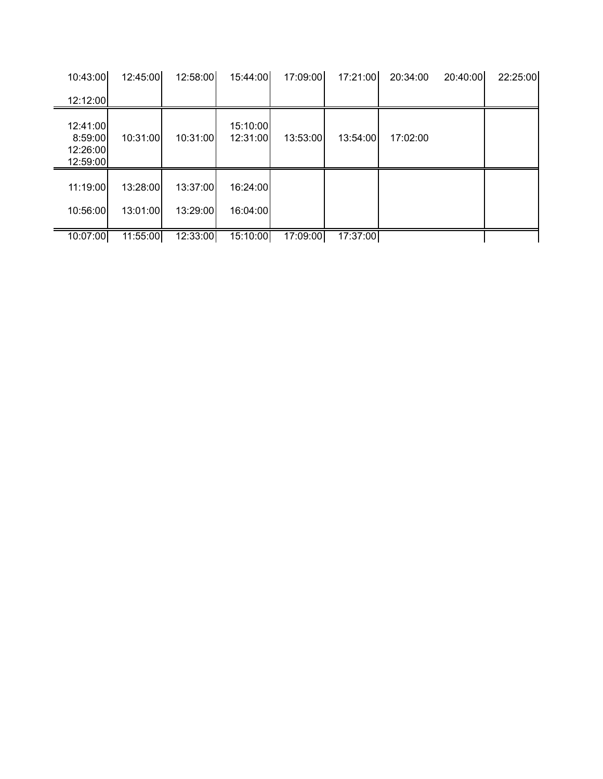| 10:43:00                                    | 12:45:00 | 12:58:00 | 15:44:00             | 17:09:00 | 17:21:00 | 20:34:00 | 20:40:00 | 22:25:00 |
|---------------------------------------------|----------|----------|----------------------|----------|----------|----------|----------|----------|
| 12:12:00                                    |          |          |                      |          |          |          |          |          |
| 12:41:00<br>8:59:00<br>12:26:00<br>12:59:00 | 10:31:00 | 10:31:00 | 15:10:00<br>12:31:00 | 13:53:00 | 13:54:00 | 17:02:00 |          |          |
| 11:19:00                                    | 13:28:00 | 13:37:00 | 16:24:00             |          |          |          |          |          |
| 10:56:00                                    | 13:01:00 | 13:29:00 | 16:04:00             |          |          |          |          |          |
| 10:07:00                                    | 11:55:00 | 12:33:00 | 15:10:00             | 17:09:00 | 17:37:00 |          |          |          |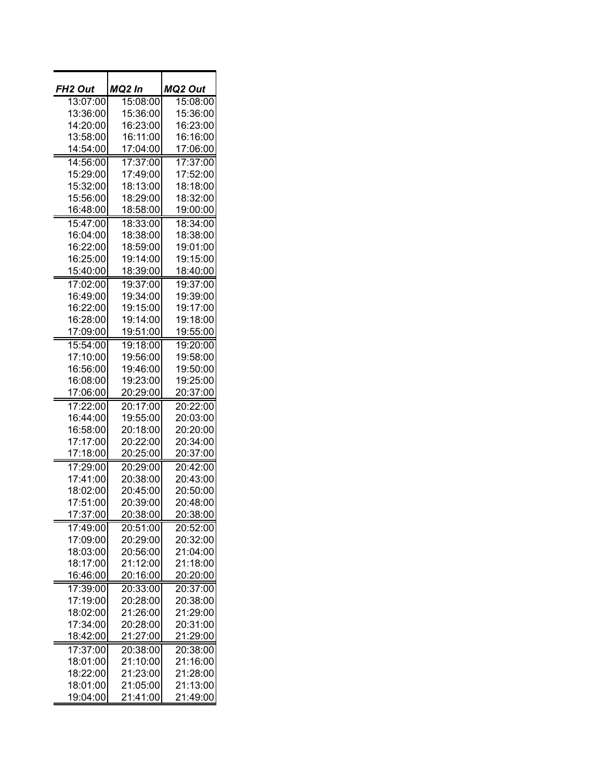| FH <sub>2</sub> Out | MQ2 In          | MQ2 Out         |  |
|---------------------|-----------------|-----------------|--|
| 13:07:00            | 15:08:00        | 15:08:00        |  |
|                     |                 |                 |  |
| 13:36:00            | 15:36:00        | 15:36:00        |  |
| 14:20:00            | 16:23:00        | 16:23:00        |  |
| 13:58:00            | 16:11:00        | 16:16:00        |  |
| 14:54:00            | 17:04:00        | 17:06:00        |  |
| 14:56:00            | 17:37:00        | 17:37:00        |  |
| 15:29:00            | 17:49:00        | 17:52:00        |  |
| 15:32:00            | 18:13:00        | 18:18:00        |  |
| 15:56:00            | 18:29:00        | 18:32:00        |  |
| 16:48:00            | <u>18:58:00</u> | <u>19:00:00</u> |  |
| 15:47:00            | 18:33:00        | 18:34:00        |  |
| 16:04:00            | 18:38:00        | 18:38:00        |  |
| 16:22:00            | 18:59:00        | 19:01:00        |  |
| 16:25:00            | 19:14:00        | 19:15:00        |  |
| 15:40:00            | 18:39:00        | 18:40:00        |  |
| 17:02:00            | 19:37:00        | 19:37:00        |  |
| 16:49:00            | 19:34:00        | 19:39:00        |  |
| 16:22:00            | 19:15:00        | 19:17:00        |  |
| 16:28:00            | 19:14:00        | 19:18:00        |  |
| 17:09:00            | 19:51:00        | 19:55:00        |  |
| 15:54:00            | 19:18:00        | 19:20:00        |  |
| 17:10:00            | 19:56:00        | 19:58:00        |  |
| 16:56:00            | 19:46:00        | 19:50:00        |  |
| 16:08:00            | 19:23:00        | 19:25:00        |  |
| 17:06:00            | 20:29:00        | 20:37:00        |  |
|                     |                 |                 |  |
| 17:22:00            | 20:17:00        | 20:22:00        |  |
| 16:44:00            | 19:55:00        | 20:03:00        |  |
| 16:58:00            | 20:18:00        | 20:20:00        |  |
| 17:17:00            | 20:22:00        | 20:34:00        |  |
| 17:18:00            | 20:25:00        | 20:37:00        |  |
| 17:29:00            | 20:29:00        | 20:42:00        |  |
| 17:41:00            | 20:38:00        | 20:43:00        |  |
| 18:02:00            | 20:45:00        | 20:50:00        |  |
| 17:51:00            | 20:39:00        | 20:48:00        |  |
| 17:37:00            | 20:38:00        | 20:38:00        |  |
| 17:49:00            | 20:51:00        | 20:52:00        |  |
| 17:09:00            | 20:29:00        | 20:32:00        |  |
| 18:03:00            | 20:56:00        | 21:04:00        |  |
| 18:17:00            | 21:12:00        | 21:18:00        |  |
| 16:46:00            | 20:16:00        | 20:20:00        |  |
| 17:39:00            | 20:33:00        | 20:37:00        |  |
| 17:19:00            | 20:28:00        | 20:38:00        |  |
| 18:02:00            | 21:26:00        | 21:29:00        |  |
| 17:34:00            | 20:28:00        | 20:31:00        |  |
| 18:42:00            | 21:27:00        | 21:29:00        |  |
| 17:37:00            | 20:38:00        | 20:38:00        |  |
| 18:01:00            | 21:10:00        | 21:16:00        |  |
| 18:22:00            | 21:23:00        | 21:28:00        |  |
| 18:01:00            | 21:05:00        | 21:13:00        |  |
| 19:04:00            | 21:41:00        | 21:49:00        |  |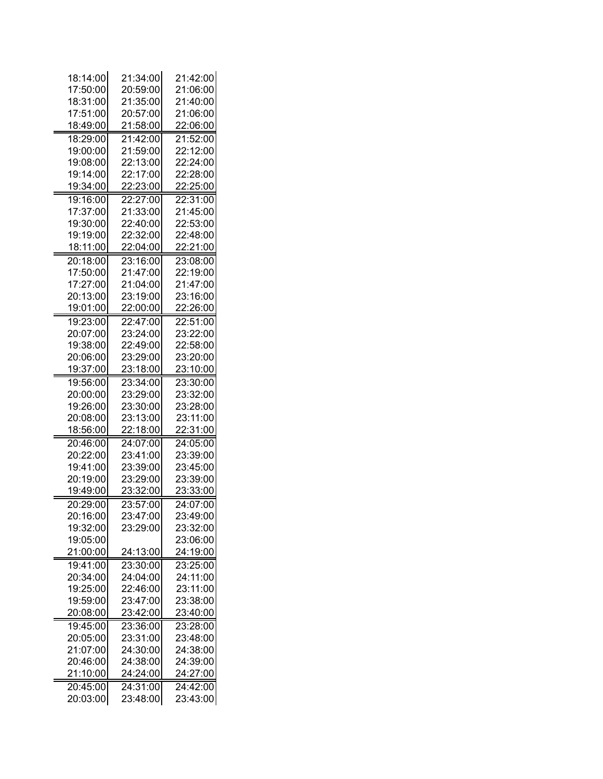| 18:14:00         | 21:34:00        | 21:42:00             |
|------------------|-----------------|----------------------|
| 17:50:00         | 20:59:00        | 21:06:00             |
| 18:31:00         | 21:35:00        | 21:40:00             |
| 17:51:00         | 20:57:00        | 21:06:00             |
| 18:49:00         | 21:58:00        | 22:06:00             |
| 18:29:00         | 21:42:00        | 21:52:00             |
| 19:00:00         | 21:59:00        | 22:12:00             |
| 19:08:00         | 22:13:00        | 22:24:00             |
| 19:14:00         | 22:17:00        | 22:28:00             |
| 19:34:00         | 22:23:00        | 22:25:00             |
| 19:16:00         | 22:27:00        | 22:31:00             |
| 17:37:00         | 21:33:00        | 21:45:00             |
| 19:30:00         | 22:40:00        | 22:53:00             |
| 19:19:00         | 22:32:00        | 22:48:00             |
| 18:11:00         | 22:04:00        | 22:21:00             |
| 20:18:00         | 23:16:00        | 23:08:00             |
| 17:50:00         | 21:47:00        | 22:19:00             |
| 17:27:00         | 21:04:00        | 21:47:00             |
| 20:13:00         | 23:19:00        | 23:16:00             |
| 19:01:00         | 22:00:00        | 22:26:00             |
| 19:23:00         | 22:47:00        | 22:51:00             |
| 20:07:00         | 23:24:00        | 23:22:00             |
| 19:38:00         | 22:49:00        | 22:58:00             |
| 20:06:00         | 23:29:00        | 23:20:00             |
| 19:37:00         | 23:18:00        | 23:10:00             |
| 19:56:00         | 23:34:00        | 23:30:00             |
| 20:00:00         | 23:29:00        | 23:32:00             |
| 19:26:00         | 23:30:00        | 23:28:00             |
| 20:08:00         | 23:13:00        | 23:11:00             |
| 18:56:00         | 22:18:00        | 22:31:00             |
| 20:46:00         | 24:07:00        | 24:05:00             |
| 20:22:00         | 23:41:00        | 23:39:00             |
| 19:41:00         | 23:39:00        | 23:45:00             |
| 20:19:00         | 23:29:00        | 23:39:00             |
| 19:49:00         | 23:32:00        | 23:33:00             |
| 20:29:00         | 23:57:00        | 24:07:00             |
| 20:16:00         | 23:47:00        | 23:49:00             |
| 19:32:00         | 23:29:00        | 23:32:00             |
| 19:05:00         |                 | 23:06:00             |
| 21:00:00         | 24:13:00        | 24:19:00             |
| 19:41:00         | 23:30:00        | 23:25:00             |
| 20:34:00         | 24:04:00        | 24:11:00             |
| 19:25:00         | 22:46:00        | 23:11:00             |
| 19:59:00         | 23:47:00        | 23:38:00             |
| 20:08:00         | 23:42:00        | 23:40:00             |
| 19:45:00         | 23:36:00        | 23:28:00             |
| 20:05:00         | 23:31:00        | 23:48:00             |
| 21:07:00         | 24:30:00        | 24:38:00             |
| 20:46:00         | 24:38:00        | 24:39:00             |
| <u> 21:10:00</u> | <u>24:24:00</u> | <u>24:27:00</u>      |
| 20:45:00         | 24:31:00        |                      |
| 20:03:00         | 23:48:00        | 24:42:00<br>23:43:00 |
|                  |                 |                      |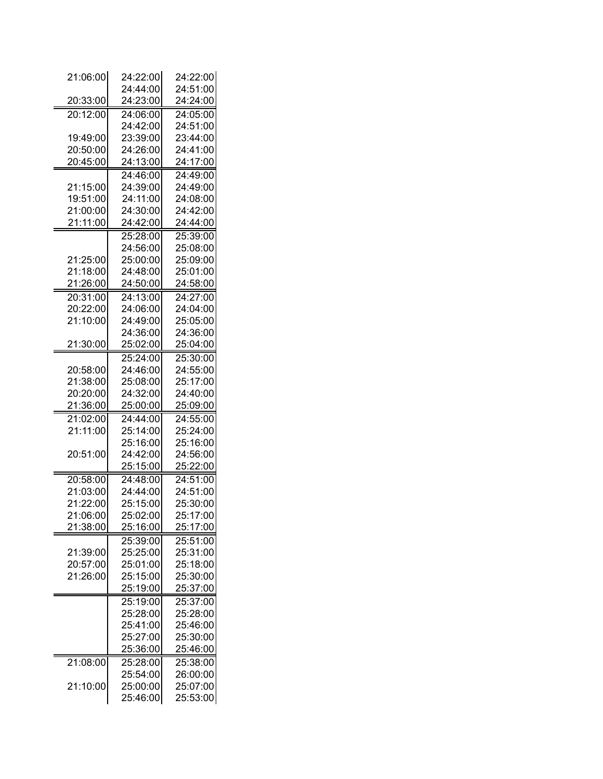| 21:06:00 | 24:22:00         | 24:22:00        |
|----------|------------------|-----------------|
|          | 24:44:00         | 24:51:00        |
| 20:33:00 | 24:23:00         | 24:24:00        |
| 20:12:00 | 24:06:00         | 24:05:00        |
|          | 24:42:00         | 24:51:00        |
| 19:49:00 | 23:39:00         | 23:44:00        |
| 20:50:00 | 24:26:00         | 24:41:00        |
| 20:45:00 | 24:13:00         | 24:17:00        |
|          | 24:46:00         | 24:49:00        |
| 21:15:00 | 24:39:00         | 24:49:00        |
| 19:51:00 | 24:11:00         | 24:08:00        |
| 21:00:00 | 24:30:00         | 24:42:00        |
| 21:11:00 | 24:42:00         | 24:44:00        |
|          | 25:28:00         | 25:39:00        |
|          | 24:56:00         | 25:08:00        |
| 21:25:00 | 25:00:00         | 25:09:00        |
| 21:18:00 | 24:48:00         | 25:01:00        |
| 21:26:00 | 24:50:00         | 24:58:00        |
| 20:31:00 | 24:13:00         | 24:27:00        |
| 20:22:00 | 24:06:00         | 24:04:00        |
| 21:10:00 | 24:49:00         | 25:05:00        |
|          | 24:36:00         | 24:36:00        |
| 21:30:00 | 25:02:00         | 25:04:00        |
|          | 25:24:00         | 25:30:00        |
| 20:58:00 | 24:46:00         | 24:55:00        |
| 21:38:00 | 25:08:00         | 25:17:00        |
| 20:20:00 | 24:32:00         | 24:40:00        |
| 21:36:00 | 25:00:00         | 25:09:00        |
| 21:02:00 | 24:44:00         | 24:55:00        |
| 21:11:00 | 25:14:00         | 25:24:00        |
|          | 25:16:00         | 25:16:00        |
| 20:51:00 | 24:42:00         | 24:56:00        |
|          | <u> 25:15:00</u> | <u>25:22:00</u> |
| 20:58:00 | 24:48:00         | 24:51:00        |
| 21:03:00 | 24:44:00         | 24:51:00        |
| 21:22:00 | 25:15:00         | 25:30:00        |
| 21:06:00 | 25:02:00         | 25:17:00        |
| 21:38:00 | 25:16:00         | 25:17:00        |
|          | 25:39:00         | 25:51:00        |
| 21:39:00 | 25:25:00         | 25:31:00        |
| 20:57:00 | 25:01:00         | 25:18:00        |
| 21:26:00 | 25:15:00         | 25:30:00        |
|          | 25:19:00         | 25:37:00        |
|          | 25:19:00         | 25:37:00        |
|          | 25:28:00         | 25:28:00        |
|          | 25:41:00         | 25:46:00        |
|          | 25:27:00         | 25:30:00        |
|          | 25:36:00         | 25:46:00        |
| 21:08:00 | 25:28:00         | 25:38:00        |
|          | 25:54:00         | 26:00:00        |
| 21:10:00 | 25:00:00         | 25:07:00        |
|          | 25:46:00         | 25:53:00        |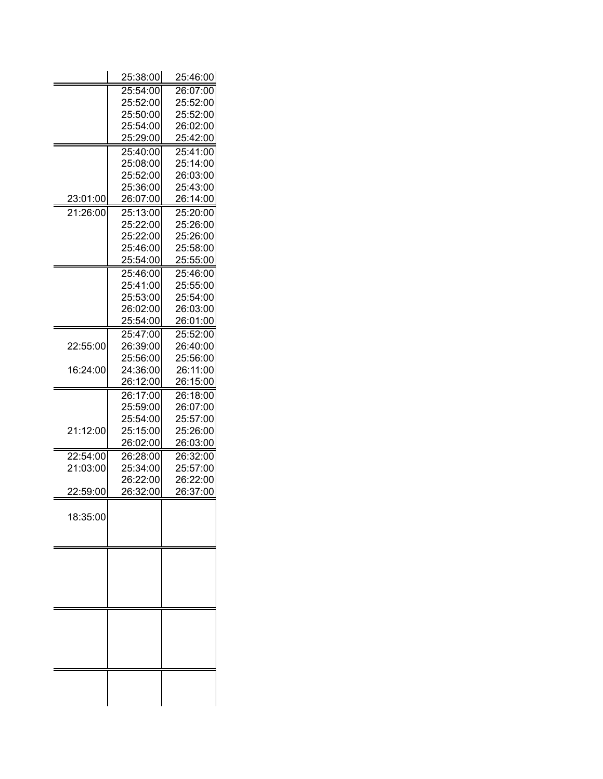| 25:54:00<br>26:07:00<br>25:52:00<br>25:52:00<br>25:52:00<br>25:50:00<br>26:02:00<br>25:54:00<br>25:42:00<br>25:29:00<br>25:41:00<br>25:40:00<br>25:14:00<br>25:08:00<br>25:52:00<br>26:03:00<br>25:43:00<br>25:36:00<br>23:01:00<br>26:07:00<br>26:14:00<br>21:26:00<br>25:13:00<br>25:20:00<br>25:22:00<br>25:26:00<br>25:22:00<br>25:26:00<br>25:46:00<br>25:58:00<br>25:54:00<br>25:55:00<br>25:46:00<br>25:46:00<br>25:41:00<br>25:55:00<br>25:53:00<br>25:54:00<br>26:02:00<br>26:03:00<br>25:54:00<br>26:01:00<br>25:52:00<br>25:47:00<br>22:55:00<br>26:39:00<br>26:40:00<br>25:56:00<br>25:56:00<br>26:11:00<br>16:24:00<br>24:36:00<br>26:12:00<br>26:15:00<br>26:17:00<br>26:18:00<br>25:59:00<br>26:07:00<br>25:54:00<br>25:57:00<br>21:12:00<br>25:15:00<br>25:26:00<br>26:02:00<br>26:03:00<br>22:54:00<br>26:32:00<br>26:28:00<br>21:03:00<br>25:34:00<br>25:57:00<br>26:22:00<br>26:22:00<br>26:32:00<br>26:37:00<br>22:59:00<br>18:35:00 | 25:38:00 | 25:46:00 |
|----------------------------------------------------------------------------------------------------------------------------------------------------------------------------------------------------------------------------------------------------------------------------------------------------------------------------------------------------------------------------------------------------------------------------------------------------------------------------------------------------------------------------------------------------------------------------------------------------------------------------------------------------------------------------------------------------------------------------------------------------------------------------------------------------------------------------------------------------------------------------------------------------------------------------------------------------------|----------|----------|
|                                                                                                                                                                                                                                                                                                                                                                                                                                                                                                                                                                                                                                                                                                                                                                                                                                                                                                                                                          |          |          |
|                                                                                                                                                                                                                                                                                                                                                                                                                                                                                                                                                                                                                                                                                                                                                                                                                                                                                                                                                          |          |          |
|                                                                                                                                                                                                                                                                                                                                                                                                                                                                                                                                                                                                                                                                                                                                                                                                                                                                                                                                                          |          |          |
|                                                                                                                                                                                                                                                                                                                                                                                                                                                                                                                                                                                                                                                                                                                                                                                                                                                                                                                                                          |          |          |
|                                                                                                                                                                                                                                                                                                                                                                                                                                                                                                                                                                                                                                                                                                                                                                                                                                                                                                                                                          |          |          |
|                                                                                                                                                                                                                                                                                                                                                                                                                                                                                                                                                                                                                                                                                                                                                                                                                                                                                                                                                          |          |          |
|                                                                                                                                                                                                                                                                                                                                                                                                                                                                                                                                                                                                                                                                                                                                                                                                                                                                                                                                                          |          |          |
|                                                                                                                                                                                                                                                                                                                                                                                                                                                                                                                                                                                                                                                                                                                                                                                                                                                                                                                                                          |          |          |
|                                                                                                                                                                                                                                                                                                                                                                                                                                                                                                                                                                                                                                                                                                                                                                                                                                                                                                                                                          |          |          |
|                                                                                                                                                                                                                                                                                                                                                                                                                                                                                                                                                                                                                                                                                                                                                                                                                                                                                                                                                          |          |          |
|                                                                                                                                                                                                                                                                                                                                                                                                                                                                                                                                                                                                                                                                                                                                                                                                                                                                                                                                                          |          |          |
|                                                                                                                                                                                                                                                                                                                                                                                                                                                                                                                                                                                                                                                                                                                                                                                                                                                                                                                                                          |          |          |
|                                                                                                                                                                                                                                                                                                                                                                                                                                                                                                                                                                                                                                                                                                                                                                                                                                                                                                                                                          |          |          |
|                                                                                                                                                                                                                                                                                                                                                                                                                                                                                                                                                                                                                                                                                                                                                                                                                                                                                                                                                          |          |          |
|                                                                                                                                                                                                                                                                                                                                                                                                                                                                                                                                                                                                                                                                                                                                                                                                                                                                                                                                                          |          |          |
|                                                                                                                                                                                                                                                                                                                                                                                                                                                                                                                                                                                                                                                                                                                                                                                                                                                                                                                                                          |          |          |
|                                                                                                                                                                                                                                                                                                                                                                                                                                                                                                                                                                                                                                                                                                                                                                                                                                                                                                                                                          |          |          |
|                                                                                                                                                                                                                                                                                                                                                                                                                                                                                                                                                                                                                                                                                                                                                                                                                                                                                                                                                          |          |          |
|                                                                                                                                                                                                                                                                                                                                                                                                                                                                                                                                                                                                                                                                                                                                                                                                                                                                                                                                                          |          |          |
|                                                                                                                                                                                                                                                                                                                                                                                                                                                                                                                                                                                                                                                                                                                                                                                                                                                                                                                                                          |          |          |
|                                                                                                                                                                                                                                                                                                                                                                                                                                                                                                                                                                                                                                                                                                                                                                                                                                                                                                                                                          |          |          |
|                                                                                                                                                                                                                                                                                                                                                                                                                                                                                                                                                                                                                                                                                                                                                                                                                                                                                                                                                          |          |          |
|                                                                                                                                                                                                                                                                                                                                                                                                                                                                                                                                                                                                                                                                                                                                                                                                                                                                                                                                                          |          |          |
|                                                                                                                                                                                                                                                                                                                                                                                                                                                                                                                                                                                                                                                                                                                                                                                                                                                                                                                                                          |          |          |
|                                                                                                                                                                                                                                                                                                                                                                                                                                                                                                                                                                                                                                                                                                                                                                                                                                                                                                                                                          |          |          |
|                                                                                                                                                                                                                                                                                                                                                                                                                                                                                                                                                                                                                                                                                                                                                                                                                                                                                                                                                          |          |          |
|                                                                                                                                                                                                                                                                                                                                                                                                                                                                                                                                                                                                                                                                                                                                                                                                                                                                                                                                                          |          |          |
|                                                                                                                                                                                                                                                                                                                                                                                                                                                                                                                                                                                                                                                                                                                                                                                                                                                                                                                                                          |          |          |
|                                                                                                                                                                                                                                                                                                                                                                                                                                                                                                                                                                                                                                                                                                                                                                                                                                                                                                                                                          |          |          |
|                                                                                                                                                                                                                                                                                                                                                                                                                                                                                                                                                                                                                                                                                                                                                                                                                                                                                                                                                          |          |          |
|                                                                                                                                                                                                                                                                                                                                                                                                                                                                                                                                                                                                                                                                                                                                                                                                                                                                                                                                                          |          |          |
|                                                                                                                                                                                                                                                                                                                                                                                                                                                                                                                                                                                                                                                                                                                                                                                                                                                                                                                                                          |          |          |
|                                                                                                                                                                                                                                                                                                                                                                                                                                                                                                                                                                                                                                                                                                                                                                                                                                                                                                                                                          |          |          |
|                                                                                                                                                                                                                                                                                                                                                                                                                                                                                                                                                                                                                                                                                                                                                                                                                                                                                                                                                          |          |          |
|                                                                                                                                                                                                                                                                                                                                                                                                                                                                                                                                                                                                                                                                                                                                                                                                                                                                                                                                                          |          |          |
|                                                                                                                                                                                                                                                                                                                                                                                                                                                                                                                                                                                                                                                                                                                                                                                                                                                                                                                                                          |          |          |
|                                                                                                                                                                                                                                                                                                                                                                                                                                                                                                                                                                                                                                                                                                                                                                                                                                                                                                                                                          |          |          |
|                                                                                                                                                                                                                                                                                                                                                                                                                                                                                                                                                                                                                                                                                                                                                                                                                                                                                                                                                          |          |          |
|                                                                                                                                                                                                                                                                                                                                                                                                                                                                                                                                                                                                                                                                                                                                                                                                                                                                                                                                                          |          |          |
|                                                                                                                                                                                                                                                                                                                                                                                                                                                                                                                                                                                                                                                                                                                                                                                                                                                                                                                                                          |          |          |
|                                                                                                                                                                                                                                                                                                                                                                                                                                                                                                                                                                                                                                                                                                                                                                                                                                                                                                                                                          |          |          |
|                                                                                                                                                                                                                                                                                                                                                                                                                                                                                                                                                                                                                                                                                                                                                                                                                                                                                                                                                          |          |          |
|                                                                                                                                                                                                                                                                                                                                                                                                                                                                                                                                                                                                                                                                                                                                                                                                                                                                                                                                                          |          |          |
|                                                                                                                                                                                                                                                                                                                                                                                                                                                                                                                                                                                                                                                                                                                                                                                                                                                                                                                                                          |          |          |
|                                                                                                                                                                                                                                                                                                                                                                                                                                                                                                                                                                                                                                                                                                                                                                                                                                                                                                                                                          |          |          |
|                                                                                                                                                                                                                                                                                                                                                                                                                                                                                                                                                                                                                                                                                                                                                                                                                                                                                                                                                          |          |          |
|                                                                                                                                                                                                                                                                                                                                                                                                                                                                                                                                                                                                                                                                                                                                                                                                                                                                                                                                                          |          |          |
|                                                                                                                                                                                                                                                                                                                                                                                                                                                                                                                                                                                                                                                                                                                                                                                                                                                                                                                                                          |          |          |
|                                                                                                                                                                                                                                                                                                                                                                                                                                                                                                                                                                                                                                                                                                                                                                                                                                                                                                                                                          |          |          |
|                                                                                                                                                                                                                                                                                                                                                                                                                                                                                                                                                                                                                                                                                                                                                                                                                                                                                                                                                          |          |          |
|                                                                                                                                                                                                                                                                                                                                                                                                                                                                                                                                                                                                                                                                                                                                                                                                                                                                                                                                                          |          |          |
|                                                                                                                                                                                                                                                                                                                                                                                                                                                                                                                                                                                                                                                                                                                                                                                                                                                                                                                                                          |          |          |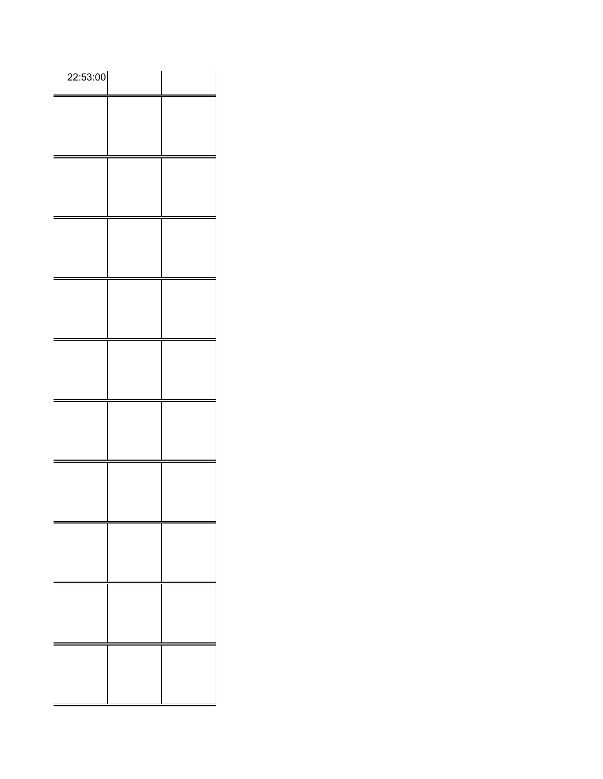| 22:53:00 |  |
|----------|--|
|          |  |
|          |  |
|          |  |
|          |  |
|          |  |
|          |  |
|          |  |
|          |  |
|          |  |
|          |  |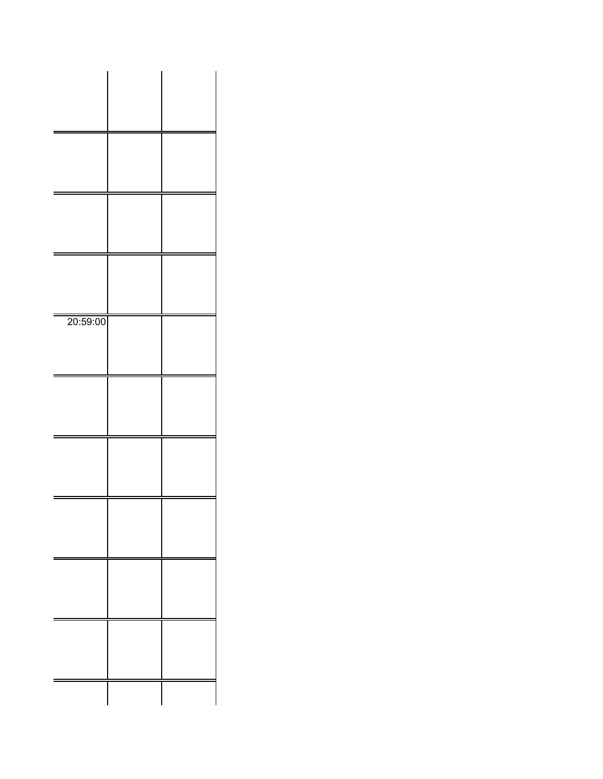| 20:59:00 |  |
|----------|--|
|          |  |
|          |  |
|          |  |
|          |  |
|          |  |
|          |  |
|          |  |
|          |  |
|          |  |
|          |  |
|          |  |
|          |  |
|          |  |
|          |  |
|          |  |
|          |  |
|          |  |
|          |  |
|          |  |
|          |  |
|          |  |
|          |  |
|          |  |
|          |  |
|          |  |
|          |  |
|          |  |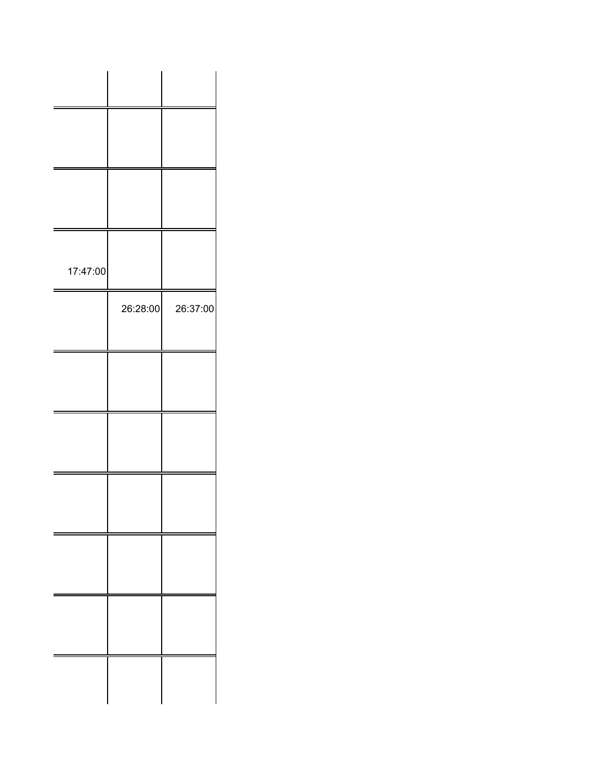| 17:47:00 |          |          |
|----------|----------|----------|
|          | 26:28:00 | 26:37:00 |
|          |          |          |
|          |          |          |
|          |          |          |
|          |          |          |
|          |          |          |
|          |          |          |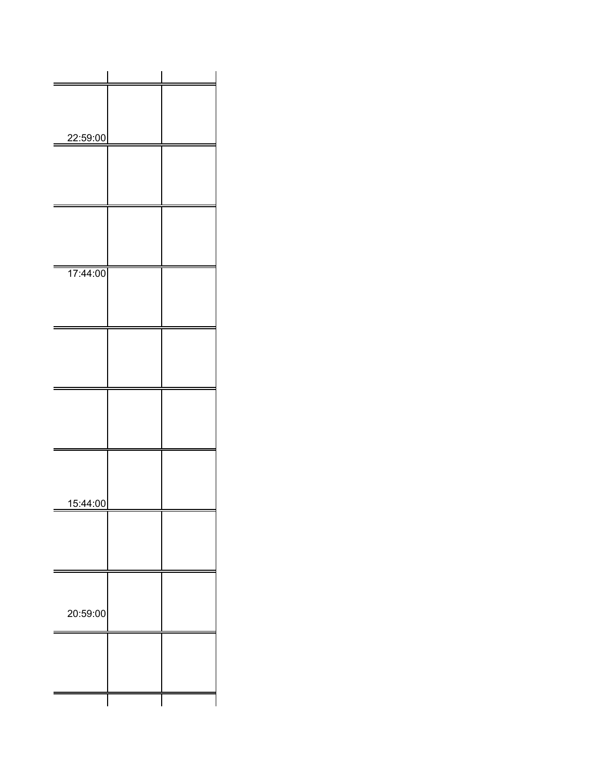| 22:59:00<br>17:44:00<br>15:44:00 |          |  |  |
|----------------------------------|----------|--|--|
|                                  |          |  |  |
|                                  |          |  |  |
|                                  |          |  |  |
|                                  |          |  |  |
|                                  |          |  |  |
|                                  |          |  |  |
|                                  |          |  |  |
|                                  |          |  |  |
|                                  |          |  |  |
|                                  |          |  |  |
|                                  |          |  |  |
|                                  |          |  |  |
|                                  |          |  |  |
|                                  |          |  |  |
|                                  |          |  |  |
|                                  |          |  |  |
|                                  |          |  |  |
|                                  |          |  |  |
|                                  |          |  |  |
|                                  |          |  |  |
|                                  | 20:59:00 |  |  |
|                                  |          |  |  |
|                                  |          |  |  |
|                                  |          |  |  |
|                                  |          |  |  |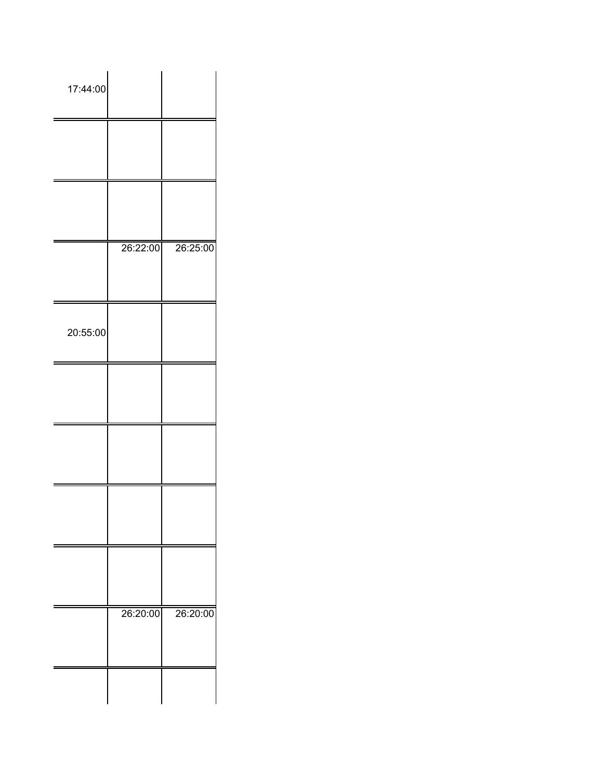| 17:44:00 |          |          |
|----------|----------|----------|
|          |          |          |
|          |          |          |
|          | 26:22:00 | 26:25:00 |
| 20:55:00 |          |          |
|          |          |          |
|          |          |          |
|          |          |          |
|          |          |          |
|          | 26:20:00 | 26:20:00 |
|          |          |          |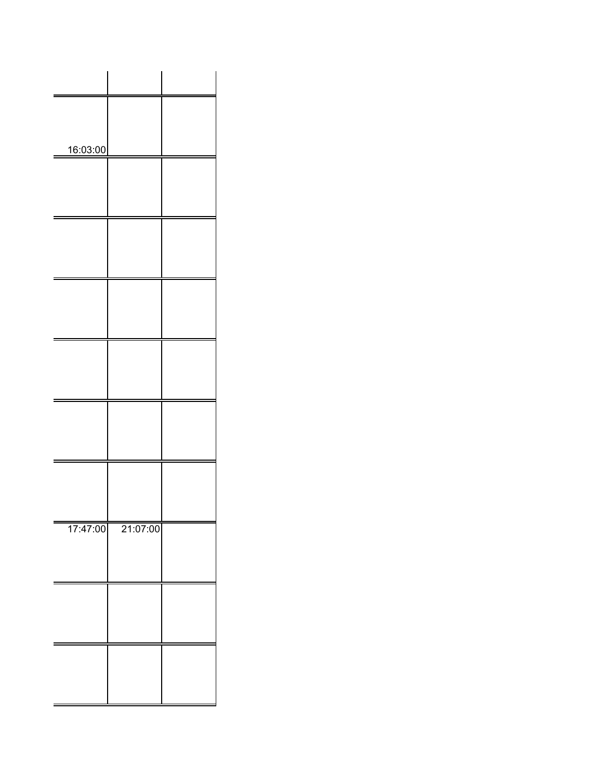| 16:03:00 |          |  |
|----------|----------|--|
|          |          |  |
|          |          |  |
|          |          |  |
|          |          |  |
|          |          |  |
|          |          |  |
|          |          |  |
|          |          |  |
|          |          |  |
|          |          |  |
|          |          |  |
|          |          |  |
|          |          |  |
|          |          |  |
|          |          |  |
| 17:47:00 | 21:07:00 |  |
|          |          |  |
|          |          |  |
|          |          |  |
|          |          |  |
|          |          |  |
|          |          |  |
|          |          |  |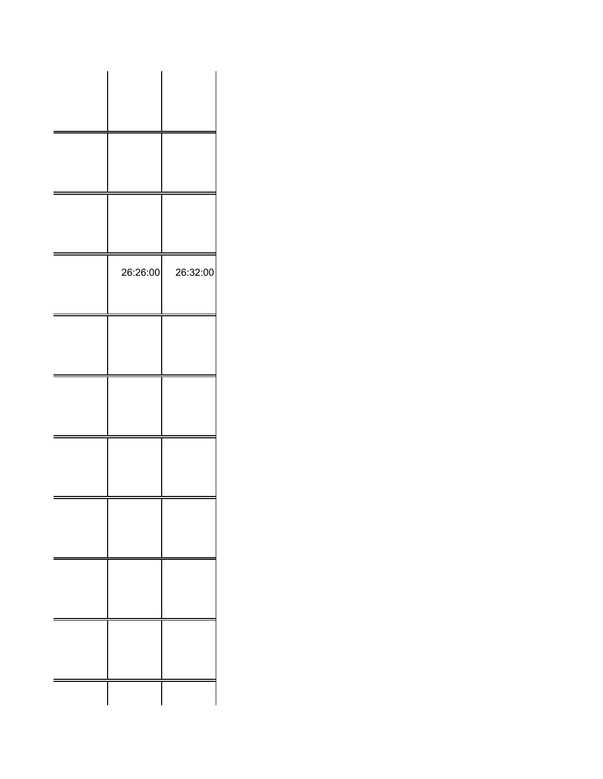| 26:26:00 | 26:32:00 |
|----------|----------|
|          |          |
|          |          |
|          |          |
|          |          |
|          |          |
|          |          |
|          |          |